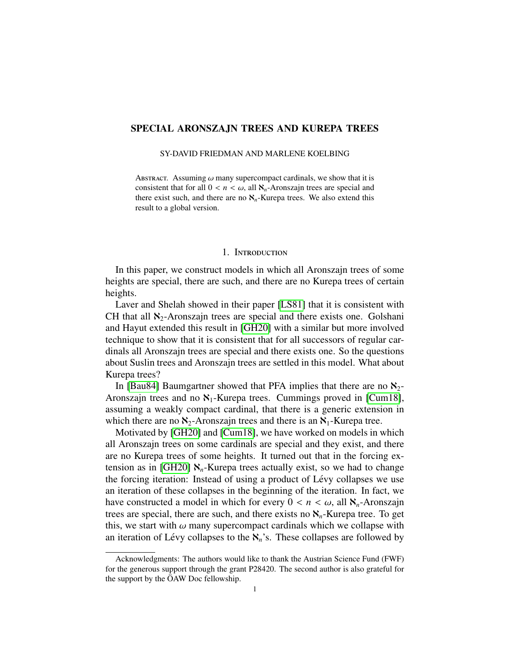# SPECIAL ARONSZAJN TREES AND KUREPA TREES

SY-DAVID FRIEDMAN AND MARLENE KOELBING

ABSTRACT. Assuming  $\omega$  many supercompact cardinals, we show that it is consistent that for all  $0 < n < \omega$ , all  $\aleph_n$ -Aronszajn trees are special and there exist such, and there are no  $\aleph_n$ -Kurepa trees. We also extend this result to a global version.

### 1. INTRODUCTION

In this paper, we construct models in which all Aronszajn trees of some heights are special, there are such, and there are no Kurepa trees of certain heights.

Laver and Shelah showed in their paper [\[LS81\]](#page-32-0) that it is consistent with CH that all  $\aleph_2$ -Aronszajn trees are special and there exists one. Golshani and Hayut extended this result in [\[GH20\]](#page-31-0) with a similar but more involved technique to show that it is consistent that for all successors of regular cardinals all Aronszajn trees are special and there exists one. So the questions about Suslin trees and Aronszajn trees are settled in this model. What about Kurepa trees?

In [\[Bau84\]](#page-31-1) Baumgartner showed that PFA implies that there are no  $\aleph_2$ -Aronszajn trees and no  $\mathcal{N}_1$ -Kurepa trees. Cummings proved in [\[Cum18\]](#page-31-2), assuming a weakly compact cardinal, that there is a generic extension in which there are no  $\aleph_2$ -Aronszajn trees and there is an  $\aleph_1$ -Kurepa tree.

Motivated by [\[GH20\]](#page-31-0) and [\[Cum18\]](#page-31-2), we have worked on models in which all Aronszajn trees on some cardinals are special and they exist, and there are no Kurepa trees of some heights. It turned out that in the forcing ex-tension as in [\[GH20\]](#page-31-0)  $\aleph_n$ -Kurepa trees actually exist, so we had to change the forcing iteration: Instead of using a product of Lévy collapses we use an iteration of these collapses in the beginning of the iteration. In fact, we have constructed a model in which for every  $0 < n < \omega$ , all  $\aleph_n$ -Aronszajn trees are special, there are such, and there exists no  $\aleph_n$ -Kurepa tree. To get this, we start with  $\omega$  many supercompact cardinals which we collapse with an iteration of Lévy collapses to the  $\aleph_n$ 's. These collapses are followed by

Acknowledgments: The authors would like to thank the Austrian Science Fund (FWF) for the generous support through the grant P28420. The second author is also grateful for the support by the  $\ddot{O}AW$  Doc fellowship.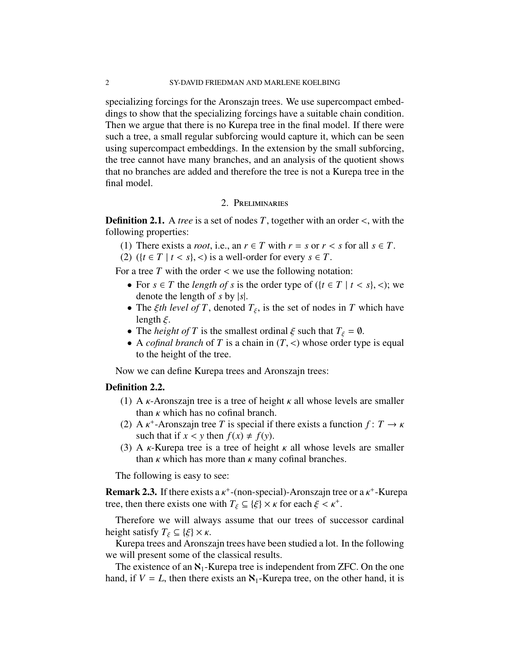specializing forcings for the Aronszajn trees. We use supercompact embeddings to show that the specializing forcings have a suitable chain condition. Then we argue that there is no Kurepa tree in the final model. If there were such a tree, a small regular subforcing would capture it, which can be seen using supercompact embeddings. In the extension by the small subforcing, the tree cannot have many branches, and an analysis of the quotient shows that no branches are added and therefore the tree is not a Kurepa tree in the final model.

## 2. Preliminaries

Definition 2.1. <sup>A</sup> *tree* is a set of nodes *<sup>T</sup>*, together with an order <, with the following properties:

- (1) There exists a *root*, i.e., an  $r \in T$  with  $r = s$  or  $r < s$  for all  $s \in T$ .
- (2) ( $\{t \in T \mid t < s\}, \leq$ ) is a well-order for every  $s \in T$ .

For a tree  $T$  with the order  $\lt$  we use the following notation:

- For  $s \in T$  the *length of* s is the order type of  $({t \in T | t < s}, <)$ ; we denote the length of *s* by |*s*|.
- The *ξth level of T*, denoted  $T_{\xi}$ , is the set of nodes in *T* which have length  $\xi$ length  $\xi$ .
- The *height of T* is the smallest ordinal  $\xi$  such that  $T_{\xi} = \emptyset$ .
- <sup>A</sup> *cofinal branch* of *<sup>T</sup>* is a chain in (*T*, <) whose order type is equal to the height of the tree.

Now we can define Kurepa trees and Aronszajn trees:

## Definition 2.2.

- (1) A  $\kappa$ -Aronszajn tree is a tree of height  $\kappa$  all whose levels are smaller than  $\kappa$  which has no cofinal branch.
- (2) A  $\kappa^+$ -Aronszajn tree *T* is special if there exists a function  $f: T \to \kappa$ <br>such that if  $r < v$  then  $f(x) + f(v)$ such that if  $x < y$  then  $f(x) \neq f(y)$ .
- (3) A  $\kappa$ -Kurepa tree is a tree of height  $\kappa$  all whose levels are smaller than  $\kappa$  which has more than  $\kappa$  many cofinal branches.

The following is easy to see:

**Remark 2.3.** If there exists a  $\kappa^+$ -(non-special)-Aronszajn tree or a  $\kappa^+$ -Kurepa<br>tree, then there exists one with  $T_* \subset (\mathcal{E}) \times \kappa$  for each  $\mathcal{E} \leq \kappa^+$ tree, then there exists one with  $T_{\xi} \subseteq {\xi} \times \kappa$  for each  $\xi < \kappa^+$ .

Therefore we will always assume that our trees of successor cardinal height satisfy  $T_{\xi} \subseteq {\xi} \times \kappa$ .

Kurepa trees and Aronszajn trees have been studied a lot. In the following we will present some of the classical results.

The existence of an  $\aleph_1$ -Kurepa tree is independent from ZFC. On the one hand, if  $V = L$ , then there exists an  $\aleph_1$ -Kurepa tree, on the other hand, it is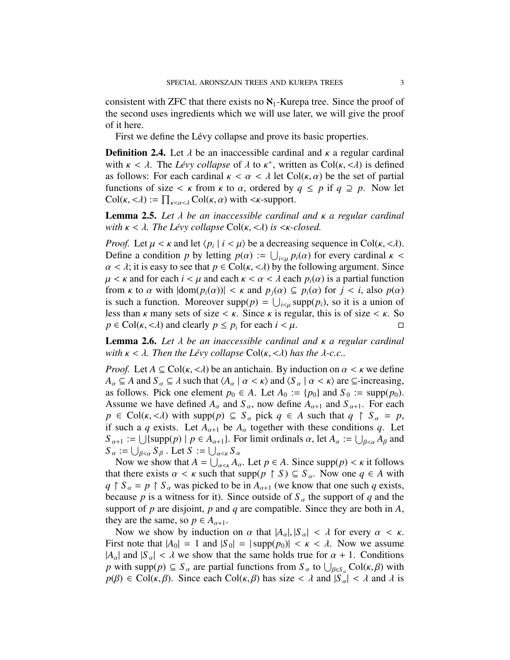consistent with ZFC that there exists no  $\aleph_1$ -Kurepa tree. Since the proof of the second uses ingredients which we will use later, we will give the proof of it here.

First we define the Lévy collapse and prove its basic properties.

**Definition 2.4.** Let  $\lambda$  be an inaccessible cardinal and  $\kappa$  a regular cardinal with  $\kappa < \lambda$ . The *Lévy collapse* of  $\lambda$  to  $\kappa^+$ , written as Col( $\kappa, < \lambda$ ) is defined as follows: For each cardinal  $\kappa < \alpha < \lambda$  let Col( $\kappa, \alpha$ ) be the set of partial as follows: For each cardinal  $\kappa < \alpha < \lambda$  let Col( $\kappa, \alpha$ ) be the set of partial functions of size  $\lt$   $\kappa$  from  $\kappa$  to  $\alpha$ , ordered by  $q \leq p$  if  $q \supseteq p$ . Now let  $Col(\kappa, <\lambda) := \prod_{\kappa < \alpha < \lambda} Col(\kappa, \alpha)$  with  $<\kappa$ -support.

<span id="page-2-0"></span>Lemma 2.5. *Let* λ *be an inaccessible cardinal and* κ *a regular cardinal with*  $\kappa < \lambda$ . The Lévy collapse Col( $\kappa, < \lambda$ ) is  $\leq \kappa$ -closed.

*Proof.* Let  $\mu < \kappa$  and let  $\langle p_i | i < \mu \rangle$  be a decreasing sequence in Col( $\kappa, < \lambda$ ).<br>Define a condition *n* by letting  $p(\alpha) := | \cdot | \cdot p(\alpha)$  for every cardinal  $\kappa < \lambda$ Define a condition *p* by letting  $p(\alpha) := \bigcup_{i \leq \mu} p_i(\alpha)$  for every cardinal  $\kappa < \alpha < \lambda$ ; it is easy to see that  $p \in Col(\kappa < \lambda)$  by the following aroument. Since  $\alpha < \lambda$ ; it is easy to see that  $p \in Col(\kappa, < \lambda)$  by the following argument. Since  $\mu < \kappa$  and for each  $i < \mu$  and each  $\kappa < \alpha < \lambda$  each  $p_i(\alpha)$  is a partial function from  $\kappa$  to  $\alpha$  with  $|\text{dom}(p_i(\alpha))| < \kappa$  and  $p_i(\alpha) \subseteq p_i(\alpha)$  for  $j < i$ , also  $p(\alpha)$ is such a function. Moreover  $\text{supp}(p) = \bigcup_{i \in \mu} \text{supp}(p_i)$ , so it is a union of loss than  $\mu$  many sets of size  $\leq \mu$ . Since  $\mu$  is reqular, this is of size  $\leq \mu$ . So less than  $\kappa$  many sets of size  $\lt \kappa$ . Since  $\kappa$  is regular, this is of size  $\lt \kappa$ . So  $p \in \text{Col}(\kappa, <\lambda)$  and clearly  $p \leq p_i$  for each  $i < \mu$ .

<span id="page-2-1"></span>Lemma 2.6. *Let* λ *be an inaccessible cardinal and* κ *a regular cardinal with*  $\kappa < \lambda$ . Then the Lévy collapse  $Col(\kappa, <\lambda)$  has the  $\lambda$ -c.c..

*Proof.* Let  $A \subseteq \text{Col}(\kappa, <\lambda)$  be an antichain. By induction on  $\alpha < \kappa$  we define  $A_{\alpha} \subseteq A$  and  $S_{\alpha} \subseteq \lambda$  such that  $\langle A_{\alpha} | \alpha \langle \kappa \rangle$  and  $\langle S_{\alpha} | \alpha \langle \kappa \rangle$  are  $\subseteq$ -increasing, as follows. Pick one element  $p_0 \in A$ . Let  $A_0 := \{p_0\}$  and  $S_0 := \text{supp}(p_0)$ . Assume we have defined  $A_\alpha$  and  $S_\alpha$ , now define  $A_{\alpha+1}$  and  $S_{\alpha+1}$ . For each  $p \in \text{Col}(\kappa, <\lambda)$  with supp $(p) \subseteq S_\alpha$  pick  $q \in A$  such that  $q \upharpoonright S_\alpha = p$ , if such a *q* exists. Let  $A_{\alpha+1}$  be  $A_{\alpha}$  together with these conditions *q*. Let  $S_{\alpha+1} := \bigcup \{ \text{supp}(p) \mid p \in A_{\alpha+1} \}.$  For limit ordinals  $\alpha$ , let  $A_{\alpha} := \bigcup_{\beta < \alpha} A_{\beta}$  and  $S_{\alpha+1} = \bigcup_{\beta \in \alpha} S_{\beta}$  let  $S_{\alpha+1} = \bigcup_{\beta \in \alpha} S_{\beta}$  $S_{\alpha} := \bigcup_{\beta < \alpha} S_{\beta}$ . Let  $S := \bigcup_{\alpha < \kappa} S_{\alpha}$ <br>Now we show that  $A = \square$ 

Now we show that  $A = \bigcup_{\alpha < k} A_\alpha$ . Let  $p \in A$ . Since supp $(p) < k$  it follows at there exists  $\alpha < k$  such that supp $(p \in S) \subset S$ . Now one  $a \in A$  with that there exists  $\alpha < \kappa$  such that supp $(p \restriction S) \subseteq S_\alpha$ . Now one  $q \in A$  with  $q \restriction S_\alpha = p \restriction S_\alpha$  was picked to be in  $A_{\alpha+1}$  (we know that one such *q* exists, because *p* is a witness for it). Since outside of  $S_\alpha$  the support of *q* and the support of *p* are disjoint, *p* and *q* are compatible. Since they are both in *A*, they are the same, so  $p \in A_{\alpha+1}$ .

Now we show by induction on  $\alpha$  that  $|A_{\alpha}|, |S_{\alpha}| < \lambda$  for every  $\alpha < \kappa$ . First note that  $|A_0| = 1$  and  $|S_0| = |\text{supp}(p_0)| < \kappa < \lambda$ . Now we assume  $|A_{\alpha}|$  and  $|S_{\alpha}| < \lambda$  we show that the same holds true for  $\alpha + 1$ . Conditions *p* with supp(*p*)  $\subseteq$  *S*<sub> $\alpha$ </sub> are partial functions from *S*<sub> $\alpha$ </sub> to  $\bigcup_{\beta \in S_{\alpha}}$  Col( $\kappa$ ,  $\beta$ ) with  $p(\beta) \in$  Col( $\kappa$ ,  $\beta$ ). Since each Col( $\kappa$ ,  $\beta$ ) has size  $\leq \lambda$  and  $|S_{\alpha}| \leq \lambda$  and  $\lambda$  is  $p(\beta) \in \text{Col}(\kappa, \beta)$ . Since each  $\text{Col}(\kappa, \beta)$  has size  $\lt \lambda$  and  $|S_{\alpha}| \lt \lambda$  and  $\lambda$  is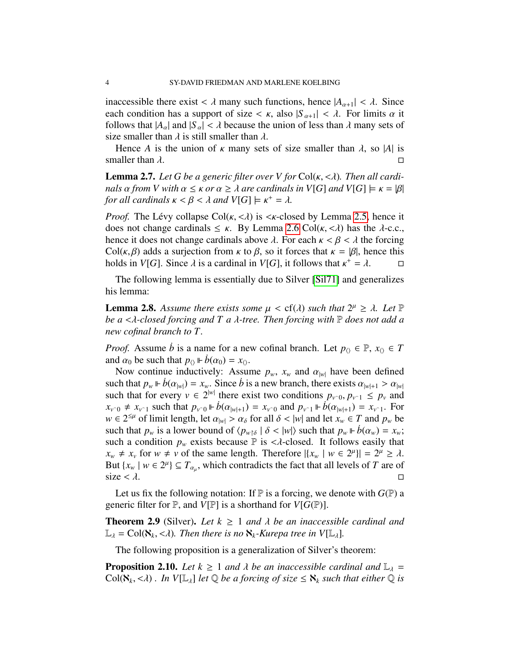inaccessible there exist  $\langle \lambda \rangle$  many such functions, hence  $|A_{\alpha+1}| \langle \lambda \rangle$ . Since each condition has a support of size  $\langle \kappa, \text{ also } |S_{\alpha+1}| \langle \lambda \rangle$ . For limits  $\alpha$  it follows that  $|A_{\alpha}|$  and  $|S_{\alpha}| < \lambda$  because the union of less than  $\lambda$  many sets of size smaller than  $\lambda$  is still smaller than  $\lambda$ .

Hence *A* is the union of *κ* many sets of size smaller than  $\lambda$ , so |*A*| is smaller than  $\lambda$ . smaller than  $\lambda$ .

Lemma 2.7. *Let G be a generic filter over V for* Col(κ, <λ)*. Then all cardinals*  $\alpha$  *from V* with  $\alpha \leq \kappa$  *or*  $\alpha \geq \lambda$  *are cardinals in V*[*G*] *and V*[*G*]  $\models \kappa = |\beta|$ *for all cardinals*  $\kappa < \beta < \lambda$  *and*  $V[G] \models \kappa^+ = \lambda$ *.* 

*Proof.* The Lévy collapse  $Col(\kappa, <\lambda)$  is  $\lt \kappa$ -closed by Lemma [2.5,](#page-2-0) hence it does not change cardinals  $\leq \kappa$ . By Lemma [2.6](#page-2-1) Col( $\kappa$ , < $\lambda$ ) has the  $\lambda$ -c.c., hence it does not change cardinals above  $\lambda$ . For each  $\kappa < \beta < \lambda$  the forcing Col( $\kappa$ , $\beta$ ) adds a surjection from  $\kappa$  to  $\beta$ , so it forces that  $\kappa = |\beta|$ , hence this holds in VIG1. Since  $\lambda$  is a cardinal in VIG1, it follows that  $\kappa^+ = \lambda$ . holds in *V*[*G*]. Since  $\lambda$  is a cardinal in *V*[*G*], it follows that  $\kappa^+ = \lambda$ .

The following lemma is essentially due to Silver [\[Sil71\]](#page-32-1) and generalizes his lemma:

<span id="page-3-0"></span>**Lemma 2.8.** Assume there exists some  $\mu < cf(\lambda)$  such that  $2^{\mu} \geq \lambda$ . Let  $\mathbb{P}$  be a  $\leq \lambda$ -closed forcing and T a  $\lambda$ -tree. Then forcing with  $\mathbb{P}$  does not add a *be a* <λ*-closed forcing and T a* λ*-tree. Then forcing with* <sup>P</sup> *does not add a new cofinal branch to T.*

*Proof.* Assume *b* is a name for a new cofinal branch. Let  $p_0 \in \mathbb{P}, x_0 \in T$ and  $\alpha_0$  be such that  $p_0 \Vdash \dot{b}(\alpha_0) = x_0$ .

Now continue inductively: Assume  $p_w$ ,  $x_w$  and  $\alpha_{|w|}$  have been defined such that  $p_w \rvert b(\alpha_{|w|}) = x_w$ . Since *b* is a new branch, there exists  $\alpha_{|w|+1} > \alpha_{|w|}$ such that for every  $v \in 2^{|w|}$  there exist two conditions  $p_{v\text{-}0}, p_{v\text{-}1} \leq p_v$  and  $x_{v\text{-}0} \neq x_{v\text{-}1}$  such that  $p_{v\text{-}0} \Vdash \mathring{p}(\alpha_{v\text{-}1} \cup \alpha) = x_{v\text{-}0}$  and  $p_{v\text{-}1} \Vdash \mathring{p}(\alpha_{v\text{-}1} \cup \alpha) = x_{v\text{-}1}$ .  $x_{v \text{ and } v_{v \text{ and } v_{v \text{ and } v_{v \text{ and } v_{v \text{ and } v_{v \text{ and } v_{v \text{ and } v_{v \text{ and } v_{v \text{ and } v_{v \text{ and } v_{v \text{ and } v_{v \text{ and } v_{v \text{ and } v_{v \text{ and } v_{v \text{ and } v_{v \text{ and } v_{v \text{ and } v_{v \text{ and } v_{v \text{ and } v_{v \text{ and } v_{v \text{ and } v_{v \text{ and } v_{v \text{ and } v_{v \text{ and } v_{v \text{ and } v_{v \text{ and } v_{v \text{ and } v_{v \$ *w* ∈  $2^{\leq \mu}$  of limit length, let  $\alpha_{|w|} > \alpha_{\delta}$  for all  $\delta < |w|$  and let  $x_w \in T$  and  $p_w$  be such that *p* is a lower bound of  $\langle p_{w, \delta} | \delta < |w| \rangle$  such that *p*  $\| \phi(\alpha) - r \|^2$ such that  $p_w$  is a lower bound of  $\langle p_{w\uparrow\delta} | \delta \langle w \rangle$  such that  $p_w \vDash \dot{b}(\alpha_w) = x_w$ ; such a condition  $p_w$  exists because  $\mathbb P$  is  $\langle \lambda$ -closed. It follows easily that  $x_w \neq x_v$  for  $w \neq v$  of the same length. Therefore  $|\{x_w \mid w \in 2^\mu\}| = 2^\mu \geq \lambda$ .<br>But  $\{x \mid w \in 2^\mu\} \subset T$  which contradicts the fact that all levels of *T* are of But  $\{x_w \mid w \in 2^{\mu}\} \subseteq T_{\alpha_\mu}$ , which contradicts the fact that all levels of *T* are of size  $< \lambda$ .

Let us fix the following notation: If  $\mathbb P$  is a forcing, we denote with  $G(\mathbb P)$  a generic filter for  $\mathbb{P}$ , and  $V[\mathbb{P}]$  is a shorthand for  $V[G(\mathbb{P})]$ .

**Theorem 2.9** (Silver). Let  $k \ge 1$  and  $\lambda$  be an inaccessible cardinal and  $\mathbb{L}_{\lambda} = \text{Col}(\aleph_k, <\lambda)$ . Then there is no  $\aleph_k$ -Kurepa tree in  $V[\mathbb{L}_{\lambda}]$ .

The following proposition is a generalization of Silver's theorem:

<span id="page-3-1"></span>**Proposition 2.10.** *Let*  $k \ge 1$  *and*  $\lambda$  *be an inaccessible cardinal and*  $\mathbb{L}_{\lambda}$  =  $Col(\aleph_k, <\lambda)$ . In  $V[\mathbb{L}_\lambda]$  let  $\mathbb Q$  *be a forcing of size*  $\leq \aleph_k$  *such that either*  $\mathbb Q$  *is*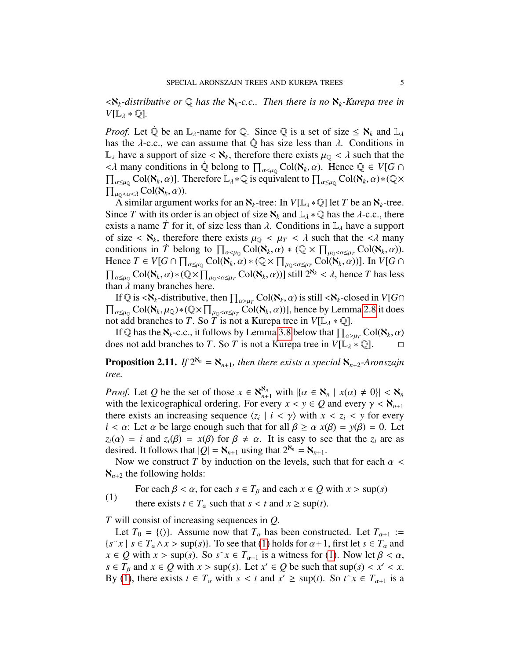$\langle K_k$ -distributive or  $\mathbb Q$  has the  $\mathcal K_k$ -c.c.. Then there is no  $\mathcal K_k$ -Kurepa tree in  $V[\mathbb{L}_\lambda * \mathbb{Q}].$ 

*Proof.* Let Q be an  $\mathbb{L}_{\lambda}$ -name for Q. Since Q is a set of size  $\leq \aleph_k$  and  $\mathbb{L}_{\lambda}$ has the  $\lambda$ -c.c., we can assume that  $\mathbb Q$  has size less than  $\lambda$ . Conditions in  $\mathbb{L}_{\lambda}$  have a support of size  $\langle \aleph_k \rangle$ , therefore there exists  $\mu_{\mathbb{Q}} \langle \lambda \rangle$  such that the  $\langle \lambda \rangle$  many conditions in  $\hat{\mathbb{Q}}$  belong to  $\Pi$   $\subset$   $\Omega(\aleph, \alpha)$ . Hence  $\hat{\mathbb{Q}} \in V[G]$  $\langle A \rangle$  many conditions in  $\dot{\mathbb{Q}}$  belong to  $\prod_{\alpha \leq \mu_{\mathbb{Q}}} \text{Col}(\mathbf{X}_k, \alpha)$ . Hence  $\mathbb{Q} \in V[G \cap \Pi]$  Col( $\mathbf{X}_k$ ,  $\alpha$ ) Therefore  $\mathbb{I}_{\alpha}$  is equivalent to  $\Pi$  Col( $\mathbf{X}_k$ ,  $\alpha$ )  $\neq$  ( $\mathbb{Q}$ )  $\prod_{\alpha \leq \mu_{\mathbb{Q}}} \text{Col}(\mathbf{X}_k, \alpha)$ ]. Therefore  $\mathbb{L}_{\lambda} * \mathbb{Q}$  is equivalent to  $\prod_{\alpha \leq \mu_{\mathbb{Q}}} \text{Col}(\mathbf{X}_k, \alpha) * (\mathbb{Q} \times \Pi)$  $\prod_{\substack{\mu_Q < \alpha < \lambda \\ \Delta \text{ similar argument}}$ 

A similar argument works for an  $\aleph_k$ -tree: In  $V[\mathbb{L}_\lambda * \mathbb{Q}]$  let *T* be an  $\aleph_k$ -tree. Since *T* with its order is an object of size  $\aleph_k$  and  $\mathbb{L}_\lambda * \mathbb{Q}$  has the  $\lambda$ -c.c., there exists a name *T* for it, of size less than  $\lambda$ . Conditions in  $\mathbb{L}_{\lambda}$  have a support of size  $\langle \mathbf{X}_k \rangle$ , therefore there exists  $\mu_Q < \mu_T < \lambda$  such that the  $\langle \lambda \rangle$  many<br>conditions in  $\dot{T}$  belong to  $\Pi$   $\Box$  Col( $\mathbf{X}_L$   $\alpha$ )  $*$  ( $\Box \times \Pi$   $\Box$  Col( $\mathbf{X}_L$   $\alpha$ )) conditions in *T* belong to  $\prod_{\alpha < \mu_Q} \text{Col}(\mathbf{X}_k, \alpha) * (\mathbb{Q} \times \prod_{\mu_Q < \alpha \leq \mu_T} \text{Col}(\mathbf{X}_k, \alpha)).$ <br>Hence  $T \in V[G \cap \Pi$   $\text{Col}(\mathbf{X}, \alpha) * (\mathbb{Q} \times \Pi$   $\text{Col}(\mathbf{X}, \alpha))$  In  $V[G \cap \Pi]$ Hence  $T \in V[G \cap \prod_{\alpha \le \mu_Q} \text{Col}(\mathbf{X}_k, \alpha) * (\mathbb{Q} \times \prod_{\mu_Q < \alpha \le \mu_T} \text{Col}(\mathbf{X}_k, \alpha))]$ . In  $V[G \cap \prod_{\alpha \le \mu_Q} \text{Col}(\mathbf{X}_k, \alpha) * (\mathbb{Q} \times \prod_{\alpha \le \mu_Q} \text{Col}(\mathbf{X}_k, \alpha))$ .  $\prod_{\alpha \leq \mu_Q} \text{Col}(\mathbf{X}_k, \alpha) * (\mathbb{Q} \times \prod_{\mu_Q < \alpha \leq \mu_T} \text{Col}(\mathbf{X}_k, \alpha))$  still  $2^{\mathbf{X}_k} < \lambda$ , hence *T* has less than  $\lambda$  many branches here.

If Q is  $\langle X_k$ -distributive, then  $\prod_{\alpha>\mu}$  Col( $X_k$ ,  $\alpha$ ) is still  $\langle X_k$ -closed in  $V[G]$ <br>Col( $X_k$ ,  $\mu_k$ )\*( $\bigcap X$ ,  $\prod$  Col( $X_k$ ,  $\alpha$ ))) hence by Lemma 2.8 it does  $\prod_{\alpha \leq \mu_Q} \text{Col}(\mathbf{X}_k, \mu_Q) * (\mathbb{Q} \times \prod_{\mu_Q < \alpha \leq \mu_T} \text{Col}(\mathbf{X}_k, \alpha))$ , hence by Lemma [2.8](#page-3-0) it does not add branches to *T*. So *T* is not a Kurepa tree in  $V[\mathbb{L}_\lambda * \mathbb{Q}]$ .

If Q has the  $\aleph_k$ -c.c., it follows by Lemma [3.8](#page-7-0) below that  $\prod_{\alpha>\mu} \text{Col}(\aleph_k, \alpha)$ <br>es not add branches to T. So T is not a Kurena tree in  $V[\Box] \times \Box$ does not add branches to *T*. So *T* is not a Kurepa tree in  $V[\mathbb{L}_{\lambda} * \mathbb{Q}]$ .

<span id="page-4-1"></span>**Proposition 2.11.** *If*  $2^{x_n} = x_{n+1}$ *, then there exists a special*  $x_{n+2}$ *-Aronszajn tree.*

*Proof.* Let *Q* be the set of those  $x \in \mathbb{N}_{n+1}^{\mathbb{N}_n}$  with  $|\{\alpha \in \mathbb{N}_n \mid x(\alpha) \neq 0\}| < \mathbb{N}_n$  with the lexicographical ordering. For every  $x \le y \in \Omega$  and every  $y \le \mathbb{N}_n$ . with the lexicographical ordering. For every  $x < y \in Q$  and every  $\gamma < \aleph_{n+1}$ there exists an increasing sequence  $\langle z_i | i \rangle \langle \gamma \rangle$  with  $x \rangle \langle z_i \rangle \langle \gamma \rangle$  for every  $i \rangle \langle \alpha \rangle$ . Let  $\alpha$  be large enough such that for all  $\beta \rangle \langle \alpha \rangle x(\beta) - y(\beta) = 0$ . Let *i* <  $\alpha$ : Let  $\alpha$  be large enough such that for all  $\beta \ge \alpha x(\beta) = y(\beta) = 0$ . Let  $z_i(\alpha) = i$  and  $z_i(\beta) = x(\beta)$  for  $\beta \neq \alpha$ . It is easy to see that the  $z_i$  are as desired. It follows that  $|Q| = \aleph_{n+1}$  using that  $2^{\aleph_n} = \aleph_{n+1}$ .

Now we construct *T* by induction on the levels, such that for each  $\alpha$  <  $\aleph_{n+2}$  the following holds:

<span id="page-4-0"></span>For each  $\beta < \alpha$ , for each  $s \in T_\beta$  and each  $x \in Q$  with  $x > \sup(s)$ 

(1) there exists  $t \in T_\alpha$  such that  $s < t$  and  $x \ge \sup(t)$ .

*T* will consist of increasing sequences in *Q*.

Let  $T_0 = \{ \langle \rangle \}$ . Assume now that  $T_\alpha$  has been constructed. Let  $T_{\alpha+1} :=$  $\{s^\frown x \mid s \in T_\alpha \land x > \sup(s)\}\)$ . To see that [\(1\)](#page-4-0) holds for  $\alpha + 1$ , first let  $s \in T_\alpha$  and  $r \in \Omega$  with  $r > \sup(s)$ . So  $s^\frown r \in T_\alpha$  is a witness for (1). Now let  $\beta < \alpha$ .  $x \in Q$  with  $x > \sup(s)$ . So  $s \in \mathcal{X}_{\alpha+1}$  is a witness for [\(1\)](#page-4-0). Now let  $\beta < \alpha$ ,<br> $s \in \mathcal{X}_{\alpha}$  and  $x \in Q$  with  $x > \sup(s)$ . Let  $x' \in Q$  be such that  $\sup(s) < x' < x$ . *s* ∈ *T<sub>β</sub>* and *x* ∈ *Q* with *x* > sup(*s*). Let *x*<sup>*'*</sup> ∈ *Q* be such that sup(*s*) < *x'* < *x*. By (1) there exists  $t \in T$  with  $s < t$  and  $r' >$  sup(*t*). So  $t \in T$  is a By [\(1\)](#page-4-0), there exists  $t \in T_\alpha$  with  $s < t$  and  $x' \ge \sup(t)$ . So  $t^x \in T_{\alpha+1}$  is a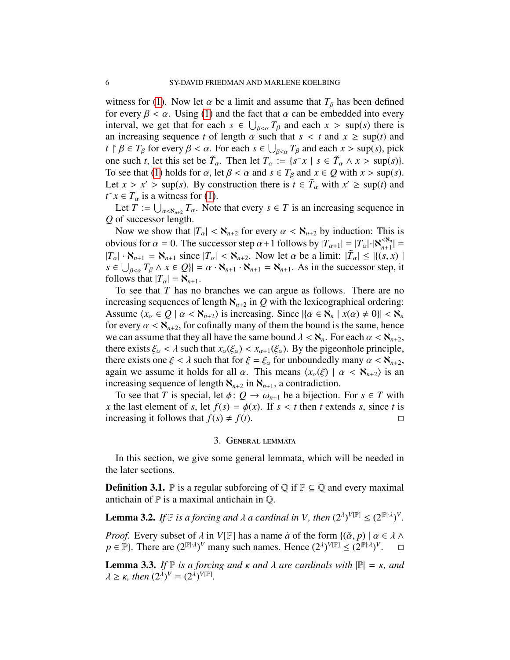witness for [\(1\)](#page-4-0). Now let  $\alpha$  be a limit and assume that  $T_{\beta}$  has been defined for every  $\beta < \alpha$ . Using [\(1\)](#page-4-0) and the fact that  $\alpha$  can be embedded into every interval, we get that for each  $s \in \bigcup_{\beta \leq \alpha} T_{\beta}$  and each  $x > \sup(s)$  there is<br>an increasing sequence t of length  $\alpha$  such that  $s < t$  and  $r > \sup(t)$  and an increasing sequence *t* of length  $\alpha$  such that  $s < t$  and  $x \ge \sup(t)$  and *t*  $\uparrow \beta \in T_{\beta}$  for every  $\beta < \alpha$ . For each  $s \in \bigcup_{\beta < \alpha} T_{\beta}$  and each  $x > \sup(s)$ , pick one such *t*, let this set be  $\tilde{T}_{\alpha}$ . Then let  $T_{\alpha} := \{s \hat{X} \mid s \in \tilde{T}_{\alpha} \land x > \sup(s)\}.$ <br>To see that (1) holds for  $\alpha$  let  $\beta < \alpha$  and  $s \in T_{\alpha}$  and  $x \in Q$  with  $x > \sup(s)$ . To see that [\(1\)](#page-4-0) holds for  $\alpha$ , let  $\beta < \alpha$  and  $s \in T_\beta$  and  $x \in Q$  with  $x > \sup(s)$ . Let  $x > x' > \sup(s)$ . By construction there is  $t \in \tilde{T}_{\alpha}$  with  $x' \ge \sup(t)$  and  $t \in T$  is a witness for (1)  $t \hat{ } \in T_{\alpha}$  is a witness for [\(1\)](#page-4-0).

Let  $T := \bigcup_{\alpha < \aleph_{n+2}} T_\alpha$ . Note that every  $s \in T$  is an increasing sequence in of successor length *Q* of successor length.

Now we show that  $|T_a| < \aleph_{n+2}$  for every  $\alpha < \aleph_{n+2}$  by induction: This is obvious for  $\alpha = 0$ . The successor step  $\alpha + 1$  follows by  $|T_{\alpha+1}| = |T_{\alpha}| \cdot |\mathcal{S}_{n+1}| = |T_{\alpha}| \cdot |\mathcal{S}_{n+1}| = |T_{\alpha}| \cdot |\mathcal{S}_{n+1}| = |\mathcal{F}| \cdot |\mathcal{S}_{n+1}| = |\mathcal{F}| \cdot |\mathcal{S}_{n+1}| = |\mathcal{F}| \cdot |\mathcal{S}_{n+1}|$  $|T_{\alpha}| \cdot \mathbf{N}_{n+1} = \mathbf{N}_{n+1}$  since  $|T_{\alpha}| < \mathbf{N}_{n+2}$ . Now let  $\alpha$  be a limit:  $|\tilde{T}_{\alpha}| \leq |(s, x)|$ <br> $s \in |T_{\alpha} \wedge r \in \Omega| - \alpha \cdot \mathbf{N}_{\alpha} \cdot \mathbf{N}_{\alpha} - \mathbf{N}_{\alpha}$ . As in the successor step if  $s \in \bigcup_{\beta \leq \alpha} T_{\beta} \land x \in Q$ }| =  $\alpha \cdot \mathbf{X}_{n+1} \cdot \mathbf{X}_{n+1} = \mathbf{X}_{n+1}$ . As in the successor step, it follows that  $|T| = \mathbf{X}_{n+1}$ . follows that  $|T_\alpha| = \aleph_{n+1}$ .

To see that *T* has no branches we can argue as follows. There are no increasing sequences of length  $\aleph_{n+2}$  in *Q* with the lexicographical ordering: Assume  $\langle x_\alpha \in Q \mid \alpha < \aleph_{n+2} \rangle$  is increasing. Since  $|\{\alpha \in \aleph_n \mid x(\alpha) \neq 0\}| < \aleph_n$ for every  $\alpha < \aleph_{n+2}$ , for cofinally many of them the bound is the same, hence we can assume that they all have the same bound  $\lambda < \aleph_n$ . For each  $\alpha < \aleph_{n+2}$ , there exists  $\xi_{\alpha} < \lambda$  such that  $x_{\alpha}(\xi_{\alpha}) < x_{\alpha+1}(\xi_{\alpha})$ . By the pigeonhole principle, there exists one  $\xi < \lambda$  such that for  $\xi = \xi_\alpha$  for unboundedly many  $\alpha < \aleph_{n+2}$ , again we assume it holds for all  $\alpha$ . This means  $\langle x_{\alpha}(\xi) | \alpha \langle \mathbf{X}_{n+2} \rangle$  is an increasing sequence of length  $\aleph_{n+2}$  in  $\aleph_{n+1}$ , a contradiction.

To see that *T* is special, let  $\phi: Q \to \omega_{n+1}$  be a bijection. For  $s \in T$  with *x* the last element of *s*, let  $f(s) = \phi(x)$ . If  $s < t$  then *t* extends *s*, since *t* is increasing it follows that  $f(s) \neq f(t)$ . increasing it follows that  $f(s) \neq f(t)$ .

### 3. General lemmata

In this section, we give some general lemmata, which will be needed in the later sections.

**Definition 3.1.**  $\mathbb{P}$  is a regular subforcing of  $\mathbb{Q}$  if  $\mathbb{P} \subseteq \mathbb{Q}$  and every maximal antichain of  $\mathbb P$  is a maximal antichain in  $\mathbb Q$ .

<span id="page-5-0"></span>**Lemma 3.2.** *If*  $\mathbb{P}$  *is a forcing and*  $\lambda$  *a cardinal in V, then*  $(2^{\lambda})^{V[\mathbb{P}]} \leq (2^{|\mathbb{P}|\cdot\lambda})^V$ .

*Proof.* Every subset of  $\lambda$  in  $V[\mathbb{P}]$  has a name  $\dot{a}$  of the form  $\{(\check{\alpha}, p) \mid \alpha \in \lambda \land \lambda\}$  $p \in \mathbb{P}$ . There are  $(2^{\mathbb{P} \setminus \lambda})^V$  many such names. Hence  $(2^{\lambda})^{V[\mathbb{P}]} \leq (2^{\mathbb{P} \setminus \lambda})^V$  $\Box$ 

**Lemma 3.3.** *If*  $\mathbb P$  *is a forcing and κ and λ are cardinals with*  $\mathbb P$  = *κ, and*  $\lambda \geq \kappa$ , then  $(2^{\lambda})^V = (2^{\lambda})^{V[\mathbb{P}]}$ .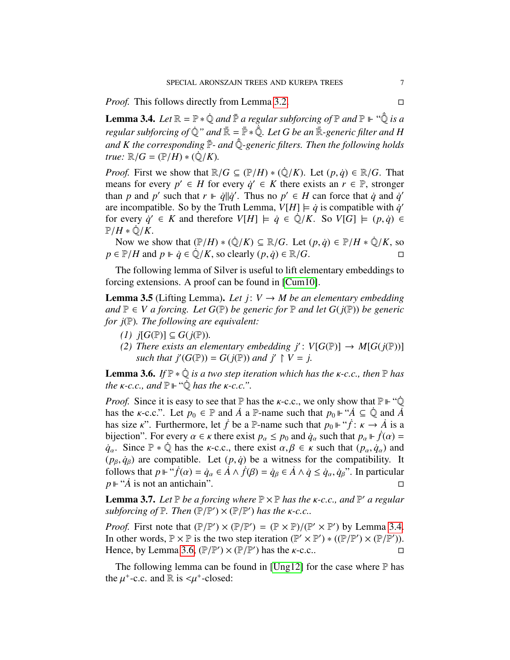*Proof.* This follows directly from Lemma [3.2.](#page-5-0) □

<span id="page-6-0"></span>**Lemma 3.4.** Let  $\mathbb{R} = \mathbb{P} * \dot{\mathbb{Q}}$  and  $\bar{\mathbb{P}}$  a regular subforcing of  $\mathbb{P}$  and  $\mathbb{P} \vdash ``\dot{\bar{\mathbb{Q}}}$  is a *regular subforcing of*  $\dot{\mathbb{Q}}$ " and  $\bar{\mathbb{R}} = \bar{\mathbb{P}} * \dot{\bar{\mathbb{Q}}}$ . Let G be an  $\bar{\mathbb{R}}$ -generic filter and H and *K* the corresponding  $\bar{P}$ - and  $\dot{\bar{Q}}$ -generic filters. Then the following holds *true:*  $\mathbb{R}/G = (\mathbb{P}/H) * (\mathbb{Q}/K)$ *.* 

*Proof.* First we show that  $\mathbb{R}/G \subseteq (\mathbb{P}/H) * (\mathbb{Q}/K)$ . Let  $(p, q) \in \mathbb{R}/G$ . That means for every  $p' \in H$  for every  $\dot{q}' \in K$  there exists an  $r \in \mathbb{P}$ , stronger than *p* and *p*' such that  $r \Vdash \dot{q} || \dot{q}'$ . Thus no  $p' \in H$  can force that  $\dot{q}$  and  $\dot{q}'$ are incompatible. So by the Truth Lemma,  $V[H] \models \dot{q}$  is compatible with  $\dot{q}'$ for every  $\dot{q}' \in K$  and therefore  $V[H] \models \dot{q} \in \dot{\mathbb{Q}}/K$ . So  $V[G] \models (p, \dot{q}) \in \mathbb{P}/H \ast \dot{\mathbb{Q}}/K$  $\mathbb{P}/H \cdot \mathbb{Q}/K$ .

Now we show that  $(\mathbb{P}/H) * (\dot{\mathbb{Q}}/K) \subseteq \mathbb{R}/G$ . Let  $(p, \dot{q}) \in \mathbb{P}/H * \dot{\mathbb{Q}}/K$ , so  $p \in \mathbb{P}/H$  and  $p \Vdash \dot{q} \in \dot{\mathbb{Q}}/K$ , so clearly  $(p, \dot{q}) \in \mathbb{R}/G$ .

The following lemma of Silver is useful to lift elementary embeddings to forcing extensions. A proof can be found in [\[Cum10\]](#page-31-3).

<span id="page-6-2"></span>**Lemma 3.5** (Lifting Lemma). Let  $j: V \rightarrow M$  be an elementary embedding *and*  $\mathbb{P}$  ∈ *V a* forcing. Let G( $\mathbb{P}$ ) be generic for  $\mathbb{P}$  and let G( $j(\mathbb{P})$ ) be generic *for j*(P)*. The following are equivalent:*

- *(1)*  $j[G(\mathbb{P})] ⊆ G(j(\mathbb{P}))$ .
- *(2) There exists an elementary embedding*  $j'$ *:*  $V[G(\mathbb{P})] \rightarrow M[G(j(\mathbb{P}))]$ *such that*  $j'(G(\mathbb{P})) = G(j(\mathbb{P}))$  *and*  $j' \restriction V = j$ *.*

<span id="page-6-1"></span>**Lemma 3.6.** *If*  $\mathbb{P} * \mathbb{Q}$  *is a two step iteration which has the*  $\kappa$ -*c.c., then*  $\mathbb{P}$  *has the*  $\kappa$ -*c.c.,* and  $\mathbb{P} \Vdash \text{``}\mathbb{Q}$  has the  $\kappa$ -*c.c.*".

*Proof.* Since it is easy to see that  $\mathbb P$  has the *k*-c.c., we only show that  $\mathbb P \Vdash \mathcal Q$ has the *k*-c.c.". Let  $p_0 \in \mathbb{P}$  and  $\dot{A}$  a  $\mathbb{P}$ -name such that  $p_0 \Vdash \dot{A} \subseteq \dot{\mathbb{Q}}$  and  $\dot{A}$ has size *κ*". Furthermore, let *f* be a P-name such that  $p_0 \Vdash ``\dot{f} : \kappa \to \dot{A}$  is a bijection". For every  $\alpha \in \kappa$  there exist  $n \leq p_0$  and  $\dot{\alpha}$  such that  $n \Vdash \dot{f}(\alpha)$ bijection". For every  $\alpha \in \kappa$  there exist  $p_{\alpha} \leq p_0$  and  $\dot{q}_{\alpha}$  such that  $p_{\alpha} \Vdash \dot{f}(\alpha) =$ *q*<sup>α.</sup> Since  $\mathbb{P} * \mathbb{Q}$  has the *κ*-c.c., there exist  $\alpha, \beta \in \kappa$  such that  $(p_\alpha, \dot{q}_\alpha)$  and  $(p_\beta, \dot{q}_\beta)$  are compatible. Let  $(p, \dot{q})$  be a witness for the compatibility. It follows that  $p \Vdash ``\dot{f}(\alpha) = \dot{q}_\alpha \in \dot{A} \wedge \dot{f}(\beta) = \dot{q}_\beta \in \dot{A} \wedge \dot{q} \leq \dot{q}_\alpha, \dot{q}_\beta$ ". In particular  $p \Vdash ``\dot{A}$  is not an antichain".  $p \Vdash ``\vec{A}$  is not an antichain".

<span id="page-6-3"></span>**Lemma 3.7.** *Let*  $\mathbb{P}$  *be a forcing where*  $\mathbb{P} \times \mathbb{P}$  *has the*  $\kappa$ -*c.c., and*  $\mathbb{P}'$  *a regular subforcing of*  $\mathbb{P}$  *Then*  $(\mathbb{P}/\mathbb{P}') \times (\mathbb{P}/\mathbb{P}')$  *has the*  $\kappa$ -*c c subforcing of*  $\mathbb P$ *. Then*  $(\mathbb P/\mathbb P') \times (\mathbb P/\mathbb P')$  *has the*  $\kappa$ *-c.c..* 

*Proof.* First note that  $(\mathbb{P}/\mathbb{P}') \times (\mathbb{P}/\mathbb{P}') = (\mathbb{P} \times \mathbb{P})/(\mathbb{P}' \times \mathbb{P}')$  by Lemma [3.4.](#page-6-0)<br>In other words  $\mathbb{P} \times \mathbb{P}$  is the two step iteration  $(\mathbb{P}' \times \mathbb{P}') * ((\mathbb{P}/\mathbb{P}') \times (\mathbb{P}/\mathbb{P}'))$ In other words,  $\mathbb{P} \times \mathbb{P}$  is the two step iteration  $(\mathbb{P}' \times \mathbb{P}') * ((\mathbb{P}/\mathbb{P}') \times (\mathbb{P}/\mathbb{P}'))$ .<br>Hence by Lemma 3.6 ( $\mathbb{P}/\mathbb{P}'$ ) × ( $\mathbb{P}/\mathbb{P}'$ ) has the  $\kappa$ -c c Hence, by Lemma [3.6,](#page-6-1)  $(\mathbb{P}/\mathbb{P}') \times (\mathbb{P}/\mathbb{P}')$  has the *k*-c.c..

The following lemma can be found in [\[Ung12\]](#page-32-2) for the case where  $\mathbb P$  has the  $\mu^+$ -c.c. and  $\mathbb R$  is  $\lt \mu^+$ -closed: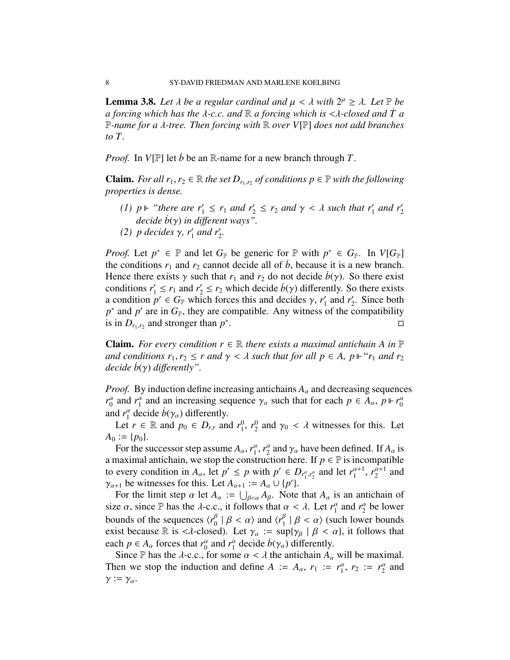<span id="page-7-0"></span>**Lemma 3.8.** Let  $\lambda$  be a regular cardinal and  $\mu < \lambda$  with  $2^{\mu} \geq \lambda$ . Let  $\mathbb{P}$  be a forcing which has the  $\lambda$ -c c and  $\mathbb{R}$  a forcing which is  $\lt \lambda$ -closed and  $\dot{T}$  a *a forcing which has the* λ*-c.c. and* <sup>R</sup> *a forcing which is* <λ*-closed and T a* ˙ <sup>P</sup>*-name for a* λ*-tree. Then forcing with* <sup>R</sup> *over V*[P] *does not add branches to T.*

*Proof.* In *V*[P] let *b*˙ be an R-name for a new branch through *T*.

**Claim.** *For all*  $r_1, r_2 \in \mathbb{R}$  *the set*  $D_{r_1,r_2}$  *of conditions*  $p \in \mathbb{P}$  *with the following properties is dense properties is dense.*

- *(1)*  $p \Vdash$  "there are  $r'_1 \leq r_1$  and  $r'_2 \leq r_2$  and  $\gamma < \lambda$  such that  $r'_1$  and  $r'_2$  decide  $\dot{b}(\alpha)$  in different ways" *decide b*(γ) *in different ways*".
- (2) *p* decides  $γ$ ,  $r'_1$  and  $r'_2$ .

*Proof.* Let  $p^* \in \mathbb{P}$  and let  $G_{\mathbb{P}}$  be generic for  $\mathbb{P}$  with  $p^* \in G_{\mathbb{P}}$ . In  $V[G_{\mathbb{P}}]$ the conditions  $r_1$  and  $r_2$  cannot decide all of  $b$ , because it is a new branch. Hence there exists  $\gamma$  such that  $r_1$  and  $r_2$  do not decide  $b(\gamma)$ . So there exist conditions  $r'_1 \le r_1$  and  $r'_2 \le r_2$  which decide  $\dot{b}(\gamma)$  differently. So there exists a condition  $n' \in G_{\gamma}$  which forces this and decides  $\gamma$  *r'* and *r'* Since both a condition  $p' \in G_{\mathbb{P}}$  which forces this and decides  $\gamma$ ,  $r'_1$ <br>  $p^*$  and  $p'$  are in  $G_{\mathbb{P}}$ , they are compatible. Any witness  $r'_1$  and  $r'_2$  $\frac{1}{2}$ . Since both  $p^*$  and  $p'$  are in  $G_{\mathbb{P}}$ , they are compatible. Any witness of the compatibility is in  $D_{r_1,r_2}$  and stronger than  $p^*$ .

**Claim.** *For every condition*  $r \in \mathbb{R}$  *there exists a maximal antichain* A *in*  $\mathbb{P}$ *and conditions*  $r_1, r_2 \leq r$  *and*  $\gamma < \lambda$  *such that for all*  $p \in A$ ,  $p \Vdash "r_1$  *and*  $r_2$ *decide b*(γ) *differently*".

*Proof.* By induction define increasing antichains  $A_\alpha$  and decreasing sequences  $r_0^{\alpha}$  and  $r_1^{\alpha}$  and an increasing sequence  $\gamma_{\alpha}$  such that for each  $p \in A_{\alpha}$ ,  $p \Vdash r_0^{\alpha}$ and  $r_1^{\alpha}$  decide  $b(\gamma_{\alpha})$  differently.

Let  $r \in \mathbb{R}$  and  $p_0 \in D_{r,r}$  and  $r_1^0$  $\frac{0}{1}$ ,  $r_2^0$  $\frac{0}{2}$  and  $\gamma_0 < \lambda$  witnesses for this. Let  $A_0 := \{p_0\}.$ 

For the successor step assume  $A_{\alpha}$ ,  $r_1^{\alpha}$ ,  $r_2^{\alpha}$  and  $\gamma_{\alpha}$  have been defined. If  $A_{\alpha}$  is negatively assumed antichain, we stop the construction here. If  $n \in \mathbb{P}$  is incompatible a maximal antichain, we stop the construction here. If  $p \in \mathbb{P}$  is incompatible to every condition in  $A_\alpha$ , let  $p' \leq p$  with  $p' \in D_{r_1^{\alpha}, r_2^{\alpha}}$  and let  $r_1^{\alpha+1}$ ,  $r_2^{\alpha+1}$  and  $\gamma_{\alpha+1}$  be witnesses for this. Let  $A_{\alpha+1} := A_{\alpha} \cup \{p'\}.$ <br>For the limit step  $\alpha$  let  $A = \square$  let  $A_{\alpha}$ . Note

For the limit step  $\alpha$  let  $A_{\alpha} := \bigcup_{\beta < \alpha} A_{\beta}$ . Note that  $A_{\alpha}$  is an antichain of size  $\alpha$ , since P has the  $\lambda$ -c.c., it follows that  $\alpha < \lambda$ . Let  $r_1^{\alpha}$  and  $r_2^{\alpha}$  be lower bounds of the sequences  $\langle r_0^{\beta} | \beta \langle \alpha \rangle$  and  $\langle r_1^{\beta} | \beta \langle \alpha \rangle$  (such lower bounds<br>exist because  $\mathbb R$  is  $\langle \lambda$ -closed). Let  $\gamma$   $\Rightarrow$  sup $\{ \gamma_0 | \beta \langle \alpha \rangle \}$  if follows that exist because R is < $\lambda$ -closed). Let  $\gamma_\alpha := \sup{\{\gamma_\beta \mid \beta < \alpha\}}$ , it follows that each  $p \in A_\alpha$  forces that  $r_0^\alpha$  and  $r_1^\alpha$  decide  $b(\gamma_\alpha)$  differently.<br>Since  $\mathbb P$  has the *d*-c c for some  $\alpha < \lambda$  the antichain A

Since P has the  $\lambda$ -c.c., for some  $\alpha < \lambda$  the antichain  $A_{\alpha}$  will be maximal. Then we stop the induction and define  $A := A_\alpha$ ,  $r_1 := r_1^\alpha$ ,  $r_2 := r_2^\alpha$  and  $\gamma := \gamma_{\alpha}$ .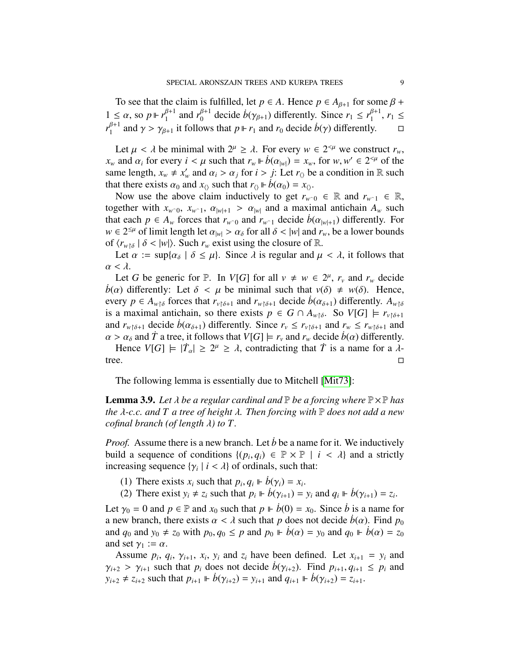To see that the claim is fulfilled, let  $p \in A$ . Hence  $p \in A_{\beta+1}$  for some  $\beta +$ 1 ≤ *α*, so *p*  $\Vdash r_1^{\beta+1}$  and  $r_0^{\beta+1}$  decide  $b(\gamma_{\beta+1})$  differently. Since  $r_1 \leq r_1^{\beta+1}$ ,  $r_1 \leq$ <br>  $r_1^{\beta+1}$  and  $s_1 > s_1$  is follows that  $n \Vdash n$  and *n* decide  $b(s)$  differently.  $r_1^{\beta+1}$  and  $\gamma > \gamma_{\beta+1}$  it follows that  $p \Vdash r_1$  and  $r_0$  decide  $\dot{b}(\gamma)$  differently.  $\Box$ 

Let  $\mu < \lambda$  be minimal with  $2^{\mu} \ge \lambda$ . For every  $w \in 2^{<\mu}$  we construct  $r_w$ ,<br>and  $\alpha$  for every  $i < \mu$  such that  $r \Vdash \dot{b}(\alpha) - r$  for  $w, w' \in 2^{<\mu}$  of the *x<sub><i>w*</sub> and  $\alpha_i$  for every  $i < \mu$  such that  $r_w \Vdash \dot{b}(\alpha_{|w|}) = x_w$ , for  $w, w' \in 2^{<\mu}$  of the same length  $x \neq x'$  and  $\alpha_i > \alpha_j$  for  $i > i$ . Let  $r_o$  be a condition in  $\mathbb{R}$  such same length,  $x_w \neq x'_w$  and  $\alpha_i > \alpha_j$  for  $i > j$ : Let  $r_\lozenge$  be a condition in R such that there exists  $\alpha_k$  and  $x_n$  such that  $r_w \Vdash \dot{b}(\alpha_k) = x_w$ that there exists  $\alpha_0$  and  $x_0$  such that  $r_0 \Vdash \dot{b}(\alpha_0) = x_0$ .

Now use the above claim inductively to get  $r_{w0} \in \mathbb{R}$  and  $r_{w0} \in \mathbb{R}$ , together with  $x_{w0}$ ,  $x_{w1}$ ,  $\alpha_{|w|+1} > \alpha_{|w|}$  and a maximal antichain  $A_w$  such that each  $p \in A_w$  forces that  $r_{w\text{=0}}$  and  $r_{w\text{=1}}$  decide  $b(\alpha_{|w|+1})$  differently. For  $w \in 2^{\leq \mu}$  of limit length let  $\alpha_{|w|} > \alpha_{\delta}$  for all  $\delta < |w|$  and  $r_w$ , be a lower bounds of  $\langle r_{\lambda}, \epsilon | \delta < |w| \rangle$ . Such  $r_{\lambda}$  exist using the closure of  $\mathbb{R}$ of  $\langle r_{w\delta} | \delta \langle |w| \rangle$ . Such  $r_w$  exist using the closure of R.

Let  $\alpha := \sup{\{\alpha_{\delta} \mid \delta \leq \mu\}}$ . Since  $\lambda$  is regular and  $\mu < \lambda$ , it follows that  $\alpha < \lambda$ .

Let *G* be generic for  $\mathbb{P}$ . In *V*[*G*] for all  $v \neq w \in 2^{\mu}$ ,  $r_v$  and  $r_w$  decide  $\dot{b}(\alpha)$  differently: Let  $\delta < \mu$  be minimal such that  $v(\delta) \neq w(\delta)$ . Hence, every  $p \in A_{w\delta}$  forces that  $r_{v\delta+1}$  and  $r_{w\delta+1}$  decide  $b(\alpha_{\delta+1})$  differently.  $A_{w\delta}$ is a maximal antichain, so there exists  $p \in G \cap A_{w \upharpoonright \delta}$ . So  $V[G] \models r_{v \upharpoonright \delta+1}$ and  $r_{w\delta+1}$  decide  $b(\alpha_{\delta+1})$  differently. Since  $r_v \leq r_{v\delta+1}$  and  $r_w \leq r_{w\delta+1}$  and  $\alpha > \alpha_{\delta}$  and *T* a tree, it follows that  $V[G] \models r_{\nu}$  and  $r_{\nu}$  decide  $\dot{b}(\alpha)$  differently.

Hence  $V[G] \models |\dot{T}_\alpha| \geq 2^\mu \geq \lambda$ , contradicting that  $\dot{T}$  is a name for a  $\lambda$ tree.  $\square$ 

The following lemma is essentially due to Mitchell [\[Mit73\]](#page-32-3):

<span id="page-8-0"></span>**Lemma 3.9.** Let  $\lambda$  be a regular cardinal and  $\mathbb P$  be a forcing where  $\mathbb P \times \mathbb P$  has *the* λ*-c.c. and T a tree of height* λ*. Then forcing with* <sup>P</sup> *does not add a new cofinal branch (of length* λ*) to T.*

*Proof.* Assume there is a new branch. Let *b* be a name for it. We inductively build a sequence of conditions  $\{(p_i, q_i) \in \mathbb{P} \times \mathbb{P} \mid i < \lambda\}$  and a strictly increasing sequence  $\{x_i \mid i < \lambda\}$  of ordinals such that: increasing sequence  $\{\gamma_i \mid i < \lambda\}$  of ordinals, such that:

(1) There exists  $x_i$  such that  $p_i, q_i \Vdash \dot{b}(\gamma_i) = x_i$ .<br>(2) There exist  $y_i \neq z$  such that  $p_i \Vdash \dot{b}(\gamma_{i+1}) =$ 

(2) There exist  $y_i \neq z_i$  such that  $p_i \Vdash \dot{b}(\gamma_{i+1}) = y_i$  and  $q_i \Vdash \dot{b}(\gamma_{i+1}) = z_i$ .

Let  $\gamma_0 = 0$  and  $p \in \mathbb{P}$  and  $x_0$  such that  $p \vDash \dot{b}(0) = x_0$ . Since  $\dot{b}$  is a name for a new branch, there exists  $\alpha < \lambda$  such that p does not decide  $b(\alpha)$ . Find  $p_0$ and  $q_0$  and  $y_0 \neq z_0$  with  $p_0, q_0 \leq p$  and  $p_0 \Vdash \dot{b}(\alpha) = y_0$  and  $q_0 \Vdash \dot{b}(\alpha) = z_0$ and set  $\gamma_1 := \alpha$ .

Assume  $p_i$ ,  $q_i$ ,  $\gamma_{i+1}$ ,  $x_i$ ,  $y_i$  and  $z_i$  have been defined. Let  $x_{i+1} = y_i$  and  $z_i > \gamma_i$ , such that *p*<sub>i</sub> does not decide  $h(\gamma_i, z_i)$ . Find  $p_i$ ,  $q_i$ ,  $\leq p_i$  and  $\gamma_{i+2} > \gamma_{i+1}$  such that  $p_i$  does not decide  $b(\gamma_{i+2})$ . Find  $p_{i+1}, q_{i+1} \leq p_i$  and  $y_{i+2} \neq z_{i+2}$  such that  $p_{i+1} \Vdash b(\gamma_{i+2}) = y_{i+1}$  and  $q_{i+1} \Vdash b(\gamma_{i+2}) = z_{i+1}$ .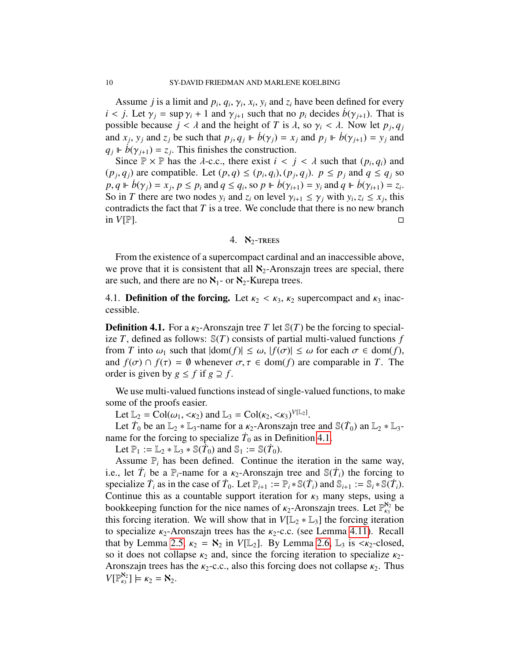Assume *j* is a limit and  $p_i$ ,  $q_i$ ,  $\gamma_i$ ,  $x_i$ ,  $y_i$  and  $z_i$  have been defined for every <br>*i* Let  $\gamma_i$  = sup  $\gamma_i + 1$  and  $\gamma_i$ , such that no *n*, decides  $h(\gamma_i)$ . That is  $i < j$ . Let  $\gamma_i = \sup \gamma_i + 1$  and  $\gamma_{i+1}$  such that no  $p_i$  decides  $b(\gamma_{i+1})$ . That is possible because  $j < \lambda$  and the height of *T* is  $\lambda$ , so  $\gamma_i < \lambda$ . Now let  $p_j, q_j$ <br>and  $x_i, y_j$  and  $z_j$  be such that  $p_i, q_j \Vdash \dot{p}(\alpha_i) = x_j$  and  $p_j \Vdash \dot{p}(\alpha_{i,j}) = y_j$  and and *x<sub>j</sub>*, *y<sub>j</sub>* and *z<sub>j</sub>* be such that  $p_j, q_j \Vdash \dot{b}(\gamma_j) = x_j$  and  $p_j \Vdash \dot{b}(\gamma_{j+1}) = y_j$  and  $q_j \Vdash \dot{b}(\gamma_{j+1}) = z_j$ . This finishes the construction  $q_j \Vdash \dot{b}(\gamma_{j+1}) = z_j$ . This finishes the construction.<br>Since  $\mathbb{P} \times \mathbb{P}$  has the *λ*-c c there exist  $i < j$ .

Since  $\mathbb{P} \times \mathbb{P}$  has the  $\lambda$ -c.c., there exist  $i < j < \lambda$  such that  $(p_i, q_i)$  and  $\lambda$ , *q*,  $\lambda$  are compatible. Let  $(p, q) \leq (p, q) \leq (p, q)$ ,  $p \leq p$ , and  $q \leq q$ , so  $(p_j, q_j)$  are compatible. Let  $(p, q) \le (p_i, q_i), (p_j, q_j)$ .  $p \le p_j$  and  $q \le q_j$  so  $p \in \mathbb{R}^d$  so  $p \in \mathbb{R}^d$  and  $q \in \mathbb{R}^d$  so  $p \in \mathbb{R}^d$  and  $q \in \mathbb{R}^d$  so  $p \in \mathbb{R}^d$ .  $p, q \Vdash \dot{b}(\gamma_j) = x_j, p \le p_i$  and  $q \le q_i$ , so  $p \Vdash \dot{b}(\gamma_{i+1}) = y_i$  and  $q \Vdash \dot{b}(\gamma_{i+1}) = z_i$ .<br>So in T there are two nodes y, and z, on level  $\gamma_i$ ,  $\le \gamma$ , with y,  $z_i \le r_i$ , this So in *T* there are two nodes  $y_i$  and  $z_i$  on level  $\gamma_{i+1} \leq \gamma_j$  with  $y_i, z_i \leq x_j$ , this contradicts the fact that *T* is a tree. We conclude that there is no new branch contradicts the fact that *T* is a tree. We conclude that there is no new branch in  $V[\mathbb{P}].$ 

## 4.  $\aleph_2$ -TREES

From the existence of a supercompact cardinal and an inaccessible above, we prove that it is consistent that all  $\aleph_2$ -Aronszajn trees are special, there are such, and there are no  $\aleph_1$ - or  $\aleph_2$ -Kurepa trees.

4.1. **Definition of the forcing.** Let  $\kappa_2 < \kappa_3$ ,  $\kappa_2$  supercompact and  $\kappa_3$  inaccessible.

<span id="page-9-0"></span>**Definition 4.1.** For a  $\kappa_2$ -Aronszajn tree *T* let  $\mathcal{S}(T)$  be the forcing to specialize  $T$ , defined as follows:  $\mathcal{S}(T)$  consists of partial multi-valued functions  $f$ from *T* into  $\omega_1$  such that  $|\text{dom}(f)| \leq \omega$ ,  $|f(\sigma)| \leq \omega$  for each  $\sigma \in \text{dom}(f)$ , and  $f(\sigma) \cap f(\tau) = \emptyset$  whenever  $\sigma, \tau \in \text{dom}(f)$  are comparable in *T*. The order is given by  $g \leq f$  if  $g \supseteq f$ .

We use multi-valued functions instead of single-valued functions, to make some of the proofs easier.

Let  $\mathbb{L}_2 = \text{Col}(\omega_1, \langle \kappa_2 \rangle)$  and  $\mathbb{L}_3 = \text{Col}(\kappa_2, \langle \kappa_3 \rangle^{V[\mathbb{L}_2]}$ .<br>Let  $\dot{T}_0$  be an  $\mathbb{L}_3 * \mathbb{L}_3$ -name for a  $\kappa_2$ -Aronszain tre

Let  $\dot{T}_0$  be an  $\mathbb{L}_2 * \mathbb{L}_3$ -name for a  $\kappa_2$ -Aronszajn tree and  $\mathbb{S}(\dot{T}_0)$  an  $\mathbb{L}_2 * \mathbb{L}_3$ -<br>me for the forcing to specialize  $\dot{T}_0$  as in Definition 4.1 name for the forcing to specialize  $\dot{T}_0$  as in Definition [4.1.](#page-9-0)

Let  $\mathbb{P}_1 := \mathbb{L}_2 * \mathbb{L}_3 * \mathbb{S}(\hat{T}_0)$  and  $\mathbb{S}_1 := \mathbb{S}(\hat{T}_0)$ .

Assume  $\mathbb{P}_i$  has been defined. Continue the iteration in the same way, i.e., let  $\dot{T}_i$  be a  $\mathbb{P}_i$ -name for a  $\kappa_2$ -Aronszajn tree and  $\mathbb{S}(\dot{T}_i)$  the forcing to specialize  $\dot{T}_i$  as in the case of  $\dot{T}_i$ . Let  $\mathbb{P}_{i+1} := \mathbb{P}_{i+1} \mathbb{S}(\dot{T}_i)$  and  $\mathbb{S}_{i+1} := \mathbb{S}_{i+1} \mathbb{S}(\dot$ specialize  $\dot{T}_i$  as in the case of  $\dot{T}_0$ . Let  $\mathbb{P}_{i+1} := \mathbb{P}_i * \mathbb{S}(\dot{T}_i)$  and  $\mathbb{S}_{i+1} := \mathbb{S}_i * \mathbb{S}(\dot{T}_i)$ . Continue this as a countable support iteration for  $\kappa_3$  many steps, using a bookkeeping function for the nice names of  $\kappa_2$ -Aronszajn trees. Let  $\mathbb{P}_{\kappa_3}^{\kappa_2}$  be this forcing iteration. We will show that in  $V[\mathbb{I}_\infty \ast \mathbb{I}_\infty]$  the forcing iteration this forcing iteration. We will show that in  $V[\mathbb{L}_2 * \mathbb{L}_3]$  the forcing iteration to specialize  $\kappa_2$ -Aronszajn trees has the  $\kappa_2$ -c.c. (see Lemma [4.11\)](#page-15-0). Recall that by Lemma [2.5,](#page-2-0)  $\kappa_2 = \aleph_2$  in  $V[\mathbb{L}_2]$ . By Lemma [2.6,](#page-2-1)  $\mathbb{L}_3$  is  $\langle \kappa_2$ -closed, so it does not collapse  $\kappa_2$  and, since the forcing iteration to specialize  $\kappa_2$ -Aronszajn trees has the  $\kappa_2$ -c.c., also this forcing does not collapse  $\kappa_2$ . Thus  $V[\mathbb{P}^{\aleph_2}_{\kappa_3}]$  $\mathcal{R}_{\kappa_3}^{\mathbf{X}_2}$ ]  $\models$   $\kappa_2 = \mathbf{X}_2$ .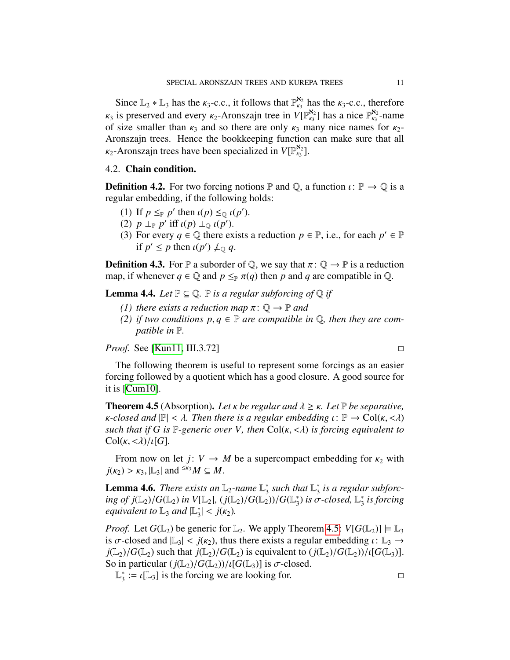Since  $\mathbb{L}_2 * \mathbb{L}_3$  has the  $\kappa_3$ -c.c., it follows that  $\mathbb{P}_{\kappa_3}^{\kappa_2}$  has the  $\kappa_3$ -c.c., therefore  $k_3$  is preserved and every  $k_2$ -Aronszajn tree in  $V[\mathbb{P}_{k_3}^{82}]$  has a nice  $\mathbb{P}_{k_3}^{82}$ -name<br>of size smaller than  $k_2$  and so there are only  $k_2$  many nice names for  $k_3$ of size smaller than  $\kappa_3$  and so there are only  $\kappa_3$  many nice names for  $\kappa_2$ -<br>Aronszain trees. Hence the bookkeeping function can make sure that all Aronszajn trees. Hence the bookkeeping function can make sure that all  $\kappa_2$ -Aronszajn trees have been specialized in  $V[\mathbb{P}^{\aleph_2}_{\kappa_3}]$  $\binom{8}{6}$ .

# 4.2. Chain condition.

**Definition 4.2.** For two forcing notions  $\mathbb P$  and  $\mathbb Q$ , a function  $\iota : \mathbb P \to \mathbb Q$  is a regular embedding, if the following holds:

- (1) If  $p \leq_{\mathbb{P}} p'$  then  $\iota(p) \leq_{\mathbb{Q}} \iota(p')$ .<br>(2)  $p \mid_{\mathbb{P}} p'$  iff  $\iota(p) \mid_{\mathbb{Q}} \iota(p')$ .
- (2)  $p \perp_{\mathbb{P}} p'$  iff  $\iota(p) \perp_{\mathbb{Q}} \iota(p')$ .<br>(3) For every  $q \in \mathbb{Q}$  there ex-
- (3) For every  $q \in \mathbb{Q}$  there exists a reduction  $p \in \mathbb{P}$ , i.e., for each  $p' \in \mathbb{P}$ if  $p' \leq p$  then  $\iota(p') \nperp_{\mathbb{Q}} q$ .

**Definition 4.3.** For P a suborder of Q, we say that  $\pi: \mathbb{Q} \to \mathbb{P}$  is a reduction map, if whenever  $q \in \mathbb{Q}$  and  $p \leq_{\mathbb{P}} \pi(q)$  then p and q are compatible in  $\mathbb{Q}$ .

**Lemma 4.4.** *Let*  $\mathbb{P} \subseteq \mathbb{Q}$ *.*  $\mathbb{P}$  *is a regular subforcing of*  $\mathbb{Q}$  *if* 

- *(1) there exists a reduction map*  $\pi: \mathbb{Q} \rightarrow \mathbb{P}$  *and*
- *(2) if two conditions*  $p, q ∈ ℝ$  *are compatible in*  $Q$ *, then they are compatible in* P*.*

*Proof.* See [\[Kun11,](#page-32-4) III.3.72] □

The following theorem is useful to represent some forcings as an easier forcing followed by a quotient which has a good closure. A good source for it is [\[Cum10\]](#page-31-3).

<span id="page-10-0"></span>**Theorem 4.5** (Absorption). Let *κ* be regular and  $\lambda \geq \kappa$ . Let P be separative, *κ*-closed and  $\mathbb{P}| < \lambda$ . Then there is a regular embedding  $\iota \colon \mathbb{P} \to \mathrm{Col}(\kappa, <\lambda)$ *such that if G is* <sup>P</sup>*-generic over V, then* Col(κ, <λ) *is forcing equivalent to*  $Col(\kappa, \langle \lambda \rangle / \iota[G])$ .

From now on let *j*:  $V \rightarrow M$  be a supercompact embedding for  $\kappa_2$  with  $j(\kappa_2) > \kappa_3$ ,  $|\mathbb{L}_3|$  and <sup> $\leq \kappa_3 M \subseteq M$ .</sup>

<span id="page-10-1"></span>**Lemma 4.6.** *There exists an*  $\mathbb{L}_2$ -name  $\mathbb{L}_3^*$  $\frac{1}{3}$  such that  $\mathbb{L}_3^*$ 3 *is a regular subforcing of j*(L<sub>2</sub>)/*G*(L<sub>2</sub>) *in V*[L<sub>2</sub>], (*j*(L<sub>2</sub>)/*G*(L<sub>2</sub>))/*G*(L<sub>3</sub><sup>\*</sup>)<br>equivalent to L<sub>2</sub> and  $|\mathbb{L}^*| < i(\kappa_2)$  $\binom{*}{3}$  is  $\sigma$ -closed,  $\mathbb{L}_3^*$ 3 *is forcing equivalent to*  $\mathbb{L}_3$  *and*  $|\mathbb{L}_3^*|$  $|\xi| < j(\kappa_2).$ 

*Proof.* Let  $G(\mathbb{L}_2)$  be generic for  $\mathbb{L}_2$ . We apply Theorem [4.5:](#page-10-0)  $V[G(\mathbb{L}_2)] \models \mathbb{L}_3$ is  $\sigma$ -closed and  $|\mathbb{L}_3| < j(\kappa_2)$ , thus there exists a regular embedding  $\iota : \mathbb{L}_3 \to$  $j(\mathbb{L}_2)/G(\mathbb{L}_2)$  such that  $j(\mathbb{L}_2)/G(\mathbb{L}_2)$  is equivalent to  $(j(\mathbb{L}_2)/G(\mathbb{L}_2))/\iota[G(\mathbb{L}_3)]$ . So in particular  $(j(\mathbb{L}_2)/G(\mathbb{L}_2))/\iota[G(\mathbb{L}_3)]$  is  $\sigma$ -closed.

L ∗  $\frac{1}{3}$  :=  $\iota$ [L<sub>3</sub>] is the forcing we are looking for.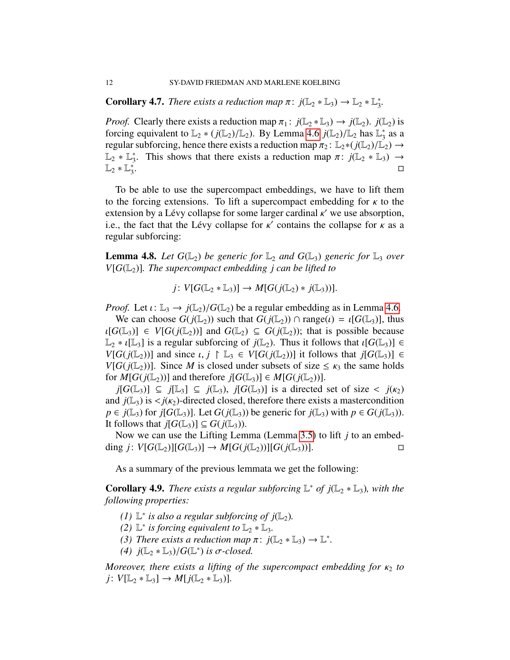**Corollary 4.7.** *There exists a reduction map*  $\pi$ :  $j(\mathbb{L}_2 * \mathbb{L}_3) \to \mathbb{L}_2 * \mathbb{L}_3^*$ 3 *.*

*Proof.* Clearly there exists a reduction map  $\pi_1$ :  $j(\mathbb{L}_2 * \mathbb{L}_3) \to j(\mathbb{L}_2)$ .  $j(\mathbb{L}_2)$  is forcing equivalent to  $\mathbb{L}_2 * (j(\mathbb{L}_2)/\mathbb{L}_2)$ . By Lemma [4.6](#page-10-1)  $j(\mathbb{L}_2)/\mathbb{L}_2$  has  $\mathbb{L}_3^*$ <br>regular subforcing hence there exists a reduction man  $\pi_2 : \mathbb{L}_2 * (j(\mathbb{L}_2)/\mathbb{L}_2)$  $3^*$  as a regular subforcing, hence there exists a reduction map  $\pi_2$ : L<sub>2</sub>∗( $j(\mathbb{L}_2)/\mathbb{L}_2$ ) →  $\mathbb{L}_2^**\mathbb{L}_3^*$ <sup>\*</sup><sub>3</sub>. This shows that there exists a reduction map  $\pi$ :  $j(\mathbb{L}_2 * \mathbb{L}_3) \rightarrow$  $\mathbb{L}_2 * \mathbb{L}_3^*$ 3 . The contract of the contract of the contract of  $\Box$ 

To be able to use the supercompact embeddings, we have to lift them to the forcing extensions. To lift a supercompact embedding for  $\kappa$  to the extension by a Lévy collapse for some larger cardinal  $\kappa'$  we use absorption,<br>i.e. the fact that the Lévy collapse for  $\kappa'$  contains the collapse for  $\kappa$  as a i.e., the fact that the Lévy collapse for  $\kappa'$  contains the collapse for  $\kappa$  as a regular subforcing: regular subforcing:

**Lemma 4.8.** Let  $G(\mathbb{L}_2)$  be generic for  $\mathbb{L}_2$  and  $G(\mathbb{L}_3)$  generic for  $\mathbb{L}_3$  over  $V[G(\mathbb{L}_2)]$ *. The supercompact embedding j can be lifted to* 

$$
j\colon V[G(\mathbb{L}_2 * \mathbb{L}_3)] \to M[G(j(\mathbb{L}_2) * j(\mathbb{L}_3))].
$$

*Proof.* Let  $\iota: \mathbb{L}_3 \to j(\mathbb{L}_2)/G(\mathbb{L}_2)$  be a regular embedding as in Lemma [4.6.](#page-10-1)

We can choose  $G(j(\mathbb{L}_2))$  such that  $G(j(\mathbb{L}_2)) \cap \text{range}(\iota) = \iota[G(\mathbb{L}_3)]$ , thus  $\iota[G(\mathbb{L}_3)] \in V[G(j(\mathbb{L}_2))]$  and  $G(\mathbb{L}_2) \subseteq G(j(\mathbb{L}_2))$ ; that is possible because  $\mathbb{L}_2 * \iota[\mathbb{L}_3]$  is a regular subforcing of  $j(\mathbb{L}_2)$ . Thus it follows that  $\iota[G(\mathbb{L}_3)] \in$ *V*[ $G(j(\mathbb{L}_2))$ ] and since  $\iota, j \upharpoonright \mathbb{L}_3 \in V[G(j(\mathbb{L}_2))]$  it follows that  $j[G(\mathbb{L}_3)] \in$ *V*[ $G(j(\mathbb{L}_2))$ ]. Since *M* is closed under subsets of size  $\leq \kappa_3$  the same holds for  $M[G(j(\mathbb{L}_2))]$  and therefore  $j[G(\mathbb{L}_3)] \in M[G(j(\mathbb{L}_2))]$ .

 $j[G(\mathbb{L}_3)] \subseteq j[\mathbb{L}_3] \subseteq j(\mathbb{L}_3)$ ,  $j[G(\mathbb{L}_3)]$  is a directed set of size <  $j(\kappa_2)$ and  $j(\mathbb{L}_3)$  is  $\langle j(\mathbf{k}_2)$ -directed closed, therefore there exists a mastercondition *p* ∈ *j*(L<sub>3</sub>) for *j*[*G*(L<sub>3</sub>)]. Let *G*(*j*(L<sub>3</sub>)) be generic for *j*(L<sub>3</sub>) with *p* ∈ *G*(*j*(L<sub>3</sub>)). It follows that  $j[G(\mathbb{L}_3)] \subseteq G(j(\mathbb{L}_3))$ .

Now we can use the Lifting Lemma (Lemma [3.5\)](#page-6-2) to lift *j* to an embedding  $j: V[G(\mathbb{L}_2)][G(\mathbb{L}_3)] \to M[G(j(\mathbb{L}_2))][G(j(\mathbb{L}_3))].$ 

As a summary of the previous lemmata we get the following:

<span id="page-11-0"></span>**Corollary 4.9.** *There exists a regular subforcing*  $\mathbb{L}^*$  *of*  $j(\mathbb{L}_2 * \mathbb{L}_3)$ *, with the following properties:*

- *(1)*  $\mathbb{L}^*$  *is also a regular subforcing of j* $(\mathbb{L}_2)$ *.*
- *(2)*  $\mathbb{L}^*$  *is forcing equivalent to*  $\mathbb{L}_2 * \mathbb{L}_3$ *.*
- (3) *There exists a reduction map*  $\pi$ :  $j(\mathbb{L}_2 * \mathbb{L}_3) \to \mathbb{L}^*$ .<br>(4)  $j(\mathbb{L}_2 * \mathbb{L}_3) / G(\mathbb{L}^*)$  is  $\sigma$ -closed
- *(4)*  $j(\mathbb{L}_2 * \mathbb{L}_3) / G(\mathbb{L}^*)$  *is* σ-*closed.*

*Moreover, there exists a lifting of the supercompact embedding for*  $κ<sub>2</sub>$  *to j*:  $V[\mathbb{L}_2 * \mathbb{L}_3] \to M[i(\mathbb{L}_2 * \mathbb{L}_3)].$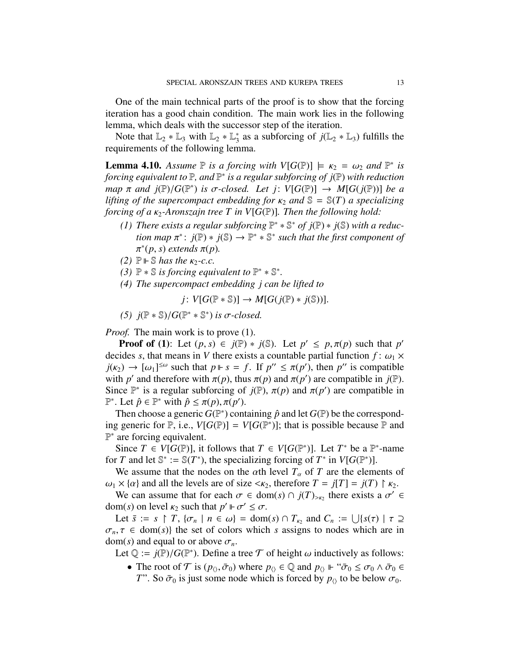One of the main technical parts of the proof is to show that the forcing iteration has a good chain condition. The main work lies in the following lemma, which deals with the successor step of the iteration.

Note that  $\mathbb{L}_2 * \mathbb{L}_3$  with  $\mathbb{L}_2 * \mathbb{L}_3^*$ <sup>\*</sup>/<sub>3</sub> as a subforcing of  $j(\mathbb{L}_2 * \mathbb{L}_3)$  fulfills the requirements of the following lemma.

<span id="page-12-0"></span>**Lemma 4.10.** *Assume*  $\mathbb P$  *is a forcing with*  $V[G(\mathbb P)] \models \kappa_2 = \omega_2$  *and*  $\mathbb P^*$  *is forcing equivalent to*  $\mathbb P$  *and*  $\mathbb P^*$  *is a regular subforcing of i* $(\mathbb P)$  *with reduction forcing equivalent to* P*, and* P ∗ *is a regular subforcing of j*(P) *with reduction map*  $\pi$  *and j*( $\mathbb{P}/G(\mathbb{P}^*)$  *is σ*-closed. Let *j*: *V*[*G*( $\mathbb{P}$ )] → *M*[*G*(*j*( $\mathbb{P}$ ))] *be a lifting of the supercompact embedding for*  $\kappa_2$  *and*  $\mathbb{S} - \mathbb{S}(T)$  *a* specializing *lifting of the supercompact embedding for*  $\kappa_2$  *and*  $\mathbb{S} = \mathbb{S}(T)$  *a specializing forcing of a*  $\kappa_2$ -*Aronszajn tree T in V*[ $G(\mathbb{P})$ ]*. Then the following hold:* 

- *(1) There exists a regular subforcing*  $\mathbb{P}^* * \mathbb{S}^*$  *of j* $(\mathbb{P}) * j(\mathbb{S})$  *with a reduc-* $\phi$  *tion map*  $\pi^*$ :  $j(\mathbb{P}) \ast j(\mathbb{S}) \to \mathbb{P}^* \ast \mathbb{S}^*$  such that the first component of  $\pi^*(p, s)$  extends  $\pi(p)$ <sup>\*</sup>(*p*, *s*) *extends* π(*p*).
- $(2)$   $\mathbb{P} \vdash \mathbb{S}$  *has the*  $\kappa_2$ -c.c.<br>(3)  $\mathbb{P} * \mathbb{S}$  *is forcing equi*
- *(3)*  $\mathbb{P} * \mathbb{S}$  *is forcing equivalent to*  $\mathbb{P}^* * \mathbb{S}^*$ *.*
- *(4) The supercompact embedding j can be lifted to*

$$
j\colon V[G(\mathbb{P} * \mathbb{S})] \to M[G(j(\mathbb{P}) * j(\mathbb{S}))].
$$

(5)  $j(P * ℑ)/G(P * ℑ^*)$  *is*  $σ$ -*closed.* 

*Proof.* The main work is to prove (1).

**Proof of (1):** Let  $(p, s) \in j(\mathbb{P}) * j(\mathbb{S})$ . Let  $p' \leq p, \pi(p)$  such that  $p'$  ides *s* that means in *V* there exists a countable partial function  $f: \omega \times$ decides *s*, that means in *V* there exists a countable partial function  $f: \omega_1 \times$  $j(\kappa_2) \to [\omega_1]^{\leq \omega}$  such that  $p \Vdash s = f$ . If  $p'' \leq \pi(p')$ , then  $p''$  is compatible<br>with *n'* and therefore with  $\pi(p)$  thus  $\pi(p)$  and  $\pi(p')$  are compatible in  $j(\mathbb{P})$ with *p*' and therefore with  $\pi(p)$ , thus  $\pi(p)$  and  $\pi(p')$  are compatible in  $j(\mathbb{P})$ .<br>Since  $\mathbb{P}^*$  is a regular subforcing of  $j(\mathbb{P})$ ,  $\pi(p)$  and  $\pi(p')$  are compatible in Since  $\mathbb{P}^*$  is a regular subforcing of  $j(\mathbb{P})$ ,  $\pi(p)$  and  $\pi(p')$  are compatible in  $\mathbb{P}^*$ . Let  $\hat{n} \in \mathbb{P}^*$  with  $\hat{n} \leq \pi(n)$ ,  $\pi(n')$ <sup>*P*\*</sup>. Let  $\hat{p}$  ∈ <sup>*P*\*</sup> with  $\hat{p}$  ≤ π(*p*), π(*p'*).<br>Then choose a generic *G*(<sup>*P*\*) cont</sup>

Then choose a generic  $G(\mathbb{P}^*)$  containing  $\hat{p}$  and let  $G(\mathbb{P})$  be the corresponding generic for  $\mathbb{P}$ , i.e.,  $V[G(\mathbb{P})] = V[G(\mathbb{P}^*)]$ ; that is possible because  $\mathbb{P}$  and P<sup>∗</sup> are forcing equivalent.

Since  $T \in V[G(\mathbb{P})]$ , it follows that  $T \in V[G(\mathbb{P}^*)]$ . Let  $T^*$  be a  $\mathbb{P}^*$ -name for *T* and let  $\mathbb{S}^* := \mathbb{S}(T^*)$ , the specializing forcing of  $T^*$  in  $V[G(\mathbb{P}^*)]$ .

We assume that the nodes on the  $\alpha$ th level  $T_{\alpha}$  of *T* are the elements of  $\omega_1 \times \{\alpha\}$  and all the levels are of size  $\langle \kappa_2 \rangle$ , therefore  $T = j(T) = j(T) \upharpoonright \kappa_2$ .

We can assume that for each  $\sigma \in \text{dom}(s) \cap j(T)_{\geq \kappa_2}$  there exists a  $\sigma' \in \text{dom}(s)$  on level  $\kappa_2$  such that  $n' \models \sigma' \leq \sigma$ dom(*s*) on level  $\kappa_2$  such that  $p' \Vdash \sigma' \leq \sigma$ .<br>
Let  $\bar{s} := s \upharpoonright T$   $\{\sigma_1 \mid n \in \omega\} =$  dom

Let  $\bar{s} := s \restriction T$ ,  $\{\sigma_n \mid n \in \omega\} = \text{dom}(s) \cap T_{\kappa_2}$  and  $C_n := \bigcup \{s(\tau) \mid \tau \supseteq \tau \in \text{dom}(s)\}\$  the set of colors which s assigns to nodes which are in  $\sigma_n$ ,  $\tau \in \text{dom}(s)$  the set of colors which *s* assigns to nodes which are in  $dom(s)$  and equal to or above  $\sigma_n$ .

Let  $\mathbb{Q} := j(\mathbb{P})/G(\mathbb{P}^*)$ . Define a tree  $\mathcal T$  of height  $\omega$  inductively as follows:

• The root of  $\mathcal T$  is  $(p_0, \bar{\sigma}_0)$  where  $p_0 \in \mathbb Q$  and  $p_0 \Vdash \tilde{\sigma}_0 \leq \sigma_0 \wedge \bar{\sigma}_0 \in$ *T*". So  $\bar{\sigma}_0$  is just some node which is forced by  $p_{\langle}$  to be below  $\sigma_0$ .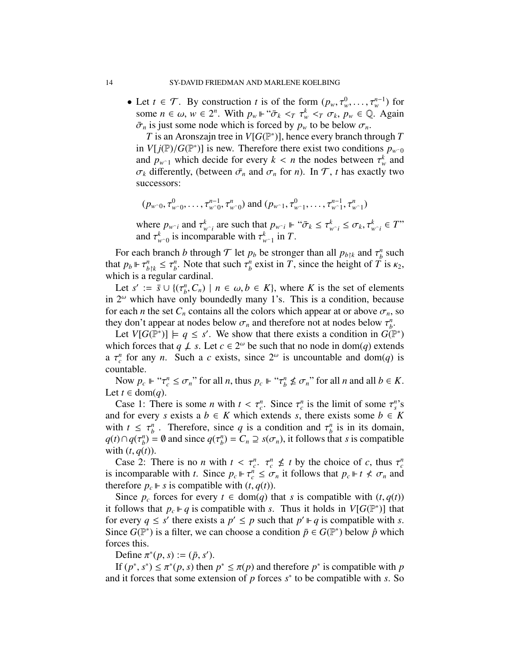• Let  $t \in \mathcal{T}$ . By construction *t* is of the form  $(p_w, \tau_w^0, \ldots, \tau_w^{n-1})$  for some  $n \in \omega, w \in 2^n$ . With  $n \Vdash ``\bar{\sigma}_v \leq \tau^k \leq \sigma, \sigma_v, n \in \mathbb{Q}$ . Again some  $n \in \omega$ ,  $w \in 2^n$ . With  $p_w \Vdash \tilde{\sigma}_k <_T \tau_w <_T \sigma_k$ ,  $p_w \in \mathbb{Q}$ . Again  $\bar{\sigma}$  is just some node which is forced by *n* to be below  $\sigma$  $\bar{\sigma}_n$  is just some node which is forced by  $p_w$  to be below  $\sigma_n$ .

*T* is an Aronszajn tree in  $V[G(\mathbb{P}^*)]$ , hence every branch through *T* in *V*[*j*( $\mathbb{P}$ )/*G*( $\mathbb{P}^*$ )] is new. Therefore there exist two conditions  $p_{w0}$ <br>and  $p_{\text{c}}$ , which decide for every  $k \leq n$  the nodes between  $\tau^k$  and and  $p_{w-1}$  which decide for every  $k < n$  the nodes between  $\tau_w^k$  and  $\tau_w$  differently (between  $\bar{\tau}$  and  $\sigma_v$  for *n*). In  $\tau$  these exactly two  $\sigma_k$  differently, (between  $\bar{\sigma}_n$  and  $\sigma_n$  for *n*). In T, *t* has exactly two successors:

$$
(p_{w\cap 0}, \tau_{w\cap 0}^0, \ldots, \tau_{w\cap 0}^{n-1}, \tau_{w\cap 0}^n)
$$
 and  $(p_{w\cap 1}, \tau_{w\cap 1}^0, \ldots, \tau_{w\cap 1}^{n-1}, \tau_{w\cap 1}^n)$ 

where  $p_{w-i}$  and  $\tau_{w-i}^k$  are such that  $p_{w-i} \Vdash ``\bar{\sigma}_k \leq \tau_{w-i}^k \leq \sigma_k, \tau_{w-i}^k \in T"$ <br>and  $\tau_k^k$  is incomparable with  $\tau_k^k$  in  $T$ and  $\tau_{w\cap 0}^k$  is incomparable with  $\tau_{w\cap 1}^k$  in *T*.

For each branch *b* through  $T$  let  $p_b$  be stronger than all  $p_{b\upharpoonright k}$  and  $\tau_b^n$ <br>*n*t  $p_b \vDash \tau^n \leq \tau^n$ . Note that such  $\tau^n$  exist in  $T$  since the height of  $T$  $\binom{n}{b}$  such that  $p_b \Vdash \tau^n_{b \upharpoonright k} \leq \tau^n_b$ <br>which is a regular *h*<sup>*n*</sup></sup>. Note that such  $\tau_b^n$  $b<sup>n</sup>$  exist in *T*, since the height of *T* is  $\kappa_2$ , which is a regular cardinal.

Let  $s' := \bar{s} \cup \{(\tau_b^n)\}$ <br>  $2^{\omega}$  which have on  $h_b^n$ ,  $C_n$ ) |  $n \in \omega, b \in K$ , where *K* is the set of elements nly boundedly many 1's. This is a condition because in  $2^{\omega}$  which have only boundedly many 1's. This is a condition, because for each *n* the set  $C_n$  contains all the colors which appear at or above  $\sigma_n$ , so they don't appear at nodes below  $\sigma_n$  and therefore not at nodes below  $\tau_b^n$ <br>*I* et *VIG*( $\mathbb{P}^*$ )]  $\vdash a \leq s'$ . We show that there exists a condition in *G*( *b* .

Let  $V[G(\mathbb{P}^*)] \models q \leq s'$ . We show that there exists a condition in  $G(\mathbb{P}^*)$ which forces that  $q \nperp s$ . Let  $c \in 2^{\omega}$  be such that no node in dom(*q*) extends a  $\tau_c^n$  for any *n*. Such a *c* exists, since  $2^{\omega}$  is uncountable and dom(*q*) is countable countable.

Now  $p_c \Vdash ``\tau_c^n \leq \sigma_n"$  for all *n*, thus  $p_c \Vdash ``\tau_b^n \nleq \sigma_n"$  for all *n* and all  $b \in K$ . Let *t* ∈ dom(*q*).

Case 1: There is some *n* with  $t < \tau_c^n$ . Since  $\tau_c^n$  is the limit of some  $\tau_s^n$ 's<br>d for every *s* exists a  $b \in K$  which extends *s* there exists some  $b \in K$ and for every *s* exists a  $b \in K$  which extends *s*, there exists some  $b \in K$ with  $t \leq \tau_b^n$ <br> $a(t) \cap a(\tau^n)$ *h*  $\sigma_b^n$ . Therefore, since *q* is a condition and  $\tau_b^n$   $\sigma = \emptyset$  and since  $g(\tau^n) = C \supseteq g(\tau)$  if follows the  $\binom{n}{b}$  is in its domain,  $q(t) \cap q(\tau_b^n)$ <br>with (*t*\_a(  $\binom{n}{b}$  = Ø and since  $q(\tau^n_b)$  $b^{\binom{n}{b}} = C_n \supseteq s(\sigma_n)$ , it follows that *s* is compatible with  $(t, q(t))$ .

Case 2: There is no *n* with  $t < \tau_c^n$ ,  $\tau_c^n \nleq t$  by the choice of *c*, thus  $\tau_c^n$ <br>incomparable with  $t$ . Since  $n \vDash \tau^n \leq \sigma$ , it follows that  $n \vDash t \nleq \sigma$ , and is incomparable with *t*. Since  $p_c \Vdash \tau_c^n \leq \sigma_n$  it follows that  $p_c \Vdash t \nless \sigma_n$  and therefore  $n \Vdash s$  is compatible with  $(t, a(t))$ therefore  $p_c \Vdash s$  is compatible with  $(t, q(t))$ .

Since  $p_c$  forces for every  $t \in \text{dom}(q)$  that *s* is compatible with  $(t, q(t))$ it follows that  $p_c \Vdash q$  is compatible with *s*. Thus it holds in  $V[G(\mathbb{P}^*)]$  that for every  $q \leq s'$  there exists a  $p' \leq p$  such that  $p' \Vdash q$  is compatible with *s*. Since  $G(\mathbb{P}^*)$  is a filter, we can choose a condition  $\bar{p} \in G(\mathbb{P}^*)$  below  $\hat{p}$  which forces this.

Define  $\pi^*(p, s) := (\bar{p}, s')$ .<br>If  $(p^*, s^*) < \pi^*(p, s)$  then

If  $(p^*, s^*) \leq \pi^*(p, s)$  then  $p^* \leq \pi(p)$  and therefore  $p^*$  is compatible with *p*<br>d it forces that some extension of *p* forces  $s^*$  to be compatible with *s*. So and it forces that some extension of  $p$  forces  $s^*$  to be compatible with  $s$ . So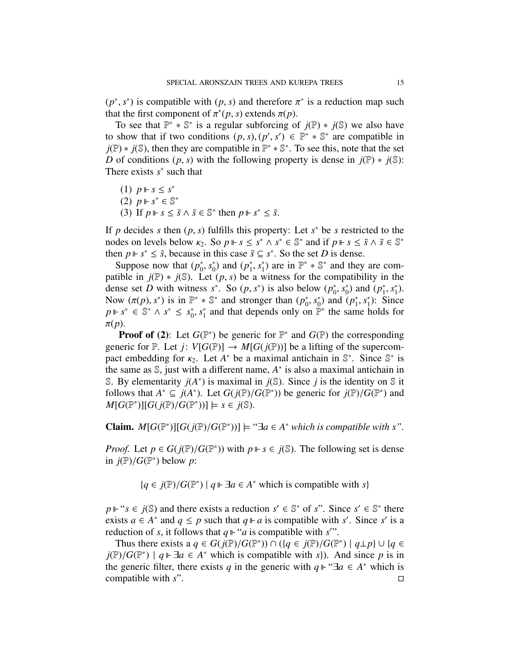$(p^*, s^*)$  is compatible with  $(p, s)$  and therefore  $\pi^*$  is a reduction map such that the first component of  $\pi^*(p, s)$  extends  $\pi(p)$ that the first component of  $\pi^*(p, s)$  extends  $\pi(p)$ .<br>To see that  $\mathbb{P}^* * \mathbb{S}^*$  is a regular subforcing of

To see that  $\mathbb{P}^* * \mathbb{S}^*$  is a regular subforcing of  $j(\mathbb{P}) * j(\mathbb{S})$  we also have to show that if two conditions  $(p, s), (p', s') \in \mathbb{P}^* * \mathbb{S}^*$  are compatible in  $i(\mathbb{P}) * i(\mathbb{S})$  then they are compatible in  $\mathbb{P}^* * \mathbb{S}^*$ . To see this, note that the set  $j(\mathbb{P}) * j(\mathbb{S})$ , then they are compatible in  $\mathbb{P}^* * \mathbb{S}^*$ . To see this, note that the set *D* of conditions  $(p, s)$  with the following property is dense in  $j(\mathbb{P}) \ast j(\mathbb{S})$ : There exists  $s^*$  such that

(1)  $p \Vdash s ≤ s^*$ (2)  $p \Vdash s^* \in \mathbb{S}^*$ (3) If  $p \Vdash s \leq \overline{s} \land \overline{s} \in \mathbb{S}^*$  then  $p \Vdash s^* \leq \overline{s}$ .

If *p* decides *s* then  $(p, s)$  fulfills this property: Let *s*<sup>\*</sup> be *s* restricted to the nodes on levels below  $\kappa_2$ . So  $n \Vdash s \leq s^* \wedge s^* \in \mathbb{S}^*$  and if  $n \Vdash s \leq \overline{s} \wedge \overline{s} \in \mathbb{S}^*$ . nodes on levels below  $\kappa_2$ . So  $p \Vdash s \leq s^* \wedge s^* \in \mathbb{S}^*$  and if  $p \Vdash s \leq \bar{s} \wedge \bar{s} \in \mathbb{S}^*$ <br>then  $n \Vdash s^* \leq \bar{s}$  because in this case  $\bar{s} \subset s^*$ . So the set *D* is dense then  $p \Vdash s^* \leq \overline{s}$ , because in this case  $\overline{s} \subseteq s^*$ . So the set *D* is dense.

Suppose now that  $(p_0^*$ \*, s\*<br>Fet  $_{0}^{*}$ ) and  $(p_{1}^{*})$  $\int_1^*$ ,  $s_1^*$ <br>∂ ⊎  $_{1}^{*}$ ) are in  $\mathbb{P}^{*} \ast \mathbb{S}^{*}$  and they are compatible in  $j(\mathbb{P}) * j(\mathbb{S})$ . Let  $(p, s)$  be a witness for the compatibility in the dense set *D* with witness  $s^*$ . So  $(p, s^*)$  is also below  $(p_0^*)$ <br>Now  $(\pi(n), s^*)$  is in  $\mathbb{P}^* * \mathbb{S}^*$  and stronger than  $(n^*, s^*)$  and \*, s<sup>\*</sup><sub>0</sub><br>nd (  $(p_1^*)$  and  $(p_1^*)$ \*, *s*<sup>\*</sup><br>Sinc  $_{1}^{*}$ ). Now  $(\pi(p), s^*)$  is in  $\mathbb{P}^* * \mathbb{S}^*$  and stronger than  $(p_0^*)$ <br> $p \Vdash s^* \in \mathbb{S}^* \wedge s^* < s^*$  and that depends only only 0 , *s* ∗  $_{0}^{*}$ ) and  $(p_{1}^{*})$  $\sum_{n=1}^{*} s_1^*$  $j$ : Since *p* ⊩ *s*<sup>\*</sup> ∈  $\mathbb{S}^*$  ∧ *s*<sup>\*</sup> ≤ *s*<sub>0</sub><sup>\*</sup>  $_{0}^{\ast}$ ,  $s_{1}^{\ast}$  $\frac{1}{1}$  and that depends only on  $\mathbb{P}^*$  the same holds for  $\pi(p)$ .

**Proof of (2):** Let  $G(\mathbb{P}^*)$  be generic for  $\mathbb{P}^*$  and  $G(\mathbb{P})$  the corresponding generic for  $\mathbb P$ . Let *j*:  $V[G(\mathbb P)] \to M[G(j(\mathbb P))]$  be a lifting of the supercompact embedding for  $\kappa_2$ . Let  $A^*$  be a maximal antichain in  $\mathbb{S}^*$ . Since  $\mathbb{S}^*$  is the same as  $\mathbb{S}$  just with a different name  $A^*$  is also a maximal antichain in the same as  $\mathbb{S}$ , just with a different name,  $A^*$  is also a maximal antichain in S. By elementarity  $j(A^*)$  is maximal in  $j(\mathbb{S})$ . Since  $j$  is the identity on  $\mathbb S$  it follows that  $A^* \subseteq j(A^*)$ . Let  $G(j(\mathbb{P})/G(\mathbb{P}^*))$  be generic for  $j(\mathbb{P})/G(\mathbb{P}^*)$  and  $M[G(\mathbb{P}^*)\cup G(\mathbb{P}^*)\cup G(\mathbb{P}^*))$  =  $s \in j(\mathbb{S})$  $M[G(\mathbb{P}^*)][G(j(\mathbb{P})/G(\mathbb{P}^*))] \models s \in j(\mathbb{S}).$ 

**Claim.**  $M[G(\mathbb{P}^*)][G(j(\mathbb{P})/G(\mathbb{P}^*))]$   $\models$  "∃*a* ∈ *A*<sup>\*</sup> *which is compatible with s*".

*Proof.* Let  $p \in G(j(\mathbb{P})/G(\mathbb{P}^*))$  with  $p \Vdash s \in j(\mathbb{S})$ . The following set is dense in  $i(\mathbb{P})/G(\mathbb{P}^*)$  below *n*. in  $j(\mathbb{P})/G(\mathbb{P}^*)$  below *p*:

{ $q \in j(\mathbb{P})/G(\mathbb{P}^*) | q \Vdash \exists a \in A^*$  which is compatible with *s*}

 $p \Vdash ``s \in j(\mathbb{S})$  and there exists a reduction  $s' \in \mathbb{S}^*$  of *s*". Since  $s' \in \mathbb{S}^*$  there exists  $a \in A^*$  and  $q \leq p$  such that  $q \Vdash a$  is compatible with *s'*. Since *s'* is a reduction of *s*, it follows that  $q \Vdash "a$  is compatible with *s*".

Thus there exists a  $q \in G(j(\mathbb{P})/G(\mathbb{P}^*)) \cap (\{q \in j(\mathbb{P})/G(\mathbb{P}^*) \mid q \perp p\} \cup \{q \in \mathbb{P}/G(\mathbb{P}^*) \mid a \Vdash \exists q \in A^*$  which is compatible with s) And since *n* is in  $j(\mathbb{P})/G(\mathbb{P}^*)$  |  $q \Vdash \exists a \in A^*$  which is compatible with *s*}). And since *p* is in the generic filter there exists *a* in the generic with  $a \Vdash ``\exists a \in A^*$  which is the generic filter, there exists *q* in the generic with  $q \Vdash \text{``} \exists a \in A^*$  which is compatible with *s*".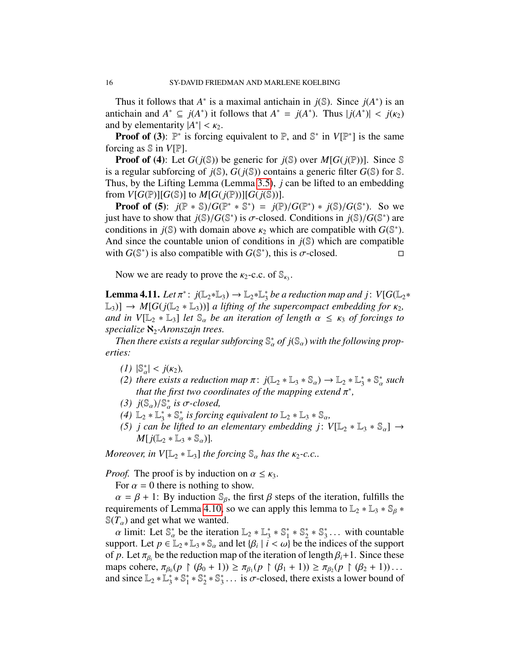Thus it follows that  $A^*$  is a maximal antichain in  $j(\mathbb{S})$ . Since  $j(A^*)$  is an antichain and  $A^* \subseteq j(A^*)$  it follows that  $A^* = j(A^*)$ . Thus  $|j(A^*)| < j(\kappa_2)$ <br>and by elementarity  $|A^*| < \kappa_2$ and by elementarity  $|A^*| < \kappa_2$ .<br>**Proof of (3)**  $\mathbb{P}^*$  is forcing

**Proof of (3):**  $\mathbb{P}^*$  is forcing equivalent to  $\mathbb{P}$ , and  $\mathbb{S}^*$  in  $V[\mathbb{P}^*]$  is the same forcing as S in *V*[P].

**Proof of (4):** Let  $G(j(\mathbb{S}))$  be generic for  $j(\mathbb{S})$  over  $M[G(j(\mathbb{P}))]$ . Since  $\mathbb{S}$ is a regular subforcing of  $j(\mathbb{S})$ ,  $G(j(\mathbb{S}))$  contains a generic filter  $G(\mathbb{S})$  for  $\mathbb{S}$ . Thus, by the Lifting Lemma (Lemma [3.5\)](#page-6-2), *j* can be lifted to an embedding from  $V[G(\mathbb{P})][G(\mathbb{S})]$  to  $M[G(j(\mathbb{P}))][G(j(\mathbb{S}))]$ .

**Proof of (5):**  $j(\mathbb{P} * \mathbb{S})/G(\mathbb{P}^* * \mathbb{S}^*) = j(\mathbb{P})/G(\mathbb{P}^*) * j(\mathbb{S})/G(\mathbb{S}^*)$ . So we just have to show that  $j(\mathbb{S})/G(\mathbb{S}^*)$  is  $\sigma$ -closed. Conditions in  $j(\mathbb{S})/G(\mathbb{S}^*)$  are conditions in  $j(\mathbb{S})$  with domain above  $\kappa_2$  which are connatible with  $G(\mathbb{S}^*)$ conditions in *j*(\\\in ) with domain above  $\kappa_2$  which are compatible with *G*(\\\in \*).<br>And since the countable union of conditions in *i*(\\\in ) which are compatible And since the countable union of conditions in  $j(\mathbb{S})$  which are compatible with  $G(\mathbb{S}^*)$  is also compatible with  $G(\mathbb{S}^*)$ , this is  $\sigma$ -closed.

Now we are ready to prove the  $\kappa_2$ -c.c. of  $\mathbb{S}_{\kappa_3}$ .

<span id="page-15-0"></span>Lemma 4.11. *Let* π ∗ : *j*(L2∗L3) → L2∗L ∗  $_3^*$  be a reduction map and j:  $V[G(\mathbb{L}_2*)]$  $\mathbb{L}_3$ ]  $\rightarrow$  *M*[ $G(j(\mathbb{L}_2 * \mathbb{L}_3))$ ] *a lifting of the supercompact embedding for*  $\kappa_2$ *, and in*  $V[\mathbb{L}_2 * \mathbb{L}_3]$  *let*  $\mathbb{S}_{\alpha}$  *be an iteration of length*  $\alpha \leq \kappa_3$  *of forcings to specialize* ℵ2*-Aronszajn trees.*

*Then there exists a regular subforcing*  $\mathbb{S}_{\alpha}^{*}$  *of j*( $\mathbb{S}_{\alpha}$ ) *with the following properties:*

- *(1)*  $|\mathbb{S}_{\alpha}^{*}| < j(\kappa_2)$ ,<br>*(2)* there exists
- (2) there exists a reduction map  $\pi$ :  $j(\mathbb{L}_2 * \mathbb{L}_3 * \mathbb{S}_\alpha) \to \mathbb{L}_2 * \mathbb{L}_3^*$ <br>that the first two coordinates of the manning extend  $\pi^*$  $\frac{1}{3} * \mathbb{S}_{\alpha}^*$  such *that the first two coordinates of the mapping extend*  $\pi^*$ ,  $i(\mathbb{S})/\mathbb{S}^*$  is  $\pi$ -closed
- (3)  $j(\mathbb{S}_\alpha)/\mathbb{S}_\alpha^*$  *is* σ-closed,<br>(4)  $\mathbb{I}_\alpha * \mathbb{I}^* * \mathbb{S}^*$  *is forcine*
- $(4) \mathbb{L}_2 * \mathbb{L}_3^* *$  $\frac{1}{3}$   $*$   $\mathbb{S}_{\alpha}$  *is forcing equivalent to*  $\mathbb{L}_{2}$   $*$   $\mathbb{L}_{3}$   $*$   $\mathbb{S}_{\alpha}$ ,<br> *he lifted to an elementary embedding is*
- (5) *j* can be lifted to an elementary embedding *j*:  $V[\mathbb{L}_2 * \mathbb{L}_3 * \mathbb{S}_\alpha] \rightarrow$ <br> $M[\mathcal{A}^{\dagger}] \rightarrow \mathbb{I}$  $M[j(\mathbb{L}_2 * \mathbb{L}_3 * \mathbb{S}_\alpha)].$

*Moreover, in*  $V[\mathbb{L}_2 * \mathbb{L}_3]$  *the forcing*  $\mathbb{S}_{\alpha}$  *has the*  $\kappa_2$ -*c.c..* 

*Proof.* The proof is by induction on  $\alpha \leq \kappa_3$ .

For  $\alpha = 0$  there is nothing to show.

 $\alpha = \beta + 1$ : By induction  $\mathcal{S}_{\beta}$ , the first  $\beta$  steps of the iteration, fulfills the requirements of Lemma [4.10,](#page-12-0) so we can apply this lemma to  $\mathbb{L}_2 * \mathbb{L}_3 * \mathbb{S}_6 *$  $\mathcal{S}(T_\alpha)$  and get what we wanted.

 $\alpha$  limit: Let  $\mathbb{S}_{\alpha}^{*}$  be the iteration  $\mathbb{L}_{2} * \mathbb{L}_{3}^{*}$ <br>nport Let  $n \in \mathbb{L}_{2} * \mathbb{L}_{3} * \mathbb{S}_{3}$  and let  $\{R_{i}\}\$  $3^* \times S_1^*$  $_{1}^{*}$   $*$   $\mathbb{S}_{2}^{*}$  $2^* \times S_3^*$  $\frac{3}{3}$ ... with countable<br>adices of the support support. Let  $p \in L_2 * L_3 * S_\alpha$  and let  $\{\beta_i \mid i < \omega\}$  be the indices of the support of *n* Let  $\pi_\alpha$  be the reduction man of the iteration of length  $\beta + 1$ . Since these of *p*. Let  $\pi_{\beta_i}$  be the reduction map of the iteration of length  $\beta_i + 1$ . Since these maps cohere,  $\pi_{\beta_0}(p \restriction (\beta_0 + 1)) \ge \pi_{\beta_1}(p \restriction (\beta_1 + 1)) \ge \pi_{\beta_2}(p \restriction (\beta_2 + 1)) \dots$ <br>and since  $\mathbb{L}_{\beta} * \mathbb{L}^* * \mathbb{S}^* * \mathbb{S}^*$  is  $\sigma$ -closed, there exists a lower bound of and since  $\mathbb{L}_2 * \mathbb{L}_3^*$  $x_3^* * S_1^*$  $^{*}_{1} * \mathbb{S}^{*}_{2}$  $2^*$   $\mathbb{S}_3^*$  $\frac{1}{3}$ ... is  $\sigma$ -closed, there exists a lower bound of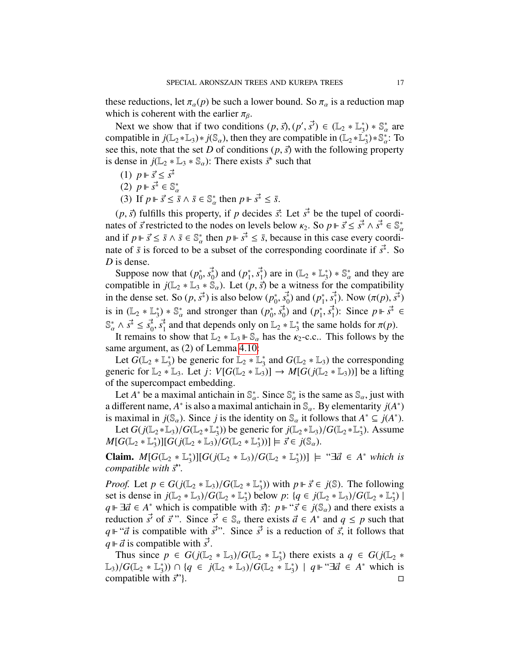these reductions, let  $\pi_{\alpha}(p)$  be such a lower bound. So  $\pi_{\alpha}$  is a reduction map which is coherent with the earlier  $\pi_{\beta}$ .

Next we show that if two conditions  $(p, \vec{s})$ ,  $(p', \vec{s}') \in (\mathbb{L}_2 * \mathbb{L}_3^*)$ <br>moatible in  $i(\mathbb{L}_2 * \mathbb{L}_3) * i(\mathbb{S})$  then they are compatible in  $(\mathbb{L}_2 * \mathbb{L}_3)$  $(\frac{1}{3}) * \mathbb{S}_{\alpha}^*$  are compatible in  $j(\mathbb{L}_2 * \mathbb{L}_3) * j(\mathbb{S}_\alpha)$ , then they are compatible in  $(\mathbb{L}_2 * \mathbb{L}_3^*) * \mathbb{S}_\alpha^*$  $^{*}_{3})$ \* S<sup>\*</sup><sub>α</sub>: To see this, note that the set *D* of conditions  $(p, \vec{s})$  with the following property<br>is dense in  $i(\mathbb{I} \circ * \mathbb{I} \circ * \mathbb{S})$ . There exists  $\vec{\tau}$  such that is dense in  $j(\mathbb{L}_2 * \mathbb{L}_3 * \mathbb{S}_\alpha)$ : There exists  $\vec{s}^*$  such that

- (1)  $p$  ⊩  $\vec{s}$  <  $s^*$
- (2) *<sup>p</sup> <sup>s</sup>*~<sup>∗</sup> <sup>∈</sup> <sup>S</sup> ∗
- (3) If  $p \Vdash \vec{s} \leq \vec{s} \land \vec{s} \in \mathbb{S}_{\alpha}^{*}$  then  $p \Vdash \vec{s}^{*} \leq \vec{s}$ .

 $(p, \vec{s})$  fulfills this property, if *p* decides  $\vec{s}$ : Let  $\vec{s}^*$  be the tupel of coordi-<br>tes of  $\vec{s}$  restricted to the nodes on levels below  $\kappa_2$ . So  $p \Vdash \vec{s} \leq \vec{s}^* \wedge \vec{s} \in \mathbb{S}^*$ . nates of *s* restricted to the nodes on levels below  $\kappa_2$ . So  $p \Vdash \vec{s} \leq \vec{s}^* \wedge \vec{s}^* \in \mathbb{S}^*$ <br>and if  $p \Vdash \vec{s} \leq \vec{s} \wedge \vec{s} \in \mathbb{S}^*$  then  $p \Vdash \vec{s}^* \leq \vec{s}$  because in this case every coordiand if  $p \Vdash \vec{s} \leq \vec{s} \land \vec{s} \in \mathbb{S}_{\alpha}^{*}$  then  $p \Vdash \vec{s}^{*} \leq \vec{s}$ , because in this case every coordi-<br>nate of  $\vec{s}$  is forced to be a subset of the corresponding coordinate if  $\vec{s}^{*}$ . So nate of  $\bar{s}$  is forced to be a subset of the corresponding coordinate if  $\vec{s}^*$ . So  $D$  is danse. *D* is dense.

Suppose now that  $(p_0^*)$  $(n_0^*, s_0^*)$  and  $(p_1^*$ <br>\* S l I et G <sup>\*</sup><sub>1</sub>,  $s_1^*$ ) are in  $(\mathbb{L}_2 * \mathbb{L}_3^*)$ <br>∴  $\overrightarrow{r}$  be a witness for  $_{3}^{*}$ ) \*  $\mathbb{S}_{a}^{*}$ α and they are compatible in  $j(\mathbb{L}_2 * \mathbb{L}_3 * \mathbb{S}_\alpha)$ . Let  $(p, \vec{s})$  be a witness for the compatibility<br>in the dance set So  $(p, \vec{s})$  is also below  $(p^*, \vec{s}^*)$  and  $(p^*, \vec{s}^*)$ . Now  $(\pi(p), \vec{s}^*)$ in the dense set. So  $(p, \vec{s^*})$  is also below  $(p_0^*$  $\binom{3}{0}$ ,  $s_0^*$ ) and  $\binom{p_1^*}{s_1^*}$ <sup>\*</sup><sub>1</sub>, *s*<sup>\*</sup><sub>1</sub>). Now  $(\pi(p), s^* )$ is in  $(\mathbb{L}_2 * \mathbb{L}_3^*)$  $(\phi_0^*)^* \$  and stronger than  $(\phi_0^*)$  $\mathbb{S}_{\alpha}^{*} \wedge \overrightarrow{s} \leq \overrightarrow{s_{0}}, \overrightarrow{s_{1}}$  and that depends only on  $\mathbb{L}_{2} * \mathbb{L}_{3}^{*}$ <br>It remains to show that  $\mathbb{L}_{2} * \mathbb{L}_{3} \mapsto \mathbb{L}_{3}$  has the  $\kappa$  $\binom{*}{0}$ ,  $s_0^*$ ) and (*p*<sup>\*</sup><sub>1</sub>) and (*p*<sup>\*</sup><sub>1</sub>) and (*p*<sup>\*</sup><sub>1</sub>) and (*p*<sup>\*</sup><sub>1</sub>) and (*p*<sup>\*</sup><sub>1</sub>) and (*p*<sup>\*</sup><sub>1</sub>) and (*p*<sup>\*</sup><sub>1</sub>) and (*p*<sup>\*</sup><sub>1</sub>) and (*p*<sup>\*</sup><sub>1</sub>) and (*p*<sup>\*</sup><sub>1</sub>) and (*p*<sup>\*</sup><sub>1</sub>) and (*p*<sup>\*</sup><sub>1</sub>) and (*p*  $\frac{1}{1}$ ,  $\vec{s}_1^*$ ): Since  $p \Vdash \vec{s}^* \in$ <sup>\*</sup><sub>3</sub> the same holds for  $\pi(p)$ .

It remains to show that  $\mathbb{L}_2 * \mathbb{L}_3 \Vdash \mathbb{S}_\alpha$  has the  $\kappa_2$ -c.c.. This follows by the same argument, as (2) of Lemma [4.10:](#page-12-0)

Let  $\widetilde{G}(\mathbb{L}_2 * \mathbb{L}_3^*)$  $_3^*$ ) be generic for  $\mathbb{L}_2 * \mathbb{L}_3^*$  $_3^*$  and  $G(\mathbb{L}_2 * \mathbb{L}_3)$  the corresponding generic for  $\mathbb{L}_2 * \mathbb{L}_3$ . Let  $j: V[G(\mathbb{L}_2 * \mathbb{L}_3)] \to M[G(j(\mathbb{L}_2 * \mathbb{L}_3))]$  be a lifting of the supercompact embedding.

Let *A*<sup>\*</sup> be a maximal antichain in  $\mathbb{S}_{\alpha}^*$ . Since  $\mathbb{S}_{\alpha}^*$  is the same as  $\mathbb{S}_{\alpha}$ , just with a different name, *A*<sup>\*</sup> is also a maximal antichain in  $\mathbb{S}_{\alpha}$ . By elementarity *j*(*A*<sup>\*</sup>) is maximal in  $j(\mathbb{S}_{\alpha})$ . Since *j* is the identity on  $\mathbb{S}_{\alpha}$  it follows that  $A^* \subseteq j(A^*)$ .<br>
Let  $G(\mathbb{F} \cup \mathbb{F}_{\alpha})/G(\mathbb{F} \cup \mathbb{F}_{\alpha})$  be apparent for  $j(\mathbb{F} \cup \mathbb{F}_{\alpha})/G(\mathbb{F} \cup \mathbb{F}_{\alpha})$ . A serves

Let  $G(j(\mathbb{L}_2 * \mathbb{L}_3)/G(\mathbb{L}_2 * \mathbb{L}_3^*)$ <sup>\*</sup><sub>3</sub>)) be generic for  $j(\mathbb{L}_2 * \mathbb{L}_3)/G(\mathbb{L}_2 * \mathbb{L}_3^*)$  $_{3}^{*}$ ). Assume  $M[G(\mathbb{L}_2 * \mathbb{L}_3^*$ <sup>\*</sup><sub>3</sub>)][*G*(*j*(L<sub>2</sub> \* L<sub>3</sub>)/*G*(L<sub>2</sub> \* L<sup>\*</sup><sub>3</sub>)<sup></sup>  $(\overline{s})$  =  $\overline{s} \in j(\mathbb{S}_{\alpha})$ .

Claim.  $M[G(\mathbb{L}_2 * \mathbb{L}_3^*)]$ <sup>\*</sup><sub>3</sub>)][*G*(*j*(L<sub>2</sub> \* L<sub>3</sub>)/*G*(L<sub>2</sub> \* L<sup>\*</sup><sub>3</sub>)<sup></sup>  $\left(\begin{array}{c} \binom{*}{3} \\ \end{array}\right] \models$  " $\exists \vec{a} \in A^*$  *which is compatible with*  $\vec{s}$ <sup>*"*</sup>.

*Proof.* Let  $p \in G(j(\mathbb{L}_2 * \mathbb{L}_3)/G(\mathbb{L}_2 * \mathbb{L}_3^*)$ <br>set is dense in  $i(\mathbb{L}_2 * \mathbb{L}_3)/G(\mathbb{L}_2 * \mathbb{L}_3^*)$  be <sup>\*</sup><sub>3</sub>)) with  $p \Vdash \vec{s} \in j(\mathbb{S})$ . The following<br>
relow *n*:  $\{a \in j(\mathbb{Z}_6) \times \mathbb{Z}_8 \}$ set is dense in  $j(\mathbb{L}_2 * \mathbb{L}_3)/G(\mathbb{L}_2 * \mathbb{L}_3)$ <br> $a \Vdash \exists \vec{a} \in A^*$  which is compatible w <sup>\*</sup>/<sub>3</sub>) below *p*:  $\{q \in j(\mathbb{L}_2 * \mathbb{L}_3)/G(\mathbb{L}_2 * \mathbb{L}_3^*)\}$ <br>vith  $\vec{\Omega}$ :  $n \Vdash ``\vec{\zeta} \in i(\mathbb{S})$  and there exists  $_{3}^{*})$  | *q*  $\vdash \exists \vec{a} \in A^*$  which is compatible with  $\vec{s}$ :  $p \Vdash \vec{s} \in j(\mathbb{S}_\alpha)$  and there exists a reduction  $\vec{s}$  of  $\vec{s}$ . Since  $\vec{s} \in \mathbb{S}$  there exists  $\vec{a} \in A^*$  and  $a \leq n$  such that reduction  $\vec{s'}$  of  $\vec{s}$ ". Since  $\vec{s'} \in \mathbb{S}_{\alpha}$  there exists  $\vec{a} \in A^*$  and  $q \leq p$  such that  $a \Vdash \vec{s'}$  is compatible with  $\vec{s'}$ ". Since  $\vec{s'}$  is a reduction of  $\vec{s}$  it follows that  $q \Vdash ``\vec{a}$  is compatible with  $\vec{s}$ ". Since  $\vec{s}$  is a reduction of  $\vec{s}$ , it follows that  $q \Vdash \vec{a}$  is compatible with  $\vec{s}$  $q \Vdash \vec{a}$  is compatible with  $\vec{s'}$ .<br>Thus since  $p \in G$  i( $\mathbb{I}$ )

Thus since  $p \in G(j(\mathbb{L}_2 * \mathbb{L}_3)/G(\mathbb{L}_2 * \mathbb{L}_3^*)$ <br>  $\vee G(\mathbb{L}_2 * \mathbb{L}^*) \cap \{q \in i(\mathbb{L}_2 * \mathbb{L}_3)/G(\mathbb{L}_2 * \mathbb{L}_3)\}$ <sup>\*</sup><sub>3</sub>) there exists a  $q \in G(j(\mathbb{L}_2 *$ L<sub>3</sub>)/ $G(\mathbb{L}_2 * \mathbb{L}_3^*)$ <br>compatible with  $\binom{1}{3}$ ) ∩ { $q \in j(\mathbb{L}_2 * \mathbb{L}_3)/G(\mathbb{L}_2 * \mathbb{L}_3^*)$ <br>ith  $\stackrel{1}{\sigma}$ <sup>3</sup>  $\frac{1}{3}$ ) | *q* ⊩ "∃ $\vec{a}$  ∈  $\vec{A}^*$  which is compatible with  $\vec{s}$ <sup>"</sup>}.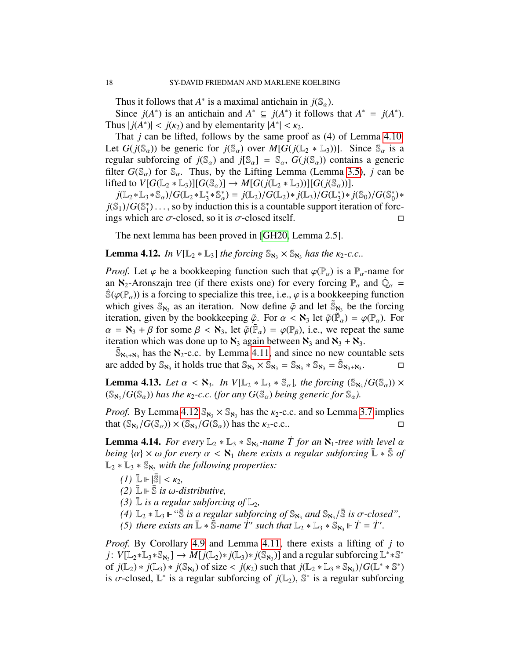Thus it follows that *A*<sup>\*</sup> is a maximal antichain in *j*( $\mathbb{S}_{\alpha}$ ).<br>Since *i*(*A*<sup>\*</sup>) is an antichain and *A*<sup>\*</sup>  $\subset$  *i*(*A*<sup>\*</sup>) it follows

Since  $j(A^*)$  is an antichain and  $A^* \subseteq j(A^*)$  it follows that  $A^* = j(A^*)$ . Thus  $|j(A^*)| < j(\kappa_2)$  and by elementarity  $|A^*| < \kappa_2$ .<br>That *i* can be lifted follows by the same process

That *j* can be lifted, follows by the same proof as (4) of Lemma [4.10:](#page-12-0) Let  $G(j(\mathbb{S}_{\alpha}))$  be generic for  $j(\mathbb{S}_{\alpha})$  over  $M[G(j(\mathbb{L}_{2} * \mathbb{L}_{3}))]$ . Since  $\mathbb{S}_{\alpha}$  is a regular subforcing of  $j(\mathbb{S}_{\alpha})$  and  $j[\mathbb{S}_{\alpha}] = \mathbb{S}_{\alpha}$ ,  $G(j(\mathbb{S}_{\alpha}))$  contains a generic filter  $G(\mathbb{S}_{\alpha})$  for  $\mathbb{S}_{\alpha}$ . Thus, by the Lifting Lemma (Lemma [3.5\)](#page-6-2), *j* can be lifted to  $V[G(\mathbb{L}_2 * \mathbb{L}_3)][G(\mathbb{S}_\alpha)] \to M[G(j(\mathbb{L}_2 * \mathbb{L}_3))][G(j(\mathbb{S}_\alpha))].$ 

 $j(\mathbb{L}_2 * \mathbb{L}_3 * \mathbb{S}_\alpha)/G(\mathbb{L}_2 * \mathbb{L}_3^*)$  $j_3^* \times \mathbb{S}_{\alpha}^* = j(\mathbb{L}_2)/G(\mathbb{L}_2) * j(\mathbb{L}_3)/G(\mathbb{L}_3^*)$ <br>duction this is a countable support  $j(\mathbb{S}_1)/G(\mathbb{S}_1^*)$ ..., so by induction<br>ings which are  $\sigma$ -closed, so it <sup>\*</sup><sub>3</sub><sup>\*</sup> *j*( $\mathbb{S}_0$ )/*G*( $\mathbb{S}_0^*$ <br>iteration of for  $_{0}^{*}$ )\*  $\binom{1}{1}$ ..., so by induction this is a countable support iteration of forc-<br>a are  $\sigma$ -closed, so it is  $\sigma$ -closed itself ings which are  $\sigma$ -closed, so it is  $\sigma$ -closed itself.

The next lemma has been proved in [\[GH20,](#page-31-0) Lemma 2.5].

<span id="page-17-0"></span>**Lemma 4.12.** *In*  $V[\mathbb{L}_2 * \mathbb{L}_3]$  *the forcing*  $\mathbb{S}_{\aleph_3} \times \mathbb{S}_{\aleph_3}$  *has the*  $\kappa_2$ -*c.c..* 

*Proof.* Let  $\varphi$  be a bookkeeping function such that  $\varphi(\mathbb{P}_{\alpha})$  is a  $\mathbb{P}_{\alpha}$ -name for an  $\aleph_2$ -Aronszajn tree (if there exists one) for every forcing  $\mathbb{P}_\alpha$  and  $\dot{\mathbb{Q}}_\alpha = \dot{\mathbb{R}}$  $\mathbb{S}(\varphi(\mathbb{P}_{\alpha}))$  is a forcing to specialize this tree, i.e.,  $\varphi$  is a bookkeeping function which gives  $\mathbb{S}_{\aleph_3}$  as an iteration. Now define  $\tilde{\varphi}$  and let  $\tilde{\mathbb{S}}_{\aleph_3}$  be the forcing<br>iteration, given by the bookkeeping  $\tilde{\varphi}$ . For  $\alpha < \aleph_3$  let  $\tilde{\varphi}(\tilde{\mathbb{P}}) = \varphi(\mathbb{P})$ . For iteration, given by the bookkeeping  $\tilde{\varphi}$ . For  $\alpha < \aleph_3$  let  $\tilde{\varphi}(\tilde{\mathbb{P}}_\alpha) = \varphi(\mathbb{P}_\alpha)$ . For  $\alpha = \aleph_3 + \beta$  for some  $\beta < \aleph_3$  let  $\tilde{\varphi}(\tilde{\mathbb{P}}_\alpha) = \varphi(\mathbb{P}_\alpha)$  i.e. we repeat the same  $\alpha = \mathbf{N}_3 + \beta$  for some  $\beta < \mathbf{N}_3$ , let  $\tilde{\varphi}(\tilde{\mathbb{P}}_\alpha) = \varphi(\mathbb{P}_\beta)$ , i.e., we repeat the same<br>iteration which was done up to  $\mathbf{N}_3$  again between  $\mathbf{N}_3$  and  $\mathbf{N}_3 + \mathbf{N}_3$ . iteration which was done up to  $\aleph_3$  again between  $\aleph_3$  and  $\aleph_3 + \aleph_3$ .

 $\tilde{\mathbb{S}}_{\mathbb{N}_3+\mathbb{N}_3}$  has the  $\mathbb{N}_2$ -c.c. by Lemma [4.11,](#page-15-0) and since no new countable sets are added by  $\mathbb{S}_{\aleph_3}$  it holds true that  $\mathbb{S}_{\aleph_3} \times \mathbb{S}_{\aleph_3} = \mathbb{S}_{\aleph_3} * \mathbb{S}_{\aleph_3} = \widetilde{\mathbb{S}}_{\aleph_3 + \aleph_3}$ .

<span id="page-17-2"></span>**Lemma 4.13.** *Let*  $\alpha < \aleph_3$ . *In*  $V[\mathbb{L}_2 * \mathbb{L}_3 * \mathbb{S}_\alpha]$ , the forcing  $(\mathbb{S}_{\aleph_3}/G(\mathbb{S}_\alpha)) \times$ <br> $(\mathbb{S}_{\alpha}/G(\mathbb{S}_\alpha))$  has the  $\kappa_2$ -c c (for any  $G(\mathbb{S}_\alpha)$  being generic for  $\mathbb{S}_\alpha$ )  $(\mathbb{S}_{\aleph_3}/G(\mathbb{S}_\alpha))$  *has the*  $\kappa_2$ -c.c. (for any  $G(\mathbb{S}_\alpha)$  *being generic for*  $\mathbb{S}_\alpha$ *)*.

*Proof.* By Lemma [4.12](#page-17-0)  $\mathbb{S}_{\aleph_3} \times \mathbb{S}_{\aleph_3}$  has the  $\kappa_2$ -c.c. and so Lemma [3.7](#page-6-3) implies that  $(\mathbb{S}_{\alpha_1}/G(\mathbb{S}_{\alpha_2}) \times (\mathbb{S}_{\alpha_3}/G(\mathbb{S}_{\alpha_3}))$  has the  $\kappa_2$ -c.c. that  $(\mathbb{S}_{\aleph_3}/G(\mathbb{S}_\alpha)) \times (\mathbb{S}_{\aleph_3}/G(\mathbb{S}_\alpha))$  has the  $\kappa_2$ -c.c..

<span id="page-17-1"></span>**Lemma 4.14.** *For every*  $\mathbb{L}_2 * \mathbb{L}_3 * \mathbb{S}_{\aleph_3}$ -name  $\dot{T}$  for an  $\aleph_1$ -tree with level  $\alpha$  heing  $\{\alpha\} \times \omega$  for every  $\alpha < \aleph$ , there exists a regular subforcing  $\mathbb{L} * \mathbb{S}$  of *being*  $\{\alpha\} \times \omega$  *for every*  $\alpha < \aleph_1$  *there exists a regular subforcing*  $\mathbb{L} * \overline{\mathbb{S}}$  *of*  $\mathbb{L}_2 * \mathbb{L}_3 * \mathbb{S}_{\aleph_3}$  *with the following properties:* 

- *(1)*  $\bar{L}$   $\vdash |\bar{S}|$  < *κ*<sub>2</sub>*,*
- $(2)$   $\mathbb{L} \models \overline{\mathbb{S}}$  *is ω-distributive*,
- *(3)*  $\overline{\mathbb{L}}$  *is a regular subforcing of*  $\mathbb{L}_2$ *,*
- *(4)*  $\mathbb{L}_2 * \mathbb{L}_3 \Vdash "\overline{\mathbb{S}}$  *is a regular subforcing of*  $\mathbb{S}_{\aleph_3}$  *and*  $\mathbb{S}_{\aleph_3}/\overline{\mathbb{S}}$  *is σ*-closed",<br>(5) there exists an  $\overline{\mathbb{I}} \cdot \overline{\mathbb{S}}$ -name *T'* such that  $\mathbb{I} \circ \mathbb{S} \mathbb{I} \circ \mathbb{S}_{$
- *(5) there exists an*  $\mathbb{L} * \overline{\mathbb{S}}$ *-name*  $\overline{T}'$  *such that*  $\mathbb{L}_2 * \mathbb{L}_3 * \mathbb{S}_{\aleph_3} \Vdash \overline{T} = \overline{T}'$ *.*

*Proof.* By Corollary [4.9](#page-11-0) and Lemma [4.11,](#page-15-0) there exists a lifting of *j* to *j*:  $V[\mathbb{L}_2 * \mathbb{L}_3 * \mathbb{S}_{\aleph_3}] \to M[j(\mathbb{L}_2) * j(\mathbb{L}_3) * j(\mathbb{S}_{\aleph_3})]$  and a regular subforcing  $\mathbb{L}^* * \mathbb{S}^*$ of  $j(\mathbb{L}_2) * j(\mathbb{L}_3) * j(\mathbb{S}_{\mathbf{N}_3})$  of size <  $j(\mathbf{k}_2)$  such that  $j(\mathbb{L}_2 * \mathbb{L}_3 * \mathbb{S}_{\mathbf{N}_3})/G(\mathbb{L}^* * \mathbb{S}^*)$ <br>is  $\sigma$ -closed  $\mathbb{L}^*$  is a regular subforcing of  $j(\mathbb{L}_3)$ .  $\mathbb{S}^*$  is a regular subfor is  $\sigma$ -closed,  $\mathbb{L}^*$  is a regular subforcing of  $j(\mathbb{L}_2)$ ,  $\mathbb{S}^*$  is a regular subforcing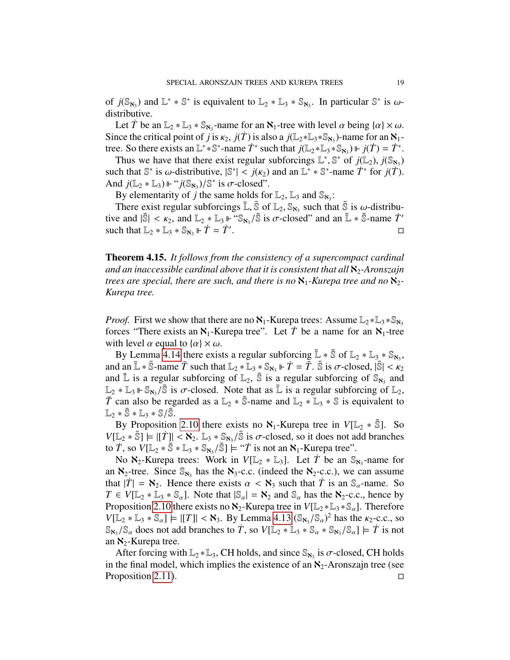of  $j(\mathbb{S}_{\aleph_3})$  and  $\mathbb{L}^* * \mathbb{S}^*$  is equivalent to  $\mathbb{L}_2 * \mathbb{L}_3 * \mathbb{S}_{\aleph_3}$ . In particular  $\mathbb{S}^*$  is  $\omega$ -<br>distributive distributive.

Let  $\overline{T}$  be an  $\mathbb{L}_2 * \mathbb{L}_3 * \mathbb{S}_{\aleph_3}$ -name for an  $\aleph_1$ -tree with level  $\alpha$  being  $\{\alpha\} \times \omega$ . Since the critical point of *j* is  $\kappa_2$ , *j*(*T*) is also a *j*(L<sub>2</sub>∗L<sub>3</sub>∗S<sub>N<sub>3</sub></sub>)-name for an N<sub>1</sub>-<br>tree. So there exists an  $\mathbb{I}^*$ ∗S<sup>\*</sup>-name  $\dot{T}^*$  such that *i*( $\mathbb{I}$ <sub>0</sub>∗ $\mathbb{I}$ <sub>0</sub>∗S<sub>N</sub>)  $\models$  *i(T*) –  $\dot{T}$ tree. So there exists an  $\mathbb{L}^* * \mathbb{S}^*$ -name  $\dot{T}^*$  such that  $j(\mathbb{L}_2 * \mathbb{L}_3 * \mathbb{S}_{\mathbb{N}_3}) \Vdash j(\dot{T}) = \dot{T}^*$ .

Thus we have that there exist regular subforcings  $\mathbb{L}^*, \mathbb{S}^*$  of  $j(\mathbb{L}_2)$ ,  $j(\mathbb{S}_{\aleph_3})$ <br>ch that  $\mathbb{S}^*$  is  $\omega$ -distributive  $\mathbb{S}^*$   $\leq i(\kappa_2)$  and an  $\mathbb{I}^* * \mathbb{S}^*$ -name  $\dot{T}^*$  for  $i(\dot{T})$ such that  $\mathbb{S}^*$  is  $\omega$ -distributive,  $|\mathbb{S}^*| < j(\kappa_2)$  and an  $\mathbb{L}^* * \mathbb{S}^*$ -name  $\dot{T}^*$  for  $j(\dot{T})$ .<br>And  $j(\mathbb{L} \times \mathbb{L}) \Vdash ``j(\mathbb{S} \times \mathbb{L})\mathbb{S}^*$  is  $\sigma$ -closed" And  $j(\mathbb{L}_2 * \mathbb{L}_3) \Vdash "j(\mathbb{S}_{\aleph_3})/\mathbb{S}^*$  is  $\sigma$ -closed".<br>By elementarity of *i* the same holds for

By elementarity of *j* the same holds for  $\mathbb{L}_2$ ,  $\mathbb{L}_3$  and  $\mathbb{S}_{\aleph_3}$ :

There exist regular subforcings  $\mathbb{\bar{L}}, \mathbb{\bar{S}}$  of  $\mathbb{L}_2, \mathbb{S}_{\aleph_3}$  such that  $\mathbb{\bar{S}}$  is  $\omega$ -distribu-<br>e and  $\mathbb{I} \times \mathbb{K}$  and  $\mathbb{L}_2 * \mathbb{L} \times \mathbb{S}$ .  $\mathbb{L} \times \mathbb{R}$  and  $\mathbb{L} \times \mathbb{R}$  and  $\mathbb{L} \times \$ tive and  $|\bar{\mathbb{S}}| < \kappa_2$ , and  $\mathbb{L}_2 * \mathbb{L}_3 \Vdash \mathbb{S}_{\aleph_3}/\bar{\mathbb{S}}$  is  $\sigma$ -closed" and an  $\bar{\mathbb{L}} * \bar{\mathbb{S}}$ -name  $\dot{T}'$ <br>such that  $\mathbb{L} \circ \mathbb{S} \to \mathbb{R} \circ \mathbb{S}_{\bowtie} \Vdash \dot{T} - \dot{T}'$ such that  $\mathbb{L}_2 * \mathbb{L}_3 * \mathbb{S}_{\aleph_3} \Vdash \dot{T} = \dot{T}'$ . . В последните при последните при последните и при последните при последните при последните при последните при<br>В последните при последните при последните при последните при последните при последните при последните при пос

Theorem 4.15. *It follows from the consistency of a supercompact cardinal and an inaccessible cardinal above that it is consistent that all*  $\aleph_2$ -Aronszajn *trees are special, there are such, and there is no*  $\aleph_1$ -*Kurepa tree and no*  $\aleph_2$ -*Kurepa tree.*

*Proof.* First we show that there are no  $\aleph_1$ -Kurepa trees: Assume  $\mathbb{L}_2 * \mathbb{L}_3 * \mathbb{S}_{\aleph_3}$ forces "There exists an  $\aleph_1$ -Kurepa tree". Let *T* be a name for an  $\aleph_1$ -tree with level  $\alpha$  equal to  $\{\alpha\} \times \omega$ .

By Lemma [4.14](#page-17-1) there exists a regular subforcing  $\mathbb{L} * \bar{\mathbb{S}}$  of  $\mathbb{L}_2 * \mathbb{L}_3 * \mathbb{S}_{\aleph_3}$ , and an  $\mathbb{L} * \bar{\mathbb{S}}$ -name  $\bar{T}$  such that  $\mathbb{L}_2 * \mathbb{L}_3 * \mathbb{S}_{\aleph_3} \vDash \dot{T} = \bar{T}$ .  $\bar{\mathbb{S}}$  is  $\sigma$ -closed,  $|\bar{\mathbb{S}}| < \kappa_2$ and  $\bar{\mathbb{L}}$  is a regular subforcing of  $\mathbb{L}_2$ ,  $\bar{\mathbb{S}}$  is a regular subforcing of  $\mathbb{S}_{\aleph_3}$  and  $\mathbb{L}_2 * \mathbb{L}_3 \Vdash \mathbb{S}_{\aleph_3}$  is  $\sigma$ -closed. Note that as  $\mathbb{\bar{L}}$  is a regular subforcing of  $\mathbb{L}_2$ ,  $\bar{T}$  can also be regarded as a  $\mathbb{L}_2 * \bar{\mathbb{S}}$ -name and  $\mathbb{L}_2 * \mathbb{L}_2 * \bar{\mathbb{S}}$  is equivalent to *T* can also be regarded as a  $\mathbb{L}_2 * \overline{\mathbb{S}}$ -name and  $\mathbb{L}_2 * \mathbb{L}_3 * \mathbb{S}$  is equivalent to  $\mathbb{L}_2 * \bar{\mathbb{S}} * \mathbb{L}_3 * \mathbb{S}/\bar{\mathbb{S}}.$ 

By Proposition [2.10](#page-3-1) there exists no  $\aleph_1$ -Kurepa tree in  $V[\mathbb{L}_2 * \overline{\mathbb{S}}]$ . So  $V[\mathbb{L}_2 * \overline{\mathbb{S}}] \models |[\dot{T}]| < \aleph_2$ .  $\mathbb{L}_3 * \mathbb{S}_{\aleph_3} / \overline{\mathbb{S}}$  is  $\sigma$ -closed, so it does not add branches<br>to  $\dot{T}$  so  $V[\mathbb{L}_2 * \overline{\mathbb{S}} * \mathbb{L}_2 * \mathbb{S}_3] \models "T$  is not an  $\aleph_1$ -Kurepa tree" to  $\overline{T}$ , so  $V[\mathbb{L}_2 * \overline{\mathbb{S}} * \mathbb{L}_3 * \mathbb{S}_{\aleph_3} / \overline{\mathbb{S}}] \models "T$  is not an  $\aleph_1$ -Kurepa tree".<br>No  $\aleph_2$ -Kurepa trees: Work in  $V[\mathbb{L}_2 * \mathbb{L}_3]$ . Let  $\overline{T}$  be an  $\mathbb{S}_3$ .

No  $\aleph_2$ -Kurepa trees: Work in  $V[\mathbb{L}_2 * \mathbb{L}_3]$ . Let  $\hat{T}$  be an  $\mathbb{S}_{\aleph_3}$ -name for an  $\aleph_2$ -tree. Since  $\mathbb{S}_{\aleph_3}$  has the  $\aleph_3$ -c.c. (indeed the  $\aleph_2$ -c.c.), we can assume that  $|\dot{T}| = \aleph_2$ . Hence there exists  $\alpha < \aleph_3$  such that  $\dot{T}$  is an  $\mathbb{S}_{\alpha}$ -name. So  $T \in V[\mathbb{L}_2 * \mathbb{L}_3 * \mathbb{S}_\alpha]$ . Note that  $|\mathbb{S}_\alpha| = \aleph_2$  and  $\mathbb{S}_\alpha$  has the  $\aleph_2$ -c.c., hence by Proposition [2.10](#page-3-1) there exists no  $\aleph_2$ -Kurepa tree in  $V[\mathbb{L}_2 * \mathbb{L}_3 * \mathbb{S}_\alpha]$ . Therefore  $V[\mathbb{L}_2 * \mathbb{L}_3 * \mathbb{S}_\alpha] \models |[T]| < \aleph_3$ . By Lemma [4.13](#page-17-2)  $(\mathbb{S}_{\aleph_3}/\mathbb{S}_\alpha)^2$  has the  $\kappa_2$ -c.c., so  $\mathbb{S}_{\alpha}$ .  $(\mathbb{S}_{\alpha})$  does not add branches to  $\ddot{T}$  so  $V[\mathbb{L}_2 * \mathbb{L}_3 * \mathbb{S}_3 * \mathbb{S}_3] \models \ddot{T}$  is not  $\mathbb{S}_{\mathbf{N}_3}/\mathbb{S}_\alpha$  does not add branches to  $\ddot{T}$ , so  $V[\mathbb{L}_2 * \mathbb{L}_3 * \mathbb{S}_\alpha * \mathbb{S}_{\mathbf{N}_3}/\mathbb{S}_\alpha] \models \ddot{T}$  is not an  $\mathbb{N}_2$ -Kurepa tree an  $\aleph_2$ -Kurepa tree.

After forcing with  $\mathbb{L}_2 * \mathbb{L}_3$ , CH holds, and since  $\mathbb{S}_{\aleph_3}$  is  $\sigma$ -closed, CH holds<br>the final model, which implies the existence of an  $\aleph_2$ -Aronszain tree (see in the final model, which implies the existence of an  $\aleph_2$ -Aronszajn tree (see Proposition [2.11\)](#page-4-1).  $\Box$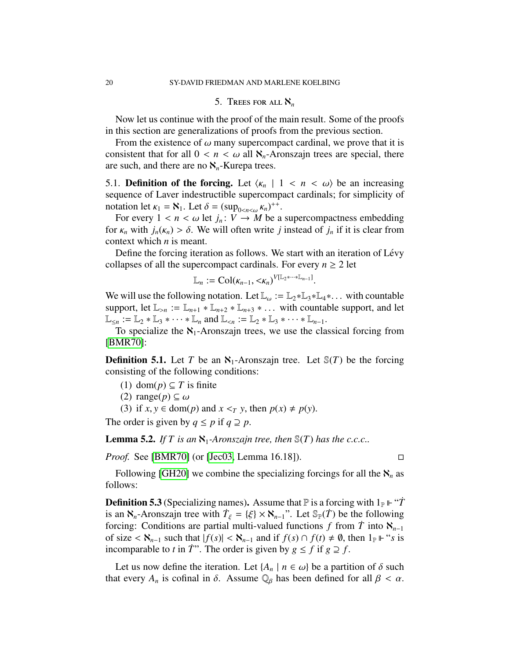### 5. TREES FOR ALL  $\aleph_n$

Now let us continue with the proof of the main result. Some of the proofs in this section are generalizations of proofs from the previous section.

From the existence of  $\omega$  many supercompact cardinal, we prove that it is consistent that for all  $0 < n < \omega$  all  $\aleph_n$ -Aronszajn trees are special, there are such, and there are no  $\aleph_n$ -Kurepa trees.

5.1. **Definition of the forcing.** Let  $\langle \kappa_n | 1 \rangle \langle n \rangle$  be an increasing sequence of Laver indestructible supercompact cardinals; for simplicity of notation let  $\kappa_1 = \aleph_1$ . Let  $\delta = (\sup_{0 \le n \le \omega} \kappa_n)^{++}$ .<br>For every  $1 \le n \le \omega$  let  $i : V \to M$  be a

For every  $1 < n < \omega$  let  $j_n : V \to M$  be a supercompactness embedding for  $\kappa_n$  with  $j_n(\kappa_n) > \delta$ . We will often write *j* instead of  $j_n$  if it is clear from context which *n* is meant.

Define the forcing iteration as follows. We start with an iteration of Lévy collapses of all the supercompact cardinals. For every  $n \geq 2$  let

$$
\mathbb{L}_n := \mathrm{Col}(\kappa_{n-1}, \langle \kappa_n \rangle^{V[\mathbb{L}_2 \ast \cdots \ast \mathbb{L}_{n-1}]}.
$$

We will use the following notation. Let  $\mathbb{L}_{\omega} := \mathbb{L}_2 * \mathbb{L}_3 * \mathbb{L}_4 * \dots$  with countable support, let  $\mathbb{L}_{>n} := \mathbb{L}_{n+1} * \mathbb{L}_{n+2} * \mathbb{L}_{n+3} * \dots$  with countable support, and let  $\mathbb{L}_{\leq n} := \mathbb{L}_2 * \mathbb{L}_3 * \cdots * \mathbb{L}_n$  and  $\mathbb{L}_{\leq n} := \mathbb{L}_2 * \mathbb{L}_3 * \cdots * \mathbb{L}_{n-1}$ .

To specialize the  $\aleph_1$ -Aronszajn trees, we use the classical forcing from [\[BMR70\]](#page-31-4):

**Definition 5.1.** Let *T* be an  $\aleph_1$ -Aronszajn tree. Let  $\mathcal{S}(T)$  be the forcing consisting of the following conditions:

(1) dom(*p*) ⊆ *T* is finite

(2) range( $p$ )  $\subseteq \omega$ 

(3) if  $x, y \in \text{dom}(p)$  and  $x \leq_T y$ , then  $p(x) \neq p(y)$ .

The order is given by  $q \leq p$  if  $q \supseteq p$ .

**Lemma 5.2.** *If T* is an  $\aleph_1$ -Aronszajn tree, then  $\mathcal{S}(T)$  has the c.c.c..

*Proof.* See [\[BMR70\]](#page-31-4) (or [\[Jec03,](#page-31-5) Lemma 16.18]). □

Following [\[GH20\]](#page-31-0) we combine the specializing forcings for all the  $\aleph_n$  as follows:

**Definition 5.3** (Specializing names). Assume that  $\mathbb P$  is a forcing with  $1_{\mathbb P}$   $\vdash$  "*T* is an  $\aleph_n$ -Aronszajn tree with  $\dot{T}_{\xi} = {\xi} \times \aleph_{n-1}$ ". Let  $\mathbb{S}_p(\dot{T})$  be the following forcing: Conditions are partial multi-valued functions f from  $\dot{T}$  into  $\aleph_n$ . forcing: Conditions are partial multi-valued functions *f* from *T* into  $\aleph_{n-1}$ of size <  $\aleph_{n-1}$  such that  $|f(s)| < \aleph_{n-1}$  and if  $f(s) \cap f(t) \neq \emptyset$ , then  $1_{\mathbb{P}} \Vdash ``s$  is incomparable to *t* in *T*<sup>\*\*</sup>. The order is given by  $g \le f$  if  $g \supseteq f$ .

Let us now define the iteration. Let  $\{A_n \mid n \in \omega\}$  be a partition of  $\delta$  such that every  $A_n$  is cofinal in  $\delta$ . Assume  $\mathbb{Q}_\beta$  has been defined for all  $\beta < \alpha$ .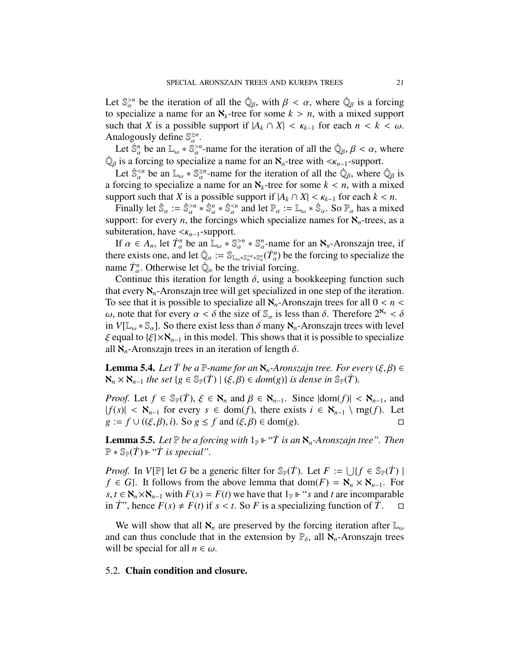Let  $\mathbb{S}_{\alpha}^{>n}$  be the iteration of all the  $\dot{\mathbb{Q}}_{\beta}$ , with  $\beta < \alpha$ , where  $\dot{\mathbb{Q}}_{\beta}$  is a forcing to specialize a name for an  $\mathbb{X}_{\alpha}$ -tree for some  $k > n$ , with a mixed support to specialize a name for an  $\aleph_k$ -tree for some  $k > n$ , with a mixed support such that *X* is a possible support if  $|A_k \cap X| < \kappa_{k-1}$  for each  $n < k < \omega$ . Analogously define  $\mathbb{S}_{\alpha}^{\geq n}$ .

Let  $\dot{S}_\alpha^n$  be an  $\mathbb{L}_\omega * \dot{S}_\alpha^{>n}$ -name for the iteration of all the  $\dot{\mathbb{Q}}_\beta$ ,  $\beta < \alpha$ , where  $\dot{\mathbb{Q}}_{\beta}$  is a forcing to specialize a name for an  $\mathbb{N}_n$ -tree with  $\langle \mathcal{K}_{n-1}$ -support.<br>Let  $\dot{\mathbb{S}}^{ be an  $\mathbb{I} \to \mathbb{S}^{ \geq n}$ -name for the iteration of all the  $\dot{\mathbb{Q}}$ -where$ 

Let  $\dot{\mathbb{S}}_{\alpha}^{< n}$  be an  $\mathbb{L}_{\omega} * \mathbb{S}_{\alpha}^{\geq n}$ -name for the iteration of all the  $\dot{\mathbb{Q}}_{\beta}$ , where  $\dot{\mathbb{Q}}_{\beta}$  is organized a name for an  $\mathbb{X}$ , tree for some  $k \leq n$ , with a mixed a forcing to specialize a name for an  $\aleph_k$ -tree for some  $k < n$ , with a mixed<br>support such that *X* is a possible support if  $|A_i \cap X| < \kappa$ , for each  $k < n$ support such that *X* is a possible support if  $|A_k \cap X| < \kappa_{k-1}$  for each  $k < n$ .

Finally let  $\dot{\mathbb{S}}_{\alpha} := \dot{\mathbb{S}}_{\alpha}^{>n} * \dot{\mathbb{S}}_{\alpha}^{ and let  $\mathbb{P}_{\alpha} := \mathbb{L}_{\omega} * \dot{\mathbb{S}}_{\alpha}$ . So  $\mathbb{P}_{\alpha}$  has a mixed$ support: for every *n*, the forcings which specialize names for  $\aleph_n$ -trees, as a subiteration, have <κ*<sup>n</sup>*−1-support.

If  $\alpha \in A_n$ , let  $\dot{T}_\alpha^n$  be an  $\overline{\mathbb{L}}_\omega^* \mathbb{S}_\alpha^{>n} * \mathbb{S}_\alpha^n$ -name for an  $\mathbb{N}_n$ -Aronszajn tree, if there exists one, and let  $\dot{\mathbb{Q}}_{\alpha} := \mathbb{S}_{\mathbb{L}_{\omega} * \mathbb{S}_{\alpha} \times n}(\dot{T}_{\alpha}^{n})$  be the forcing to specialize the name  $\dot{T}_\alpha^n$ . Otherwise let  $\dot{Q}_\alpha$  be the trivial forcing.<br>Continue this iteration for length  $\delta$ , using a b

Continue this iteration for length  $\delta$ , using a bookkeeping function such<br>at every  $\aleph$  - Aronszain tree will get specialized in one step of the iteration that every  $\aleph_n$ -Aronszajn tree will get specialized in one step of the iteration. To see that it is possible to specialize all  $\aleph_n$ -Aronszajn trees for all  $0 < n <$ ω, note that for every  $\alpha < \delta$  the size of  $\mathbb{S}_{\alpha}$  is less than δ. Therefore  $2^{\aleph_n} < \delta$ in  $V[\mathbb{L}_{\omega} * \mathbb{S}_{\alpha}]$ . So there exist less than  $\delta$  many  $\aleph_n$ -Aronszajn trees with level  $\xi$  equal to  $\xi$  ×  $\aleph_{n-1}$  in this model. This shows that it is possible to specialize all  $\aleph_n$ -Aronszajn trees in an iteration of length  $\delta$ .

**Lemma 5.4.** *Let*  $\dot{T}$  *be a*  $\mathbb{P}$ *-name for an*  $\aleph_n$ *-Aronszajn tree. For every*  $(\xi, \beta) \in$  $\aleph_n$  ×  $\aleph_{n-1}$  *the set* {*g* ∈  $\mathbb{S}_{\mathbb{P}}(T)$  | ( $\xi, \beta$ ) ∈ *dom*(*g*)} *is dense in*  $\mathbb{S}_{\mathbb{P}}(T)$ *.* 

*Proof.* Let  $f \in \mathbb{S}_{\mathbb{P}}(T)$ ,  $\xi \in \mathbb{N}_n$  and  $\beta \in \mathbb{N}_{n-1}$ . Since  $|\text{dom}(f)| < \mathbb{N}_{n-1}$ , and  $|f(s)| < \aleph_{n-1}$  for every  $s \in \text{dom}(f)$ , there exists  $i \in \aleph_{n-1} \setminus \text{rng}(f)$ . Let  $g := f \cup ((\xi \beta) \cdot i)$ . So  $g \le f$  and  $(\xi \beta) \in \text{dom}(g)$ .  $g := f \cup ((\xi, \beta), i)$ . So  $g \le f$  and  $(\xi, \beta) \in \text{dom}(g)$ .

**Lemma 5.5.** Let  $\mathbb P$  be a forcing with  $1_{\mathbb P} \Vdash "T$  is an  $\aleph_n$ -Aronszajn tree". Then  $\mathbb{P} * \mathbb{S}_{\mathbb{P}}(\dot{T}) \Vdash ``\dot{T}$  is special".

*Proof.* In *V*[P] let *G* be a generic filter for  $\mathbb{S}_{\mathbb{P}}(\dot{T})$ . Let  $F := \bigcup \{f \in \mathbb{S}_{\mathbb{P}}(\dot{T}) \mid f \in \mathbb{S}_{\mathbb{P}}(\dot{T})\}$ *f* ∈ *G*}. It follows from the above lemma that dom(*F*) =  $\aleph_n$  ×  $\aleph_{n-1}$ . For *s*, *t* ∈  $\mathbb{N}_n \times \mathbb{N}_{n-1}$  with  $F(s) = F(t)$  we have that  $1_{\mathbb{P}}$  ⊩ "*s* and *t* are incomparable in *T*<sup>\*\*</sup>, hence  $F(s) \neq F(t)$  if  $s < t$ . So *F* is a specializing function of *T*.

We will show that all  $\aleph_n$  are preserved by the forcing iteration after  $\mathbb{L}_{\omega}$ and can thus conclude that in the extension by  $\mathbb{P}_{\delta}$ , all  $\aleph_n$ -Aronszajn trees will be special for all  $n \in \omega$ .

### 5.2. Chain condition and closure.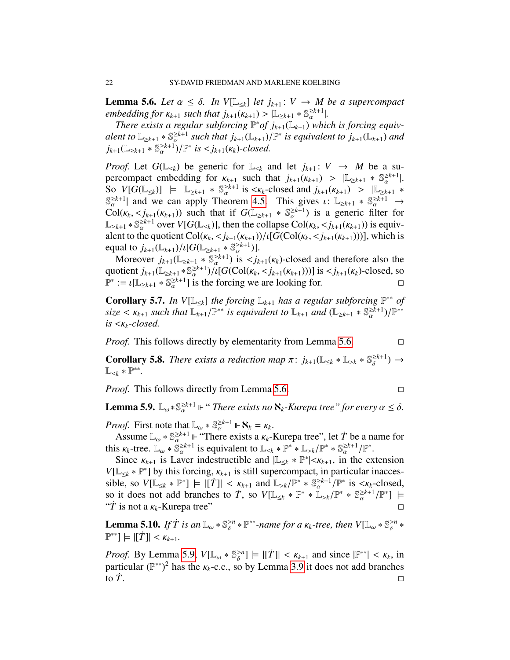<span id="page-21-0"></span>**Lemma 5.6.** *Let*  $\alpha \leq \delta$ . *In*  $V[\mathbb{L}_{\leq k}]$  *let*  $j_{k+1}: V \rightarrow M$  *be a supercompact embedding for*  $\kappa_{k+1}$  *such that*  $j_{k+1}(\kappa_{k+1}) > |\mathbb{L}_{\geq k+1} * \mathbb{S}_{\alpha}^{\geq k+1}|$ .<br>*There exists a regular subforcing*  $\mathbb{P}^*$  *of*  $j_{k+1}(\mathbb{L}_{\geq k+1})$  which

*There exists a regular subforcing*  $\mathbb{P}^*$  of  $j_{k+1}(\mathbb{L}_{k+1})$  *which is forcing equivalent to*  $\mathbb{L}_{\geq k+1} * \mathbb{S}_{\alpha}^{\geq k+1}$  *such that*  $j_{k+1}(\mathbb{L}_{k+1})/\mathbb{P}^*$  *is equivalent to*  $j_{k+1}(\mathbb{L}_{k+1})$  *and*  $j_{k+1}(\mathbb{L}_{\geq k+1}) \times \mathbb{S}^{\geq k+1}$   $\mathbb{P}^*$  *is*  $\lt i_k$   $\cdot$   $(\kappa_k)$  *closed*  $j_{k+1}(\mathbb{L}_{\geq k+1} * \mathbb{S}_{\alpha}^{\geq k+1})/\mathbb{P}^*$  *is*  $\lt j_{k+1}(\kappa_k)$ *-closed.* 

*Proof.* Let  $G(\mathbb{L}_{\leq k})$  be generic for  $\mathbb{L}_{\leq k}$  and let  $j_{k+1} : V \to M$  be a supercompact embedding for  $\kappa_{k+1}$  such that  $j_{k+1}(\kappa_{k+1}) > |\mathbb{L}_{\geq k+1} * \mathbb{S}_{\alpha}^{\geq k+1}|$ .<br>So  $V[G(\mathbb{L}_{\leq k})] \models \mathbb{L}_{\geq k+1} * \mathbb{S}^{\geq k+1}$  is  $\leq k$  -closed and  $j_{k+1}(\kappa_{k+1}) > |\mathbb{L}_{\geq k+1} * \mathbb{L}_{\geq k+1}|$  $\begin{array}{l} \text{So } V[G(\mathbb{L}_{\leq k})] \models \mathbb{L}_{\geq k+1} * \mathbb{S}_{\alpha}^{\geq k+1} \text{ is } < \kappa_k\text{-closed and } j_{k+1}(\kappa_{k+1}) > |\mathbb{L}_{\geq k+1} * \mathbb{S}_{\alpha}^{\geq k+1}| \text{ and we can apply Theorem 4.5 This gives  $\iota: \mathbb{L}_{\geq k+1} * \mathbb{S}_{\geq k+1}^{\geq k+1} \rightarrow \mathbb{L}_{\geq k+1} \end{array}$$  $\mathbb{S}_{\alpha}^{\geq k+1}$  and we can apply Theorem [4.5.](#page-10-0) This gives  $\iota: \mathbb{L}_{\geq k+1} * \mathbb{S}_{\alpha}^{\geq k+1} \to$ <br>Col( $\iota_k < i_k$ ,  $(\kappa_{k+1})$ ) such that if  $G(\mathbb{L}_{\geq k+1} * \mathbb{S}_{\geq k+1})$  is a generic filter for  $\text{Col}(\kappa_k, \langle j_{k+1}(\kappa_{k+1})\rangle)$  such that if  $G(\mathbb{L}_{\geq k+1} * \mathbb{S}_{\alpha}^{\geq k+1})$  is a generic filter for  $\mathbb{L}_{\geq k+1} * \mathbb{S}_{\alpha}^{\geq k+1}$  over  $V[G(\mathbb{L}_{\leq k})]$ , then the collapse  $\text{Col}(k_k, \leq j_{k+1}(k_{k+1}))$  is equiv-<br>alent to the quotient  $\text{Col}(k_k, \leq j_{k+1}(k_{k+1})) / [G(\text{Col}(k_k, \leq j_{k+1}(k_{k+1})))]$  which is alent to the quotient  $\text{Col}(\kappa_k, \langle j_{k+1}(\kappa_{k+1})) / \{[G(\text{Col}(\kappa_k, \langle j_{k+1}(\kappa_{k+1})))]\}$ , which is equal to  $j_{k+1}(\mathbb{L}_{k+1})/i[G(\mathbb{L}_{\geq k+1} * \mathbb{S}_{\alpha}^{\geq k+1})].$ <br>Moreover  $i_{k+1}(\mathbb{L}_{\geq k+1} * \mathbb{S}^{\geq k+1})$  is  $\leq i_k$ .

Moreover  $j_{k+1}(\mathbb{L}_{\geq k+1} * \mathbb{S}_{\alpha}^{\geq k+1})$  is  $\langle j_{k+1}(\kappa_k)$ -closed and therefore also the quotient  $j_{k+1}(\mathbb{L}_{\geq k+1} * \mathbb{S}_{\alpha}^{\geq k+1})/i[G(\text{Col}(\kappa_k, < j_{k+1}(\kappa_{k+1})))]$  is  $\lt j_{k+1}(\kappa_k)$ -closed, so  $\mathbb{P}^* := \iota(\mathbb{L}_{\geq k+1} * \mathbb{S}^{\geq k+1}]$  is the forcing we are looking for  $\mathbb{P}^* := \iota[\mathbb{L}_{\geq k+1} * \mathbb{S}_{\alpha}^{\geq k+1}]$  is the forcing we are looking for.

**Corollary 5.7.** In  $V[\mathbb{L}_{\leq k}]$  the forcing  $\mathbb{L}_{k+1}$  has a regular subforcing  $\mathbb{P}^{**}$  of  $size \lt \kappa_{k+1}$  *such that*  $\mathbb{L}_{k+1}/\mathbb{P}^{**}$  *is equivalent to*  $\mathbb{L}_{k+1}$  *and*  $(\mathbb{L}_{\ge k+1} * \mathbb{S}_{\alpha}^{\ge k+1})/\mathbb{P}^{**}$ <br>*is*  $\lt \kappa_{k-1}$  closed *is* <κ*<sup>k</sup>-closed.*

*Proof.* This follows directly by elementarity from Lemma [5.6.](#page-21-0) □

**Corollary 5.8.** *There exists a reduction map*  $\pi$ :  $j_{k+1}(\mathbb{L}_{\leq k} * \mathbb{L}_{>k} * \mathbb{S}_{\delta}^{\geq k+1}) \rightarrow$ L<sup>≤</sup>*<sup>k</sup>* ∗ P ∗∗ *.*

*Proof.* This follows directly from Lemma [5.6.](#page-21-0) □

<span id="page-21-1"></span>**Lemma 5.9.**  $\mathbb{L}_{\omega} * \mathbb{S}_{\alpha}^{\geq k+1} \Vdash ``There exists no \aleph_k-Kurepa tree" for every  $\alpha \leq \delta$ .$ 

*Proof.* First note that  $\mathbb{L}_{\omega} * \mathbb{S}_{\alpha}^{\geq k+1} \Vdash \mathbf{N}_k = \mathcal{K}_k$ .<br>Assume  $\mathbb{L}_{\omega} * \mathbb{S}^{\geq k+1} \Vdash$  "There exists a  $\mathcal{K}_k$ .

Assume  $\mathbb{L}_{\omega} * \mathbb{S}_{\alpha}^{\geq k+1}$   $\Vdash$  "There exists a  $\kappa_k$ -Kurepa tree", let  $\dot{T}$  be a name for  $s$   $\kappa_k$ -tree  $\mathbb{L}_{\omega} * \mathbb{S}^{\geq k+1}$  is equivalent to  $\mathbb{L}_{\omega_k} * \mathbb{P}^* * \mathbb{L}_{\omega_k}/\mathbb{P}^* * \mathbb{S}^{\geq k+1}/\math$ this  $\kappa_k$ -tree.  $\mathbb{L}_{\omega} * \mathbb{S}_{\alpha}^{\geq k+1}$  is equivalent to  $\mathbb{L}_{\leq k} * \mathbb{P}^* * \mathbb{L}_{>k}/\mathbb{P}^* * \mathbb{S}_{\alpha}^{\geq k+1}/\mathbb{P}^*$ .<br>Since  $\kappa_{\alpha}$  is Laver indestructible and  $\mathbb{L}_{\leq k} * \mathbb{P}^* < \kappa_{\alpha}$  in the ex-

Since  $\kappa_{k+1}$  is Laver indestructible and  $|\mathbb{L}_{\leq k} * \mathbb{P}^*| < \kappa_{k+1}$ , in the extension  $\mathbb{L}_{\leq k} * \mathbb{P}^*| > \kappa_{k+1}$ , in the extension  $V[\mathbb{L}_{\leq k} * \mathbb{P}^*]$  by this forcing,  $\kappa_{k+1}$  is still supercompact, in particular inacces-<br>sible so  $V[\mathbb{L}_{\leq k} * \mathbb{P}^*] \vdash ||\mathcal{T}|| \leq \kappa_{k+1}$  and  $\mathbb{L}_{\leq k} / \mathbb{P}^* * \mathbb{S} \leq k+1 / \mathbb{P}^*$  is  $\leq \kappa_{k-1}$ cl sible, so  $V[\mathbb{L}_{\leq k} * \mathbb{P}^*] \models |[T]| < \kappa_{k+1}$  and  $\mathbb{L}_{\geq k}/\mathbb{P}^* * \mathbb{S}_{\alpha}^{\geq k+1}/\mathbb{P}^*$  is  $\lt \kappa_k$ -closed, so it does not add branches to  $\dot{T}$  so  $V[\mathbb{L}_{\leq k} * \mathbb{P}^* * [\mathbb{L}_{\leq k}/\mathbb{P}^* * \mathbb{S}^{\geq k+1}/\$ so it does not add branches to *T*, so  $V[\mathbb{L}_{\leq k} * \mathbb{P}^* * \mathbb{L}_{>k}/\mathbb{P}^* * \mathbb{S}_{\alpha}^{\geq k+1}]$ <br>"*T* is not a  $\kappa_1$ -Kurena tree"  $\frac{2k+1}{\alpha}/\mathbb{P}^*$ ]  $\models$ "T is not a  $\kappa_k$ -Kurepa tree"  $\square$ 

**Lemma 5.10.** *If*  $\dot{T}$  *is an*  $\mathbb{L}_{\omega} * \mathbb{S}_{\delta}^{>n} * \mathbb{P}^{**}$ -name for a  $\kappa_k$ -tree, then  $V[\mathbb{L}_{\omega} * \mathbb{S}_{\delta}^{>n} * \mathbb{P}^{**}] \vdash |\vec{T}|| \leq \kappa_k$  $\mathbb{P}^*$ ]  $\models |[T]| < \kappa_{k+1}.$ 

*Proof.* By Lemma [5.9,](#page-21-1)  $V[\mathbb{L}_{\omega} * \mathbb{S}_{\delta} > n] \models |[T]| < \kappa_{k+1}$  and since  $|\mathbb{P}^{**}| < \kappa_k$ , in particular  $(\mathbb{P}^{**})^2$  has the  $\kappa_i$ -c.c. so by Lemma 3.9 it does not add branches particular (P<sup>\*\*</sup>)<sup>2</sup> has the  $\kappa_k$ -c.c., so by Lemma [3.9](#page-8-0) it does not add branches to  $\dot{T}$ .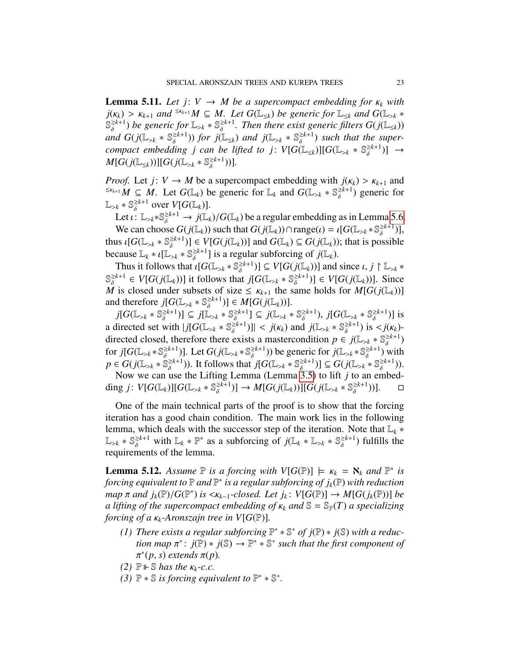**Lemma 5.11.** Let  $j: V \to M$  be a supercompact embedding for  $\kappa_k$  with  $j(k_k) > k_{k+1}$  and  $\leq k_{k+1}$  *M*  $\subseteq$  *M. Let*  $G(\mathbb{L}_{\leq k})$  *be generic for*  $\mathbb{L}_{\leq k}$  *and*  $G(\mathbb{L}_{>k} \times$  $s \geq k+1$  $\frac{\geq k+1}{\delta}$  *be generic for*  $\mathbb{L}_{>k} * \mathbb{S}_{\delta}^{\geq k+1}$ <br>and  $G(i\mathbb{L}_{>k} * \mathbb{S}_{\delta}^{\geq k+1})$  for  $i\mathbb{L}_{>k}$  $\frac{\geq k+1}{\delta}$ . Then there exist generic filters  $G(j(\mathbb{L}_{\leq k}))$ *and*  $G(j(\mathbb{L}_{>k} * \mathbb{S}_{\delta}^{\geq k+1}))$  *for*  $j(\mathbb{L}_{\leq k})$  *and*  $j(\mathbb{L}_{>k} * \mathbb{S}_{\delta}^{\geq k+1})$  *such that the super*compact embedding *j* can be lifted to *j*:  $V[G(\mathbb{L}_{\leq k})][G(\mathbb{L}_{>k} * \mathbb{S}_{\delta}^{\geq k+1})] \rightarrow$ <br>*MEG*( $\mathcal{F}$ <sup>T</sup>) >  $\mathcal{F}$ *M*[*G*(*j*(L<sub>≤*k*</sub>))][*G*(*j*(L<sub>>*k*</sub> \*  $\mathbb{S}_{\delta}^{\geq k+1}$ ))]*.* 

*Proof.* Let *j*:  $V \rightarrow M$  be a supercompact embedding with  $j(\kappa_k) > \kappa_{k+1}$  and  $\frac{S\kappa_{k+1} M}{S} \subset M$ . Let  $G(\mathbb{L})$  be generic for  $\mathbb{L}_k$  and  $G(\mathbb{L}_k \times \mathbb{S}^{\geq k+1})$  generic for  $\leq$ K<sub>*k*+1</sub></sub>*M* ⊆ *M*. Let *G*(L<sub>k</sub>) be generic for L<sub>k</sub> and *G*(L<sub>>k</sub> ∗ S<sub>δ</sub><sup>≥*k*+1</sup>)</sub> generic for  $\mathbb{L}_{\geq k} * \mathbb{S}_{\delta}^{\geq k+1}$  over  $V[G(\mathbb{L}_{k})].$ 

Let  $\iota: \mathbb{L}_{\geq k} * \mathbb{S}_{\delta}^{\geq k+1} \to j(\mathbb{L}_k)/G(\mathbb{L}_k)$  be a regular embedding as in Lemma [5.6.](#page-21-0)<br>We can choose  $G(i(\mathbb{L}))$  such that  $G(i(\mathbb{L})) \cap \text{range}(\iota) = i[G(\mathbb{L}_{\geq k} \otimes \mathbb{Z}^{k+1})]$ We can choose  $G(j(\mathbb{L}_k))$  such that  $G(j(\mathbb{L}_k)) \cap \text{range}(t) = \iota[G(\mathbb{L}_{>k} * \mathbb{S}_{\delta}^{\geq k+1})],$ <br>us  $\iota[G(\mathbb{L}_{>k} * \mathbb{S}_{\delta}^{\geq k+1})] \in V[G(i(\mathbb{L}))$  and  $G(\mathbb{L}_{>k} \subset G(i(\mathbb{L}))$ ; that is possible thus  $\iota[G(\mathbb{L}_{>k} * \mathbb{S}_{\delta}^{\geq k+1})] \in V[G(j(\mathbb{L}_k))]$  and  $G(\mathbb{L}_k) \subseteq G(j(\mathbb{L}_k))$ ; that is possible because  $\mathbb{L}_{\delta} * \iota[\mathbb{L}_{\delta} * \mathbb{S}^{\geq k+1}]$  is a requier subforcing of  $i(\mathbb{L}_{\delta})$ because  $\mathbb{L}_k * \iota[\mathbb{L}_{>k} * \mathbb{S}_{\delta}^{\geq k+1}]$  is a regular subforcing of  $j(\mathbb{L}_k)$ .<br>Thus it follows that  $\iota[G(\mathbb{L}_{>k} * \mathbb{S}^{\geq k+1})] \subset V[G(\iota(\mathbb{L}_k))]$  and

Thus it follows that  $\iota[G(\mathbb{L}_{>k} * \mathbb{S}_{\delta}^{\geq k+1})] \subseteq V[G(j(\mathbb{L}_k))]$  and since  $\iota, j \upharpoonright \mathbb{L}_{>k} *$ <br> $\iota^{k+1} \subset V[G(j(\mathbb{L}_k))]$  it follows that  $i[G(\mathbb{L}_{>k} * \mathbb{S}^{\geq k+1})] \subset V[G(j(\mathbb{L}_k))]$  Since  $\mathbb{S}_{\delta}^{\geq k+1} \in V[G(j(\mathbb{L}_k))]$  it follows that  $j[G(\mathbb{L}_{\geq k} * \mathbb{S}_{\delta}^{\geq k+1})] \in V[G(j(\mathbb{L}_k))]$ . Since M is closed under subsets of size  $\leq$   $\kappa_{k+1}$  the same holds for  $M[G(j(\mathbb{L}_k))]$ <br>and therefore  $i[G(\mathbb{L}_k) * \mathbb{S}^{\geq k+1}] \in M[G(j(\mathbb{L}_k))]$ and therefore  $j[G(\mathbb{L}_{\geq k} * \mathbb{S}_{\delta}^{\geq k+1})] \in M[G(j(\mathbb{L}_{k}))].$ 

 $j[G(\mathbb{L}_{>k} * \mathbb{S}_{\delta}^{\geq k+1})] \subseteq j[\mathbb{L}]$  $\left[\begin{array}{c} \geq k+1 \\ \delta \end{array}\right] \subseteq j[\mathbb{L}_{>k} * \mathbb{S}_{\delta}^{\geq k+1}]$ <br>with  $\left| \begin{array}{c} j \in \mathbb{C} \setminus \mathbb{R} \\ j \in \mathbb{C} \end{array} \right| \subseteq \mathbb{R}^k$  $\begin{bmatrix} \frac{\geq k+1}{\delta} \end{bmatrix} \subseteq j(\mathbb{L}_{>k} * \mathbb{S}_{\delta}^{\geq k+1})$ <br>  $\geq k+1$ )  $\mathbb{L}_{\leq k}(k)$  and  $j(\mathbb{R})$  $\delta_{\delta}^{\geq k+1}$ ),  $j[G(\mathbb{L}_{\geq k} * \mathbb{S}_{\delta}^{\geq k+1})]$ )] is a directed set with  $|j[G(\mathbb{L}_{>k} * \mathbb{S}_{\delta}^{\geq k+1})]| < j(k_k)$  and  $j(\mathbb{L}_{>k} * \mathbb{S}_{\delta}^{\geq k+1})$  is  $\lt j(k_k)$ -<br>directed closed, therefore there exists a mastercondition  $n \in i(\mathbb{L}_{\geq k} * \mathbb{S}_{\leq k+1})$ directed closed, therefore there exists a mastercondition  $p \in j(\mathbb{L}_{\geq k} * \mathbb{S}_{\delta}^{\geq k+1})$ δ ) for  $j[G(\mathbb{L}_{>k} * \mathbb{S}_{\delta}^{\geq k+1})]$  $\begin{bmatrix} \frac{\sum k+1}{\delta} \end{bmatrix}$ . Let  $G(j(\mathbb{L}_{>k} * \mathbb{S}_{\delta}^{\geq k+1})$  $\frac{\geq k+1}{\delta}$ )) be generic for  $j(\mathbb{L}_{>k} * \mathbb{S}_{\delta}^{\geq k+1})$ δ ) with  $p \in G(j(\mathbb{L}_{>k} * \mathbb{S}_{\delta}^{\geq k+1}))$  $\delta_{\delta}^{\ge k+1}$ )). It follows that *j*[ $G(\mathbb{L}_{>k} * \mathbb{S}_{\delta}^{\ge k+1})$ <br>use the Lifting Lemma (Lemma 3.5)  $\begin{bmatrix} \frac{\sum k+1}{\delta} \\ 3 \end{bmatrix} \subseteq G(j(\mathbb{L}_{>k} * \mathbb{S}_{\delta}^{\geq k+1}))$ )).

້<br>n Now we can use the Lifting Lemma (Lemma [3.5\)](#page-6-2) to lift *j* to an embedding *j*:  $V[G(\mathbb{L}_k)][G(\mathbb{L}_{>k} * \mathbb{S}_{\delta}^{\geq k+1})]$  $\left[\begin{matrix} \sum_{k=1}^{k} a_k \delta \end{matrix}\right] \rightarrow M[G(j(\mathbb{L}_k))][G(j(\mathbb{L}_{>k} * \mathbb{S}_{\delta}^{\geq k+1}))]$ ))].

One of the main technical parts of the proof is to show that the forcing iteration has a good chain condition. The main work lies in the following lemma, which deals with the successor step of the iteration. Note that L*<sup>k</sup>* ∗  $\mathbb{L}_{\geq k} * \mathbb{S}_{\delta}^{\geq k+1}$  with  $\mathbb{L}_{k} * \mathbb{P}^{*}$  as a subforcing of  $j(\mathbb{L}_{k} * \mathbb{L}_{\geq k} * \mathbb{S}_{\delta}^{\geq k+1})$  fulfills the requirements of the lemma requirements of the lemma.

**Lemma 5.12.** *Assume*  $\mathbb P$  *is a forcing with*  $V[G(\mathbb P)] \models \kappa_k = \aleph_k$  *and*  $\mathbb P^*$  *is forcing equivalent to*  $\mathbb P$  *and*  $\mathbb P^*$  *is a regular subforcing of i.* ( $\mathbb P$ ) with *reduction* forcing equivalent to  $\mathbb P$  and  $\mathbb P^*$  is a regular subforcing of  $j_k(\mathbb P)$  with reduction  $\pi$  *and*  $j_k(\mathbb{P})/G(\mathbb{P}^*)$  *is*  $\langle K_{k-1} \cdot closed$ *. Let*  $j_k: V[G(\mathbb{P})] \to M[G(j_k(\mathbb{P}))]$  *be a* lifting of the supercompact embedding of  $\kappa$ , and  $\mathbb{S} - \mathbb{S}_r(T)$  a specializing *a lifting of the supercompact embedding of*  $\kappa_k$  *and*  $\mathcal{S} = \mathcal{S}_P(T)$  *a specializing forcing of a*  $\kappa_k$ -*Aronszajn tree in V*[ $G(\mathbb{P})$ ].

- *(1) There exists a regular subforcing*  $\mathbb{P}^* * \mathbb{S}^*$  *of j* $(\mathbb{P}) * j(\mathbb{S})$  *with a reduc-* $\phi$  *tion map*  $\pi^*$ :  $j(\mathbb{P}) \ast j(\mathbb{S}) \to \mathbb{P}^* \ast \mathbb{S}^*$  such that the first component of  $\pi^*(p, s)$  extends  $\pi(p)$  $*(p, s)$  *extends* π(*p*)*.*<br> $θ \vDash$  *§ has the K<sub>λ</sub>-C C</sub>*
- $(2)$   $\mathbb{P} \vdash \mathbb{S}$  *has the*  $\kappa_k$ -c.c.<br>(3)  $\mathbb{P} * \mathbb{S}$  is forcing equi-
- *(3)*  $\mathbb{P} * \mathbb{S}$  *is forcing equivalent to*  $\mathbb{P}^* * \mathbb{S}^*$ *.*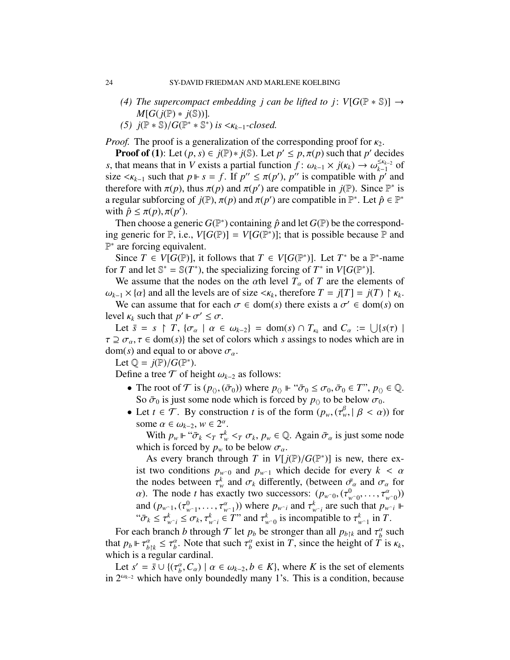- *(4) The supercompact embedding j can be lifted to j:*  $V[G(\mathbb{P} * \mathbb{S})] \rightarrow$ *M*[*G*( $j(P)$  ∗  $j(S)$ )].
- *(5)*  $j(\mathbb{P} * \mathbb{S})/G(\mathbb{P}^* * \mathbb{S}^*)$  *is* <*k*<sub>*k*−1</sub>*-closed.*

*Proof.* The proof is a generalization of the corresponding proof for  $\kappa_2$ .

**Proof of (1):** Let  $(p, s) \in j(\mathbb{P}) * j(\mathbb{S})$ . Let  $p' \leq p, \pi(p)$  such that  $p'$  decides that means that in  $V$  exists a partial function  $f: \omega_{V} \times j(\kappa) \to \omega^{\leq \kappa_{k-2}}$  of *s*, that means that in *V* exists a partial function  $\hat{f}$ :  $\omega_{k-1} \times j(\kappa_k) \rightarrow \omega_{k-1}^{\leq \kappa_{k-2}}$  of size  $\leq \kappa_{k-1}$  such that  $n \Vdash s = f$ . If  $n'' \leq \pi(n') \cdot n''$  is compatible with  $n'$  and size < $\kappa_{k-1}$  such that  $p \Vdash s = f$ . If  $p'' \le \pi(p')$ ,  $p''$  is compatible with  $p'$  and therefore with  $\pi(p)$  thus  $\pi(p)$  and  $\pi(p')$  are compatible in  $i(\mathbb{P})$ . Since  $\mathbb{P}^*$  is therefore with  $\pi(p)$ , thus  $\pi(p)$  and  $\pi(p')$  are compatible in  $j(\mathbb{P})$ . Since  $\mathbb{P}^*$  is<br>a regular subforcing of  $j(\mathbb{P})$ ,  $\pi(p)$  and  $\pi(p')$  are compatible in  $\mathbb{P}^*$ . Let  $\hat{p} \in \mathbb{P}^*$ a regular subforcing of  $j(\mathbb{P})$ ,  $\pi(p)$  and  $\pi(p')$  are compatible in  $\mathbb{P}^*$ . Let  $\hat{p} \in \mathbb{P}^*$ <br>with  $\hat{p} \le \pi(p) \pi(p')$ with  $\hat{p} \leq \pi(p), \pi(p')$ .<br>Then choose a gen

Then choose a generic  $G(\mathbb{P}^*)$  containing  $\hat{p}$  and let  $G(\mathbb{P})$  be the corresponding generic for  $\mathbb{P}$ , i.e.,  $V[G(\mathbb{P})] = V[G(\mathbb{P}^*)]$ ; that is possible because  $\mathbb{P}$  and P<sup>∗</sup> are forcing equivalent.

Since  $T \in V[G(\mathbb{P})]$ , it follows that  $T \in V[G(\mathbb{P}^*)]$ . Let  $T^*$  be a  $\mathbb{P}^*$ -name for *T* and let  $\mathbb{S}^* = \mathbb{S}(T^*)$ , the specializing forcing of  $T^*$  in  $V[G(\mathbb{P}^*)]$ .

We assume that the nodes on the  $\alpha$ th level  $T_{\alpha}$  of *T* are the elements of  $\omega_{k-1} \times \{\alpha\}$  and all the levels are of size  $\langle \kappa_k$ , therefore  $T = j(T) = j(T) \upharpoonright \kappa_k$ .<br>We can assume that for each  $\sigma \in \text{dom}(s)$  there exists a  $\sigma' \in \text{dom}(s)$  on

We can assume that for each  $\sigma \in \text{dom}(s)$  there exists a  $\sigma' \in \text{dom}(s)$  on  $\sigma \in \text{dom}(s)$  on level  $\kappa_k$  such that  $p' \Vdash \sigma' \leq \sigma$ .<br>
Let  $\bar{s} = s \upharpoonright T$   $\{\sigma \mid \sigma \in \sigma\}$ 

Let  $\bar{s} = s \restriction \bar{T}$ ,  $\{\sigma_{\alpha} \mid \alpha \in \omega_{k-2}\} = \text{dom}(s) \cap T_{\kappa_k}$  and  $C_{\alpha} := \bigcup \{s(\tau) \mid \sigma \in \mathcal{F} \in \text{dom}(s)\}$  the set of colors which s assings to nodes which are in  $\tau \supseteq \sigma_{\alpha}, \tau \in \text{dom}(s)$  the set of colors which *s* assings to nodes which are in  $dom(s)$  and equal to or above  $\sigma_{\alpha}$ .

Let  $\mathbb{Q} = j(\mathbb{P})/G(\mathbb{P}^*)$ .<br>Define a tree  $\mathcal{T}$  of be

Define a tree  $\mathcal T$  of height  $\omega_{k-2}$  as follows:

- The root of  $\mathcal T$  is  $(p_{\langle \rangle}, (\bar{\sigma}_0))$  where  $p_{\langle \rangle} \Vdash \mathcal T_0 \leq \sigma_0, \bar{\sigma}_0 \in T$ ",  $p_{\langle \rangle} \in \mathbb Q$ . So  $\bar{\sigma}_0$  is just some node which is forced by  $p_{\langle}$  to be below  $\sigma_0$ .
- Let  $t \in \mathcal{T}$ . By construction *t* is of the form  $(p_w, (\tau_w^{\beta}, | \beta < \alpha))$  for some  $\alpha \in (p_w, \alpha \in \mathbb{R}^n)$ some  $\alpha \in \omega_{k-2}$ ,  $w \in 2^{\alpha}$ .<br>With  $p \vDash \text{``}\bar{\sigma}_k \leq x \tau^k$

With  $p_w \Vdash ``\bar{\sigma}_k <_T \tau_w^k <_T \sigma_k$ ,  $p_w \in \mathbb{Q}$ . Again  $\bar{\sigma}_\alpha$  is just some node pich is forced by *n* to be below  $\sigma$ .  $w \leq T$   $\sigma_k$ <br>**to be be** which is forced by  $p_w$  to be below  $\sigma_a$ .<br>As every branch through T in VI is

As every branch through *T* in  $V[j(\mathbb{P})/G(\mathbb{P}^*)]$  is new, there ex-<br>two conditions *n*, a and *n*, which decide for every  $k < \alpha$ ist two conditions  $p_{w\text{-}0}$  and  $p_{w\text{-}1}$  which decide for every  $k < \alpha$ the nodes between  $\tau_w^k$  and  $\sigma_k$  differently, (between  $\bar{\sigma}_\alpha$  and  $\sigma_\alpha$  for  $\alpha$ ). The node *t* has exactly two successors:  $(n_{\alpha}) \sigma_q^0$   $\tau_q^{\alpha}$ . *a*). The node *t* has exactly two successors:  $(p_{w0}, (\tau^0_{w00}, \dots, \tau^a_{w0}))$ <br>and  $(p_{w0}(\tau^0_{w00}, \tau^a_{w0}))$  where  $p_{w0}$  and  $\tau^k$  are such that  $p_{w0}$ .  $, \ldots, \tau_{w}$ <br>that n and  $(p_{w-1}, (\tau^0_{w-1}, \dots, \tau^a_{w-1}))$  where  $p_{w-i}$  and  $\tau^k_{w-i}$  are such that  $p_{w-i}$ <sup>*w*</sup>  $\vdash$ <br>" $\bar{\tau}$ ,  $\leq \tau^k \leq \tau$ ,  $\tau^k \in T$ " and  $\tau^k$  is incompatible to  $\tau^k$  in  $T$ " $\sigma_k \leq \tau_{w_i}^k \leq \sigma_k, \tau_{w_i}^k \in T$ " and  $\tau_{w_0}^k$  is incompatible to  $\tau_{w_0}^k$  in *T*.

For each branch *b* through  $\mathcal{T}$  let  $p_b$  be stronger than all  $p_{b\upharpoonright k}$  and  $\tau_b^{\alpha}$  such that  $p_b \downarrow \tau_a^{\alpha} \leq \tau_a^{\alpha}$ . Note that such  $\tau_a^{\alpha}$  exist in  $T$  since the height of  $T$  is  $\kappa_b$ . that  $p_b \Vdash \tau_{b\restriction k}^{\alpha} \leq \tau_b^{\alpha}$ . Note that such  $\tau_b^{\alpha}$  exist in *T*, since the height of *T* is  $\kappa_k$ , which is a regular cardinal.

Let  $s' = \bar{s} \cup \{(\tau_b^{\alpha}, C_{\alpha}) \mid \alpha \in \omega_{k-2}, b \in K\}$ , where *K* is the set of elements  $2^{\omega_{k-2}}$  which have only boundedly many 1's. This is a condition because in 2ω*k*−<sup>2</sup> which have only boundedly many 1's. This is a condition, because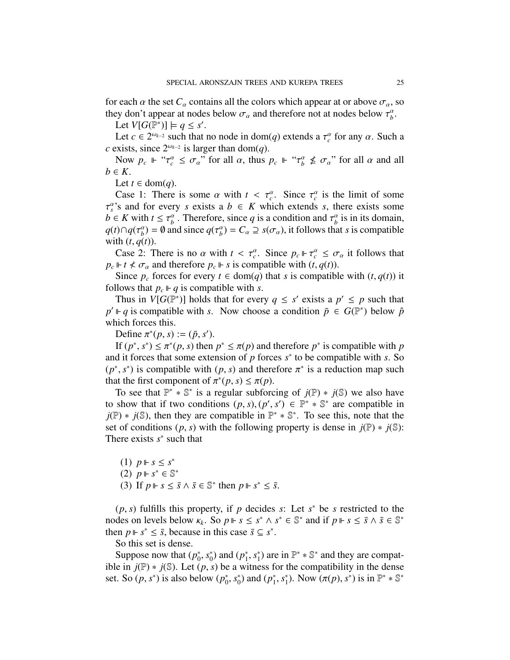for each  $\alpha$  the set  $C_{\alpha}$  contains all the colors which appear at or above  $\sigma_{\alpha}$ , so they don't appear at nodes below  $\sigma_{\alpha}$  and therefore not at nodes below  $\tau_{b}^{\alpha}$ .<br> **L** et  $V[G(\mathbb{P}^*)] \models a \leq s'$ 

Let  $V[G(\mathbb{P}^*)] \models q \leq s'.$ 

Let  $c \in 2^{\omega_{k-2}}$  such that no node in dom(*q*) extends a  $\tau_c^{\alpha}$  for any  $\alpha$ . Such a vists since  $2^{\omega_{k-2}}$  is larger than dom(*a*) *c* exists, since  $2^{\omega_{k-2}}$  is larger than dom(*q*).

Now  $p_c \Vdash " \tau_c^{\alpha} \le \sigma_{\alpha}^{\alpha}$  for all  $\alpha$ , thus  $p_c \Vdash " \tau_b^{\alpha} \nle \sigma_{\alpha}^{\alpha}$  for all  $\alpha$  and all  $\epsilon \in K$  $b \in K$ .

Let *t* ∈ dom(*q*).

Case 1: There is some  $\alpha$  with  $t < \tau_c^{\alpha}$ . Since  $\tau_c^{\alpha}$  is the limit of some  $c_s$  and for every  $s$  exists  $a, b \in K$  which extends  $s$  there exists some  $b \in K$  with  $t \leq \tau_b^{\alpha}$ . Therefore, since *q* is a condition and  $\tau_b^{\alpha}$  is in its domain,<br> $a(t) \cap a(\tau^{\alpha}) = 0$  and since  $a(\tau^{\alpha}) = C \supset s(\tau)$  it follows that s is compatible  $a^s$ 's and for every *s* exists a  $b \in K$  which extends *s*, there exists some  $q(t) \cap q(\tau_b^{\alpha}) = \emptyset$  and since  $q(\tau_b^{\alpha}) = C_{\alpha} \supseteq s(\sigma_{\alpha})$ , it follows that *s* is compatible with  $(t, q(t))$ with  $(t, q(t))$ .

Case 2: There is no  $\alpha$  with  $t < \tau_c^{\alpha}$ . Since  $p_c \Vdash \tau_c^{\alpha} \leq \sigma_{\alpha}$  it follows that  $\Vdash t \prec \sigma$  and therefore  $n \Vdash s$  is compatible with  $(t, \alpha(t))$  $p_c \Vdash t \leq \sigma_\alpha$  and therefore  $p_c \Vdash s$  is compatible with  $(t, q(t))$ .

Since  $p_c$  forces for every  $t \in \text{dom}(q)$  that *s* is compatible with  $(t, q(t))$  it follows that  $p_c \Vdash q$  is compatible with *s*.

Thus in  $V[G(\mathbb{P}^*)]$  holds that for every  $q \leq s'$  exists a  $p' \leq p$  such that  $p' \Vdash q$  is compatible with *s*. Now choose a condition  $\bar{p} \in G(\mathbb{P}^*)$  below  $\hat{p}$ which forces this.

Define  $\pi^*(p, s) := (\bar{p}, s')$ .<br>If  $(p^*, s^*) < \pi^*(p, s)$  then

If  $(p^*, s^*) \leq \pi^*(p, s)$  then  $p^* \leq \pi(p)$  and therefore  $p^*$  is compatible with *p*<br>d it forces that some extension of *p* forces  $s^*$  to be compatible with *s*. So and it forces that some extension of  $p$  forces  $s^*$  to be compatible with  $s$ . So ( $p^*$ ,  $s^*$ ) is compatible with ( $p$ ,  $s$ ) and therefore  $\pi^*$  is a reduction map such that the first component of  $\pi^*(p, s) \leq \pi(p)$ that the first component of  $\pi^*(p, s) \leq \pi(p)$ .<br>To see that  $\mathbb{P}^* * \mathbb{S}^*$  is a regular subforc

To see that  $\mathbb{P}^* * \mathbb{S}^*$  is a regular subforcing of  $j(\mathbb{P}) * j(\mathbb{S})$  we also have to show that if two conditions  $(p, s), (p', s') \in \mathbb{P}^* * \mathbb{S}^*$  are compatible in  $i(\mathbb{P}) * i(\mathbb{S})$  then they are compatible in  $\mathbb{P}^* * \mathbb{S}^*$ . To see this, note that the  $j(\mathbb{P}) * j(\mathbb{S})$ , then they are compatible in  $\mathbb{P}^* * \mathbb{S}^*$ . To see this, note that the set of conditions  $(p, s)$  with the following property is dense in  $j(\mathbb{P}) \ast j(\mathbb{S})$ : There exists  $s^*$  such that

(1)  $p \Vdash s ≤ s^*$ (2)  $p \Vdash s^* \in \mathbb{S}^*$ (3) If  $p \Vdash s \leq \overline{s} \land \overline{s} \in \mathbb{S}^*$  then  $p \Vdash s^* \leq \overline{s}$ .

(*p*, *s*) fulfills this property, if *p* decides *s*: Let *s*<sup>\*</sup> be *s* restricted to the des on levels below  $\kappa$ . So  $n \vDash s \leq s^* \land s^* \in \mathbb{S}^*$  and if  $n \vDash s \leq \overline{s} \land \overline{s} \in \mathbb{S}^*$ nodes on levels below  $\kappa_k$ . So  $p \Vdash s \leq s^* \wedge s^* \in \mathbb{S}^*$  and if  $p \Vdash s \leq \bar{s} \wedge \bar{s} \in \mathbb{S}^*$ <br>then  $n \Vdash s^* \leq \bar{s}$  because in this case  $\bar{s} \subset s^*$ then  $p \Vdash s^* \leq \overline{s}$ , because in this case  $\overline{s} \subseteq s^*$ .

So this set is dense.

Suppose now that  $(p_0^*)$  $\int_0^*$ ,  $s_0^*$  $_{0}^{*}$ ) and  $(p_{1}^{*})$  $\sum_{i=1}^* s_1^*$  $_{1}^{*}$ ) are in  $\mathbb{P}^{*} * \mathbb{S}^{*}$  and they are compatible in  $j(\mathbb{P}) * j(\mathbb{S})$ . Let  $(p, s)$  be a witness for the compatibility in the dense set. So  $(p, s^*)$  is also below  $(p_0^*$  $\int_0^*$ ,  $s_0^*$  $_{0}^{*}$ ) and  $(p_{1}^{*})$  $j^*, s_1^*$ <sup>\*</sup><sub>1</sub>). Now  $(\pi(p), s^*)$  is in  $\mathbb{P}^* * \mathbb{S}^*$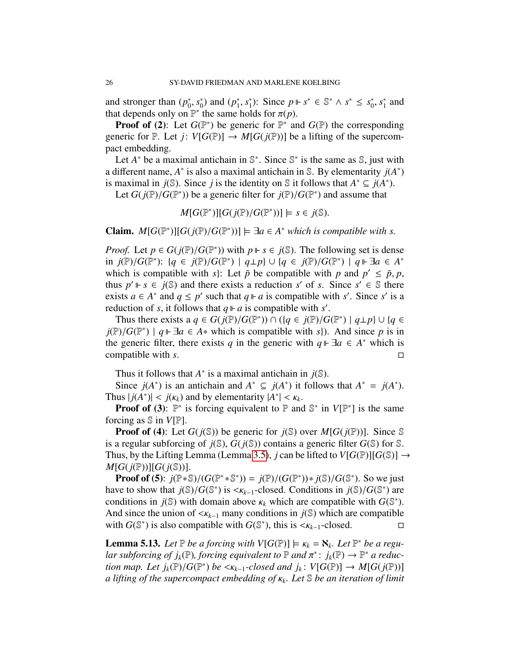and stronger than  $(p_0^*$ 0 , *s* ∗  $_{0}^{*}$ ) and  $(p_{1}^{*})$  $\sum_{1}^{*}$ ,  $s_1^*$ <sup>\*</sup><sub>1</sub>): Since  $p \Vdash s^* \in \mathbb{S}^* \wedge s^* \leq s_0^*$  $_{0}^{\ast}$ ,  $s_{1}^{\ast}$  $i<sub>1</sub>$  and that depends only on  $\mathbb{P}^*$  the same holds for  $\pi(p)$ .<br>**Proof of** (2): Let  $G(\mathbb{P}^*)$  be generic for  $\mathbb{P}^*$  and

**Proof of (2):** Let  $G(\mathbb{P}^*)$  be generic for  $\mathbb{P}^*$  and  $G(\mathbb{P})$  the corresponding generic for  $\mathbb P$ . Let  $j: V[G(\mathbb P)] \to M[G(j(\mathbb P))]$  be a lifting of the supercompact embedding.

Let  $A^*$  be a maximal antichain in  $\mathbb{S}^*$ . Since  $\mathbb{S}^*$  is the same as  $\mathbb{S}$ , just with a different name,  $A^*$  is also a maximal antichain in S. By elementarity  $j(A^*)$ is maximal in *j*(*S*). Since *j* is the identity on *S* it follows that  $A^* \subseteq j(A^*)$ .

Let  $G(j(\mathbb{P})/G(\mathbb{P}^*))$  be a generic filter for  $j(\mathbb{P})/G(\mathbb{P}^*)$  and assume that

 $M[G(\mathbb{P}^*)][G(j(\mathbb{P})/G(\mathbb{P}^*))] \models s \in j(\mathbb{S}).$ 

**Claim.**  $M[G(\mathbb{P}^*)][G(j(\mathbb{P})/G(\mathbb{P}^*))]$   $\models \exists a \in A^*$  *which is compatible with s.* 

*Proof.* Let  $p \in G(j(\mathbb{P})/G(\mathbb{P}^*))$  with  $p \Vdash s \in j(\mathbb{S})$ . The following set is dense in  $j(\mathbb{P})/G(\mathbb{P}^*)$ :  $\{a \in j(\mathbb{P})/G(\mathbb{P}^*) \mid a \mid p\} \cup \{a \in j(\mathbb{P})/G(\mathbb{P}^*) \mid a \Vdash \exists a \in A^*$ in *j*(P)/*G*(P<sup>\*</sup>): {*q* ∈ *j*(P)/*G*(P<sup>\*</sup>) | *q*⊥*p*} ∪ {*q* ∈ *j*(P)/*G*(P<sup>\*</sup>) | *q*  $\vdash$  ∃*a* ∈ *A*<sup>\*</sup> which is compatible with *s*<sup>1</sup>: Let  $\bar{p}$  be compatible with *n* and  $p' < \bar{p}$  *n* which is compatible with *s*): Let  $\bar{p}$  be compatible with *p* and  $p' \leq \bar{p}, p$ ,<br>thus  $p' \vDash s \in i(\mathbb{S})$  and there exists a reduction s' of s. Since s'  $\in \mathbb{S}$  there thus  $p' \Vdash s \in j(\mathbb{S})$  and there exists a reduction *s'* of *s*. Since  $s' \in \mathbb{S}$  there exists  $a \in A^*$  and  $q \leq p'$  such that  $q \Vdash a$  is compatible with *s'*. Since *s'* is a reduction of *s*, it follows that  $q \Vdash a$  is compatible with *s'*.

Thus there exists a  $q \in G(j(\mathbb{P})/G(\mathbb{P}^*)) \cap (\{q \in j(\mathbb{P})/G(\mathbb{P}^*) \mid q \perp p\} \cup \{q \in \mathbb{P}/G(\mathbb{P}^*) \mid a \Vdash \exists q \in A^*$  which is compatible with s) And since *n* is in  $j(\mathbb{P})/G(\mathbb{P}^*)$  |  $q \Vdash \exists a \in A^*$  which is compatible with *s*}). And since *p* is in the generic filter there exists *a* in the generic with  $a \Vdash \exists a \in A^*$  which is the generic filter, there exists *q* in the generic with  $q \Vdash \exists a \in A^*$  which is compatible with *s*.

Thus it follows that  $A^*$  is a maximal antichain in  $j(\mathbb{S})$ .

Since  $j(A^*)$  is an antichain and  $A^* \subseteq j(A^*)$  it follows that  $A^* = j(A^*)$ . Thus  $|j(A^*)| < j(\kappa_k)$  and by elementarity  $|A^*| < \kappa_k$ .<br>**Proof of (3)**:  $\mathbb{P}^*$  is forcing equivalent to  $\mathbb{P}$  and

**Proof of (3):**  $\mathbb{P}^*$  is forcing equivalent to  $\mathbb{P}$  and  $\mathbb{S}^*$  in  $V[\mathbb{P}^*]$  is the same forcing as S in *V*[P].

**Proof of (4):** Let  $G(j(\mathbb{S}))$  be generic for  $j(\mathbb{S})$  over  $M[G(j(\mathbb{P}))]$ . Since  $\mathbb{S}$ is a regular subforcing of  $j(\mathbb{S})$ ,  $G(j(\mathbb{S}))$  contains a generic filter  $G(\mathbb{S})$  for  $\mathbb{S}$ . Thus, by the Lifting Lemma (Lemma [3.5\)](#page-6-2), *j* can be lifted to  $V[G(\mathbb{P})][G(\mathbb{S})] \rightarrow$  $M[G(j(\mathbb{P}))][G(j(\mathbb{S}))].$ 

**Proof of (5):**  $j(\mathbb{P} * \mathbb{S})/(G(\mathbb{P}^* * \mathbb{S}^*)) = j(\mathbb{P})/(G(\mathbb{P}^*)) * j(\mathbb{S})/G(\mathbb{S}^*)$ . So we just we to show that  $j(\mathbb{S})/G(\mathbb{S}^*)$  is  $\lt \nu$ , sclosed. Conditions in  $j(\mathbb{S})/G(\mathbb{S}^*)$  are have to show that  $j(\mathbb{S})/G(\mathbb{S}^*)$  is < $\kappa_{k-1}$ -closed. Conditions in  $j(\mathbb{S})/G(\mathbb{S}^*)$  are conditions in  $j(\mathbb{S})$  with domain above  $\kappa$ , which are compatible with  $G(\mathbb{S}^*)$ conditions in *j*( $\mathbb{S}$ ) with domain above  $\kappa_k$  which are compatible with *G*( $\mathbb{S}^*$ ).<br>And since the union of  $\leq \kappa_{k+1}$  many conditions in *i*( $\mathbb{S}$ ) which are compatible And since the union of  $\langle K_{k-1}$  many conditions in *j*(\in ) which are compatible with  $G(\mathbb{S}^*)$  is also compatible with  $G(\mathbb{S}^*)$ , this is  $\langle K_{k-1}$ -closed. with  $G(\mathbb{S}^*)$  is also compatible with  $G(\mathbb{S}^*)$ , this is < $\kappa_{k-1}$ -closed.

<span id="page-25-0"></span>**Lemma 5.13.** Let  $\mathbb{P}$  be a forcing with  $V[G(\mathbb{P})] \models \kappa_k = \aleph_k$ . Let  $\mathbb{P}^*$  be a regu-<br>lar subforcing of  $i_1(\mathbb{P})$  forcing equivalent to  $\mathbb{P}$  and  $\pi^* \colon i_1(\mathbb{P}) \to \mathbb{P}^*$  a reduc*lar subforcing of j<sub>k</sub>*( $\mathbb{P}$ )*, forcing equivalent to*  $\mathbb{P}$  *and*  $\pi^*$ : *j<sub>k</sub>*( $\mathbb{P}$ )  $\rightarrow \mathbb{P}^*$  *a reduction map Let i.*  $(\mathbb{P})/G(\mathbb{P}^*)$  be  $\lt \kappa$ , *seclosed and i.*  $V[G(\mathbb{P})] \rightarrow M[G(j(\mathbb{P}))]$ *tion map. Let*  $j_k(\mathbb{P})/G(\mathbb{P}^*)$  *be*  $\langle k_{k-1}$ -closed and  $j_k: V[G(\mathbb{P})] \to M[G(j(\mathbb{P}))]$ <br>a lifting of the supercompact embedding of  $\kappa$ . Let  $\mathbb{S}$  be an iteration of limit *a lifting of the supercompact embedding of* <sup>κ</sup>*<sup>k</sup> . Let* S *be an iteration of limit*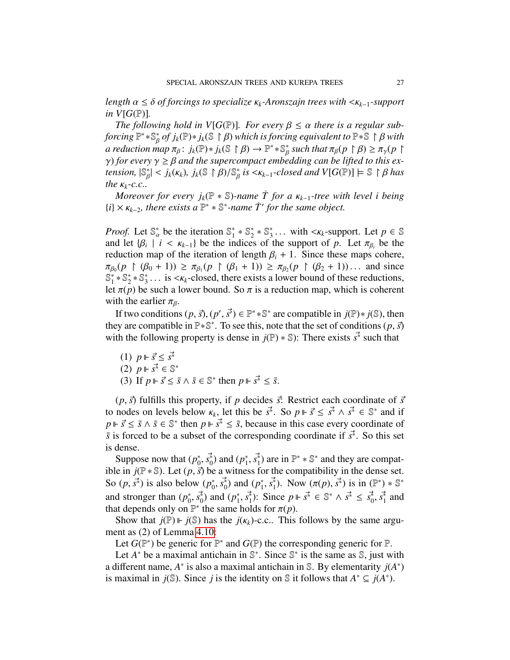*length* α <sup>≤</sup> δ *of forcings to specialize* κ*<sup>k</sup>-Aronszajn trees with* <κ*<sup>k</sup>*−1*-support in V*[ $G(\mathbb{P})$ ].

*The following hold in V*[ $G(\mathbb{P})$ ]. For every  $\beta \leq \alpha$  there is a regular sub*forcing*  $\mathbb{P}^* * \mathbb{S}^*_{\beta}$  *of j<sub>k</sub>*( $\mathbb{P}$ )  $* j_k(\mathbb{S} \restriction \beta)$  *which is forcing equivalent to*  $\mathbb{P} * \mathbb{S} \restriction \beta$  *with a reduction man*  $\pi_{\delta}: i(\mathbb{P}) * i(\mathbb{S} \restriction \beta) \to \mathbb{P}^* * \mathbb{S}^*$  *such that*  $\pi_{\delta}(n \restriction \beta$ *a* reduction map  $\pi_{\beta}$ :  $j_k(\mathbb{P}) * j_k(\mathbb{S} \restriction \beta) \to \mathbb{P}^* * \mathbb{S}_{\beta}^*$  such that  $\pi_{\beta}(p \restriction \beta) \ge \pi_{\gamma}(p \restriction \beta)$ <br>*(b)* for every  $\gamma > \beta$  and the superconnact embedding can be lifted to this ex*γ*) *for every*  $γ ≥ β$  *and the supercompact embedding can be lifted to this extension*  $\mathbb{S}^*$  |  $lt; i_r(\kappa) - i_r(\mathbb{S} \restriction \beta)/\mathbb{S}^*$  *is*  $lt; \kappa_{r-1}$ -closed and VIG( $\mathbb{P}$ ) |  $\mathbb{S} \restriction \beta$  has *tension,*  $|\mathbb{S}_{\beta}^{*}| < j_{k}(\kappa_{k})$ ,  $j_{k}(\mathbb{S} \restriction \beta)/\mathbb{S}_{\beta}^{*}$  *is*  $\langle \kappa_{k-1} \cdot closed$  *and*  $V[G(\mathbb{P})] \models \mathbb{S} \restriction \beta$  *has* the  $\kappa_{k-1}c$  *c* β Γ *the*  $K_k$ *-c.c..* 

*Moreover for every j<sub>k</sub>*( $\mathbb{P}$  \*  $\mathbb{S}$ )-name *T* for a  $\kappa_{k-1}$ -tree with level i being  $\{i\} \times \kappa_{k-2}$ , there exists a  $\mathbb{P}^* * \mathbb{S}^*$ -name  $\dot{T}'$  for the same object.

*Proof.* Let  $\mathbb{S}_{\alpha}^{*}$  be the iteration  $\mathbb{S}_{1}^{*}$  $_{1}^{*}$   $*$   $\mathbb{S}_{2}^{*}$  ${}^{*}_{2} * S^{*}_{3}$ <sup>3</sup>... with < $\kappa_k$ -support. Let  $p \in \mathbb{S}$ <br>the support of *p* I et  $\pi_e$  be the and let  $\{\beta_i \mid i \leq \kappa_{k-1}\}$  be the indices of the support of *p*. Let  $\pi_{\beta_i}$  be the reduction man of the iteration of length  $\beta_i + 1$ . Since these mans cohere reduction map of the iteration of length  $\beta_i + 1$ . Since these maps cohere, **′**∙β0<br>S\*  $(p \restriction (\beta_0 + 1)) \ge \pi_{\beta_1}(p \restriction (\beta_1 + 1)) \ge \pi_{\beta_2}(p \restriction (\beta_2 + 1)) \dots$  and since  $* \mathbb{S}^* * \mathbb{S}^*$  is  $\lt \kappa$ -closed there exists a lower bound of these reductions  $^*_1 * \mathbb{S}_2^*$  $2^*$   $\mathbb{S}_3^*$  $\frac{3}{2}$ ... is  $\lt k_k$ -closed, there exists a lower bound of these reductions, let  $\pi(p)$  be such a lower bound. So  $\pi$  is a reduction map, which is coherent with the earlier  $\pi_{\beta}$ .

If two conditions  $(p, \vec{s})$ ,  $(p', \vec{s'}) \in \mathbb{P}^* * \mathbb{S}^*$  are compatible in  $j(\mathbb{P}) * j(\mathbb{S})$ , then <br>the set of conditions  $(p, \vec{s})$ they are compatible in  $\mathbb{P} * \mathbb{S}^*$ . To see this, note that the set of conditions  $(p, \vec{s})$ <br>with the following property is dense in  $i(\mathbb{P}) * \mathbb{S}$ . There exists  $s^*$  such that with the following property is dense in  $j(\mathbb{P}) * \mathbb{S}$ : There exists  $\vec{s}^*$  such that

(1)  $p \Vdash \vec{s} \leq \vec{s}^*$ (2)  $p \Vdash \vec{s}^* \in \mathbb{S}^*$ <br>(3) If  $p \Vdash \vec{s} < \vec{s}$ (3) If  $p \Vdash \vec{s} \leq \vec{s} \land \vec{s} \in \mathbb{S}^*$  then  $p \Vdash \vec{s^*} \leq \vec{s}$ .

 $(p, \vec{s})$  fulfills this property, if *p* decides  $\vec{s}$ : Restrict each coordinate of  $\vec{s}$ to nodes on levels below  $\kappa_k$ , let this be  $s^*$ . So  $p \Vdash \vec{s} \leq s^* \wedge s^* \in \mathbb{S}^*$  and if  $p \Vdash \vec{s} \leq s \wedge \vec{s} \in \mathbb{S}^*$  then  $p \Vdash \vec{s} \leq \vec{s}$  because in this case every coordinate of  $p \Vdash \vec{s} \leq \vec{s} \land \vec{s} \in \mathbb{S}^*$  then  $p \Vdash \vec{s}^* \leq \vec{s}$ , because in this case every coordinate of  $\vec{s}$  s forced to be a subset of the corresponding coordinate if  $\vec{s}^*$ . So this set *s* is forced to be a subset of the corresponding coordinate if *s*<sup>∗</sup>. So this set is dense.

Suppose now that  $(p_0^*)$  $(\rho_0^*, \vec{s_0})$  and  $(\rho_1^*)$ <br>  $\vec{s}$  be a witner <sup>\*</sup><sub>1</sub>,  $s_1^*$ ) are in  $\mathbb{P}^* * \mathbb{S}^*$  and they are compat-<br>•ss for the compatibility in the dense set ible in  $j(\mathbb{P} * \mathbb{S})$ . Let  $(p, \vec{s})$  be a witness for the compatibility in the dense set.<br>So  $(p, \vec{s})$  is also below  $(p^*, \vec{s})$  and  $(p^*, \vec{s})$ . Now  $(\pi(p), \vec{s})$  is in  $(\mathbb{P}^*) * \mathbb{S}^*$ So  $(p, \vec{s^*})$  is also below  $(p_0^*, \vec{s^*})$  $\vec{r}_0, \vec{s}_0^*$ ) and  $(p_1^*$ <sup>\*</sup><sub>1</sub>, *s*<sup>\*</sup><sub>1</sub>). Now  $(\pi(p), s^* )$  is in  $(\mathbb{P}^*) * \mathbb{S}^*$ and stronger than  $(p_0^*$  $\binom{*}{0}, \vec{s}^*_{0}$  and  $(p^*_{1})^*$ <sup>\*</sup><sub>1</sub>, *s*<sup>\*</sup><sub>1</sub>): Since *p* ⊩ *s*<sup>\*</sup> ∈  $\mathbb{S}^* \wedge s^* \le s_0^*$ ,  $s_1^*$  and  $\vdots$  bolds for  $\pi(n)$ that depends only on  $\mathbb{P}^*$  the same holds for  $\pi(p)$ .<br>Show that  $i(\mathbb{P}) \models i(\mathbb{S})$  has the  $i(\kappa)$ -c c. This

Show that  $j(\mathbb{P}) \vDash j(\mathbb{S})$  has the  $j(\kappa_k)$ -c.c.. This follows by the same argument as (2) of Lemma [4.10:](#page-12-0)

Let  $G(\mathbb{P}^*)$  be generic for  $\mathbb{P}^*$  and  $G(\mathbb{P})$  the corresponding generic for  $\mathbb{P}$ .

Let  $A^*$  be a maximal antichain in  $\mathbb{S}^*$ . Since  $\mathbb{S}^*$  is the same as  $\mathbb{S}$ , just with a different name,  $A^*$  is also a maximal antichain in S. By elementarity  $j(A^*)$ is maximal in *j*(*S*). Since *j* is the identity on *S* it follows that  $A^* \subseteq j(A^*)$ .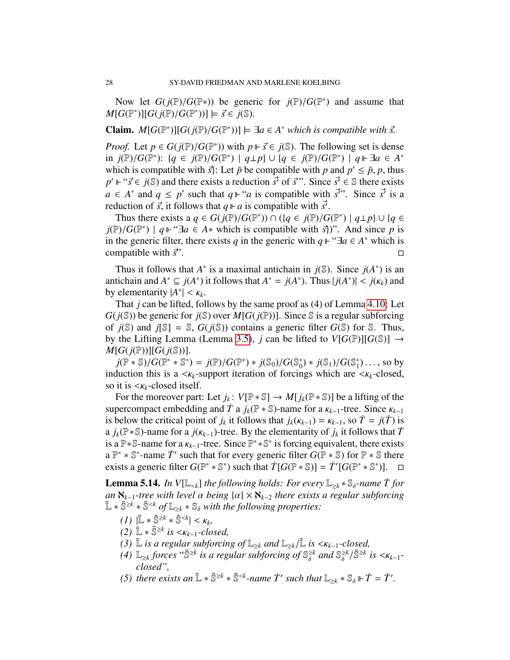Now let *G*(*j*( $\mathbb{P}/G(\mathbb{P}*)$ ) be generic for *j*( $\mathbb{P}/G(\mathbb{P}^*)$  and assume that  $G(\mathbb{P}^*)\Pi G(j(\mathbb{P})/G(\mathbb{P}^*))\Gamma \vdash \vec{\zeta} \in i(\mathbb{S})$  $M[G(\mathbb{P}^*)][G(j(\mathbb{P})/G(\mathbb{P}^*))] \models \vec{s} \in j(\mathbb{S}).$ 

**Claim.** *M*[ $G(\mathbb{P}^*)$ ][ $G(j(\mathbb{P})/G(\mathbb{P}^*))$ ]  $\models \exists a \in A^*$  which is compatible with  $\vec{s}$ .

*Proof.* Let  $p \in G(j(\mathbb{P})/G(\mathbb{P}^*))$  with  $p \Vdash \vec{s} \in j(\mathbb{S})$ . The following set is dense in  $i(\mathbb{P})/G(\mathbb{P}^*)$ :  $\{a \in i(\mathbb{P})/G(\mathbb{P}^*) \mid a \models b\}$   $|\{a \in i(\mathbb{P})/G(\mathbb{P}^*) \mid a \models \exists a \in A^*$ in *j*(P)/*G*(P<sup>\*</sup>): {*q* ∈ *j*(P)/*G*(P<sup>\*</sup>) | *q*⊥*p*} ∪ {*q* ∈ *j*(P)/*G*(P<sup>\*</sup>) | *q* ⊩ ∃*a* ∈ *A*<sup>\*</sup><br>which is compatible with  $\vec{S}$ : Let  $\vec{p}$  be compatible with *p* and  $p' < \vec{p}$ , *p* thus which is compatible with  $\vec{s}$ : Let  $\vec{p}$  be compatible with *p* and  $p' \leq \vec{p}$ , *p*, thus  $p' \in \vec{s} \in \vec{s}$  and there exists a reduction  $\vec{s'}$  of  $\vec{s}$ . Since  $\vec{s'} \in \vec{s}$  there exists  $p' \Vdash ``\vec{s} \in j(\mathbb{S})$  and there exists a reduction  $\vec{s'}$  of  $\vec{s}$ ". Since  $\vec{s'} \in \mathbb{S}$  there exists  $a \in A^*$  and  $a \leq n'$  such that  $a \Vdash ``a$  is compatible with  $\vec{s''}$ . Since  $\vec{s'}$  is a *a* ∈ *A*<sup>\*</sup> and *q* ≤ *p*<sup>'</sup> such that *q*  $\Vdash$  "*a* is compatible with *s*<sup>7</sup>". Since *s*<sup>7</sup> is a advation of  $\vec{r}$  is the law that  $\vec{r}$  is a compatible with  $\vec{r}$ reduction of  $\vec{s}$ , it follows that  $q \Vdash a$  is compatible with  $\vec{s'}$ .<br>Thus there exists a  $a \in G(j\mathbb{P})/G(\mathbb{P}^*)) \cap (a \in j(\mathbb{P})/G$ 

Thus there exists a  $q \in G(j(\mathbb{P})/G(\mathbb{P}^*)) \cap (\{q \in j(\mathbb{P})/G(\mathbb{P}^*) \mid q \perp p\} \cup \{q \in \mathbb{P}/G(\mathbb{P}^*) \mid a \Vdash \mathcal{F} \subseteq A_*$  which is compatible with  $\mathcal{F}$ ). And since *n* is  $j(\mathbb{P})/G(\mathbb{P}^*)$  |  $q \Vdash \mathcal{F}$  *a* ∈ *A*<sup>\*</sup> which is compatible with  $\vec{s}$ )". And since *p* is *in the generic filter there exists <i>a* in the generic with  $a \Vdash \mathcal{F}$   $a \in A^*$  which is in the generic filter, there exists *q* in the generic with  $q \Vdash \text{``} \exists a \in A^*$  which is compatible with  $\vec{s}$ ".

Thus it follows that  $A^*$  is a maximal antichain in  $j(\mathbb{S})$ . Since  $j(A^*)$  is an antichain and  $A^* \subseteq j(A^*)$  it follows that  $A^* = j(A^*)$ . Thus  $|j(A^*)| < j(\kappa_k)$  and by elementarity  $|A^*| < \kappa$ . by elementarity  $|A^*| < \kappa_k$ .<br>That *i* can be lifted fol

That *j* can be lifted, follows by the same proof as (4) of Lemma [4.10:](#page-12-0) Let  $G(j(\mathbb{S}))$  be generic for  $j(\mathbb{S})$  over  $M[G(j(\mathbb{P}))]$ . Since  $\mathbb{S}$  is a regular subforcing of  $j(\mathbb{S})$  and  $j[\mathbb{S}] = \mathbb{S}$ ,  $G(j(\mathbb{S}))$  contains a generic filter  $G(\mathbb{S})$  for  $\mathbb{S}$ . Thus, by the Lifting Lemma (Lemma [3.5\)](#page-6-2), *j* can be lifted to  $V[G(\mathbb{P})][G(\mathbb{S})] \rightarrow$  $M[G(j(\mathbb{P}))][G(j(\mathbb{S}))].$ 

 $j(\mathbb{P} * \mathbb{S})/G(\mathbb{P}^* * \mathbb{S}^*) = j(\mathbb{P})/G(\mathbb{P}^*) * j(\mathbb{S}_0)/G(\mathbb{S}_0^*)$ <br>luction this is a  $\lt \epsilon_i$ -support iteration of forcing <sup>\*</sup><sub>0</sub> $\frac{1}{2}$  \*  $j(\mathbb{S}_1)/G(\mathbb{S}_1^*$ <br>nos which are  $j_1^*$ )..., so by<br>  $\leq K_1$ -closed induction this is a  $\langle \kappa_k$ -support iteration of forcings which are  $\langle \kappa_k$ -closed, so it is <κ*<sup>k</sup>*-closed itself.

For the moreover part: Let  $j_k$ :  $V[\mathbb{P} * \mathbb{S}] \to M[j_k(\mathbb{P} * \mathbb{S})]$  be a lifting of the supercompact embedding and  $\dot{T}$  a  $j_k(\mathbb{P} \cdot \mathbb{S})$ -name for a  $\kappa_{k-1}$ -tree. Since  $\kappa_{k-1}$ is below the critical point of *j<sub>k</sub>* it follows that  $j_k(k_{k-1}) = k_{k-1}$ , so  $\dot{T} = j(\dot{T})$  is<br>a *j*<sub>*i*</sub>( $\mathbb{P}$ \* $\mathbb{S}$ )-name for a *j*( $\kappa$ <sub>i</sub>, *j*)-tree. By the elementarity of *j<sub>c</sub>* it follows that  $\dot{T}$ a  $j_k(\mathbb{P} * \mathbb{S})$ -name for a  $j(k_{k-1})$ -tree. By the elementarity of  $j_k$  it follows that  $\tilde{T}$  is a  $\mathbb{P} * \mathbb{S}$ -name for a  $k_{k-1}$ -tree. Since  $\mathbb{P}^* * \mathbb{S}^*$  is forcing equivalent, there exists is a P<sup>\*</sup>S-name for a  $\kappa_{k-1}$ -tree. Since P<sup>\*</sup> \*S<sup>\*</sup> is forcing equivalent, there exists a  $\mathbb{P}^*$  \*  $\mathbb{S}^*$ -name  $\dot{T}'$  such that for every generic filter  $G(\mathbb{P} * \mathbb{S})$  for  $\mathbb{P} * \mathbb{S}$  there a  $\mathbb{P}^* * \mathbb{S}^*$ -name  $\dot{T}'$  such that for every generic filter  $G(\mathbb{P} * \mathbb{S})$  for  $\mathbb{P} * \mathbb{S}$  there exists a generic filter  $G(\mathbb{P}^* * \mathbb{S}^*)$  such that  $\dot{T}[G(\mathbb{P} * \mathbb{S})] = \dot{T}'[G(\mathbb{P}^* * \mathbb{S}^*)]$ . □

<span id="page-27-0"></span>**Lemma 5.14.** *In V*[ $\mathbb{L}_{< k}$ ] *the following holds: For every*  $\mathbb{L}_{\geq k} * \mathbb{S}_{\delta}$ -name *T* for *an*  $\aleph_{k-1}$ -tree with level  $\alpha$  being  $\{\alpha\} \times \aleph_{k-2}$  there exists a regular subforcing  $\mathbb{L} * \overline{\mathbb{S}}^{\geq k} * \overline{\mathbb{S}}^{< k}$  *of*  $\mathbb{L}_{\geq k} * \mathbb{S}_{\delta}$  *with the following properties:* 

- $(L)$   $|\bar{L} * \bar{S}^{\geq k} * \bar{S}^{< k}| < K_k,$ <br>  $(L)$   $|\bar{L} * \bar{S}^{\geq k}$  is  $\lt K_{k+1}$   $\lt L_{k+1}$
- $(2)$   $\bar{L}$  ∗  $\bar{S}^{≥k}$  *is <K<sub>k-1</sub>-closed,*<br>  $(3)$   $\bar{L}$  *is a regular subforcin*
- *(3)*  $\bar{L}$  *is a regular subforcing of*  $\mathbb{L}_{\geq k}$  *and*  $\mathbb{L}_{\geq k}/\bar{L}$  *is* <*K*<sub>*k*−1</sub>*-closed,*
- *(4)*  $\mathbb{L}_{\geq k}$  *forces* " $\overline{\mathbb{S}}^{\geq k}$  *is a regular subforcing of*  $\mathbb{S}_{\delta}^{\geq k}$  *and*  $\mathbb{S}_{\delta}^{\geq k}$  */* $\overline{\mathbb{S}}^{\geq k}$  *is* < *K<sub>k−1</sub>*-*closed*" *closed",*
- *(5) there exists an*  $\mathbb{L} * \overline{\mathbb{S}}^{\geq k} * \overline{\mathbb{S}}^{< k}$ -name  $\dot{T}'$  such that  $\mathbb{L}_{\geq k} * \mathbb{S}_{\delta} \Vdash \dot{T} = \dot{T}'$ .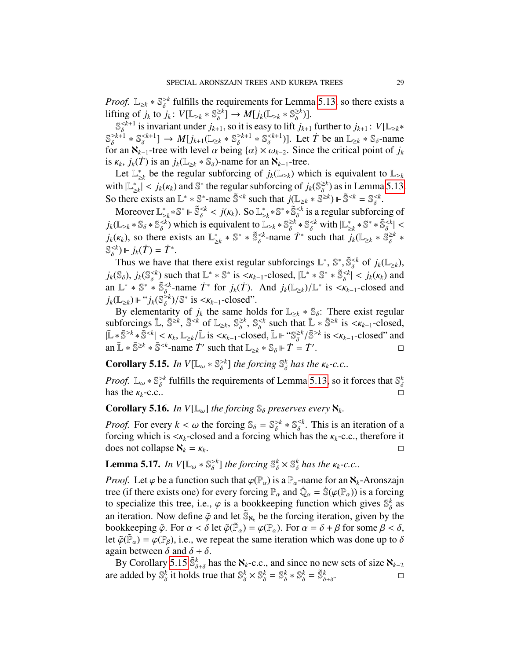*Proof.*  $\mathbb{L}_{\geq k} * \mathbb{S}_{\delta}^{>k}$  fulfills the requirements for Lemma [5.13,](#page-25-0) so there exists a lifting of  $j_k$  to  $j_k$ :  $V[\mathbb{L}_{\geq k} * \mathbb{S}_{\delta}^{\geq k}] \to M[j_k(\mathbb{L}_{\geq k} * \mathbb{S}_{\delta}^{\geq k})].$ 

 $\mathbb{S}_{\delta}^{< k+1}$  is invariant under  $j_{k+1}$ , so it is easy to lift  $j_{k+1}$  further to  $j_{k+1}$ :  $V[\mathbb{L}_{\geq k}^*]$  $\mathbb{S}_{\delta}^{\geq k+1} * \mathbb{S}_{\delta}^{< k+1} \rightarrow M[j_{k+1}(\mathbb{L}_{\geq k} * \mathbb{S}_{\delta}^{\geq k+1} * \mathbb{S}_{\delta}^{< k+1})]$ . Let  $\dot{T}$  be an  $\mathbb{L}_{\geq k} * \mathbb{S}_{\delta}$ -name for an  $\aleph_{k-1}$ -tree with level  $\alpha$  being  $\{\alpha\} \times \omega_{k-2}$ . Since the critical point of  $j_k$ <br>is  $\kappa_{k-1}$ ,  $(\vec{T})$  is an  $j_k(\mathbb{I}_{k+1}, \mathbb{S}_k)$ -name for an  $\aleph_{k-1}$ -tree is  $\kappa_k$ ,  $j_k(\dot{T})$  is an  $j_k(\mathbb{L}_{\geq k} * \mathbb{S}_{\delta})$ -name for an  $\aleph_{k-1}$ -tree.<br>Let  $\mathbb{L}^*$  be the regular subforcing of  $j_k(\mathbb{L}_{\geq k})$  wh

Let L<sup>\*</sup>  $\sum_{\geq k}$  be the regular subforcing of  $j_k(\mathbb{L}_{\geq k})$  which is equivalent to  $\mathbb{L}_{\geq k}$ with  $|\mathbb{L}_\infty^*$  $\sum_{\substack{k=1 \ n \text{ exists on }\mathbb{I}^*}}^{\infty}$  < *j<sub>k</sub>*( $\kappa_k$ ) and  $\mathbb{S}^*$  the regular subforcing of  $j_k(\mathbb{S}_{\delta}^{\geq k})$  as in Lemma [5.13.](#page-25-0) So there exists an  $\mathbb{L}^* * \mathbb{S}^*$ -name  $\tilde{\mathbb{S}}^{\leq k}$  such that  $j(\mathbb{L}_{\geq k} * \mathbb{S}^{\geq k}) \Vdash \tilde{\mathbb{S}}^{\leq k} = \mathbb{S}_{\delta}^{\leq k}$ .

Moreover  $\mathbb{L}_{\geq k}^* * \mathbb{S}^* \models \tilde{\mathbb{S}}_s^{< k} < j(\kappa_k)$ . So  $\mathbb{L}_{\geq k}^* * \mathbb{S}^* * \tilde{\mathbb{S}}_s^{< k}$  is a regular subfor  $\sum_{k=1}^{8} * \mathbb{S}^* \Vdash \tilde{\mathbb{S}}_0^{< k} < j(K_k)$ . So  $\mathbb{L}_2^*$ <br>  $\sum_{k=1}^{8}$  which is equivalent to  $\mathbb{R}$  $\sum_{\alpha=0}^{k} k^* \mathbb{S}^* * \mathbb{S}^{$ is a regular subforcing of  $j_k(\mathbb{L}_{\geq k} * \mathbb{S}_{\delta} \times \mathbb{S}_{\delta}^{\leq k})$  which is equivalent to  $\mathbb{L}_{\geq k} * \mathbb{S}_{\delta}^{\geq k} * \mathbb{S}_{\delta}^{\leq k}$  with  $|\mathbb{L}_{\geq k}^*|$  $j_k(\kappa_k)$ , so there exists an  $\mathbb{L}_{\geq k}^* * \mathbb{S}^* * \mathbb{S}_{\delta}^{-name  $\dot{T}^*$  such that  $\dot{j}_k(\mathbb{L}_{\geq k} * \mathbb{S})$$  $\sum_{\geq k}^* \mathbb{S}^* * \widetilde{\mathbb{S}}_{\delta}^{< k} \leq$  $\sum_{k=1}^{8}$  ∗ S<sup>\*</sup> ∗ S<sup><*k*</sup>-name  $\dot{T}$ <sup>\*</sup> such that  $\dot{j}_k(\mathbb{L}_{\geq k} * \mathbb{S}^{\geq k}_{\delta} *$  $\mathbb{S}_{\delta}^{< k}$ )  $\Vdash j_k(\dot{T}) = \dot{T}^*$ .

Thus we have that there exist regular subforcings  $\mathbb{L}^*, \mathbb{S}^*, \widetilde{\mathbb{S}}_{\delta}^{\leq k}$  of  $j_k(\mathbb{L}_{\geq k})$ ,<br>  $(\mathbb{S}_{\geq k})$ ,  $i_k(\mathbb{S}^{< k})$  such that  $\mathbb{I}^* * \mathbb{S}^*$  is  $\leq \kappa_k$ , closed  $|\mathbb{I}^* * \mathbb{S}^* * \mathbb{S}^{\leq k$  $j_k(\mathbb{S}_{\delta}), j_k(\mathbb{S}_{\delta}^{ such that  $\mathbb{L}^* * \mathbb{S}^*$  is  $\langle K_{k-1}$ -closed,  $|\mathbb{L}^* * \mathbb{S}^* * \mathbb{S}_{\delta}^{ and  $\mathbb{L}^* * \mathbb{S}^* * \mathbb{S}^{, and  $j_k(\mathbb{L}^*) \setminus \mathbb{L}^*$  is  $\langle K_{k-1}$ -closed and$$$ an  $\mathbb{L}^* * \mathbb{S}^* * \mathbb{S}^{< k}_{\delta}$ -name  $\dot{T}^*$  for  $j_k(\dot{T})$ . And  $j_k(\mathbb{L}_{\geq k})/\mathbb{L}^*$  is  $< \kappa_{k-1}$ -closed and  $j_k(\mathbb{L}_{\geq k}) \mathbb{L}^* : j_k(\mathbb{S}^{k})/\mathbb{S}^*$  is  $< \kappa_{k-1}$  closed.  $j_k(\mathbb{L}_{\geq k}) \Vdash ``j_k(\mathbb{S}_{\delta}^{\geq k})/\mathbb{S}^*$  is  $\lt k_{k-1}$ -closed".<br>By elementarity of *i*, the same ho

By elementarity of *j<sub>k</sub>* the same holds for  $\mathbb{L}_{\geq k} * \mathbb{S}_{\delta}$ : There exist regular because  $\bar{\mathbb{L}} \otimes \mathbb{R}^k$  and  $\bar{\mathbb{L}} \otimes \mathbb{R}^k$  is  $\leq k$  along subforcings  $\bar{\mathbb{L}}$ ,  $\bar{\mathbb{S}}^{\geq k}$ ,  $\bar{\mathbb{S}}^{< k}$  of  $\mathbb{L}_{\geq k}$ ,  $\mathbb{S}_{\delta}^{\geq k}$ ,  $\mathbb{S}_{\delta}^{< k}$  such that  $\bar{\mathbb{L}} * \bar{\mathbb{S}}^{\geq k}$  is  $\lt k_{k-1}$ -closed,<br> $\bar{\mathbb{I}} * \bar{\mathbb{S}}^{\geq k} \times \bar{\mathbb{S}}^{\leq k}$  is  $\lt \ell_{$  $\bar{\mathbb{L}} * \bar{\mathbb{S}}^{\geq k} * \bar{\mathbb{S}}^{< k} \leq \kappa_k, \mathbb{L}_{\geq k}/\bar{\mathbb{L}}$  is  $\lt \kappa_{k-1}$ -closed,  $\bar{\mathbb{L}} \Vdash \mathcal{S}_{\delta}^{\geq k}/\bar{\mathbb{S}}^{\geq k}$  is  $\lt \kappa_{k-1}$ -closed" and<br>an  $\bar{\mathbb{I}} * \bar{\mathbb{S}}^{\leq k} * \bar{\mathbb{S}}^{< k}$ -name  $\dot{T}'$  su | an  $\bar{\mathbb{L}} * \bar{\mathbb{S}}^{\geq k} * \bar{\mathbb{S}}^{< k}$ -name  $\dot{T}'$  such that  $\mathbb{L}_{\geq k} * \mathbb{S}_{\delta} \Vdash \dot{T} = \dot{T}'$ . В последните последните и последните и последните и последните и последните и последните и последните и посл<br>В последните и последните и последните и последните и последните и последните и последните и последните и посл

<span id="page-28-0"></span>**Corollary 5.15.** *In*  $V[\mathbb{L}_{\omega} * \mathbb{S}_{\delta}^{>k}]$  *the forcing*  $\mathbb{S}_{\delta}^{k}$  *has the*  $\kappa_{k}$ -*c.c..* 

*Proof.*  $\mathbb{L}_{\omega} * \mathbb{S}_{\delta} > k$  fulfills the requirements of Lemma [5.13,](#page-25-0) so it forces that  $\mathbb{S}_{\delta}^{k}$ has the  $\kappa_k$ -c.c.. δ has the  $\kappa_k$ -c.c...

**Corollary 5.16.** *In*  $V[\mathbb{L}_{\omega}]$  *the forcing*  $\mathbb{S}_{\delta}$  *preserves every*  $\aleph_k$ *.* 

*Proof.* For every  $k < \omega$  the forcing  $\mathbb{S}_{\delta} = \mathbb{S}_{\delta}^{>k} * \mathbb{S}_{\delta}^{\leq k}$ . This is an iteration of a forcing which has the  $\kappa_{i}$ -c c, therefore it forcing which is  $\langle K_k$ -closed and a forcing which has the  $K_k$ -c.c., therefore it does not collanse  $\mathbb{N}_k - \mathbb{N}_k$ does not collapse  $\aleph_k = \kappa_k$ . . В последните последните последните последните и се при последните последните последните последните последнит<br>В последните последните последните последните последните последните последните последните последните последнит

<span id="page-28-1"></span>**Lemma 5.17.** *In*  $V[\mathbb{L}_{\omega} * \mathbb{S}_{\delta} > k]$  *the forcing*  $\mathbb{S}_{\delta}^{k} \times \mathbb{S}_{\delta}^{k}$  *has the*  $\kappa_{k}$ *-c.c..* 

*Proof.* Let  $\varphi$  be a function such that  $\varphi(\mathbb{P}_{\alpha})$  is a  $\mathbb{P}_{\alpha}$ -name for an  $\aleph_k$ -Aronszajn tree (if there exists one) for every forcing  $\mathbb{P}$  and  $\hat{\mathbb{O}} = \hat{\mathbb{S}}(\varphi(\mathbb{P}))$  is a forcing tree (if there exists one) for every forcing  $\mathbb{P}_{\alpha}$  and  $\dot{\mathbb{Q}}_{\alpha} = \dot{\mathbb{S}}(\varphi(\mathbb{P}_{\alpha}))$  is a forcing to specialize this tree, i.e.,  $\alpha$  is a bookkeeping function which gives  $\mathbb{S}^{k}$  as to specialize this tree, i.e.,  $\varphi$  is a bookkeeping function which gives  $\mathbb{S}_{\delta}^{k}$  as an iteration. Now define  $\tilde{\varphi}$  and let  $\tilde{\mathbb{S}}_{\aleph_k}$  be the forcing iteration, given by the bookkeeping  $\tilde{\varphi}$ . For  $\alpha < \delta$  let  $\tilde{\varphi}(\tilde{\mathbb{P}}) = \varphi(\mathbb{P})$ . For  $\alpha = \delta + \beta$  for some  $\beta < \delta$ . bookkeeping  $\tilde{\varphi}$ . For  $\alpha < \delta$  let  $\tilde{\varphi}(\tilde{\mathbb{P}}_{\alpha}) = \varphi(\mathbb{P}_{\alpha})$ . For  $\alpha = \delta + \beta$  for some  $\beta < \delta$ ,<br>let  $\tilde{\varphi}(\tilde{\mathbb{P}}_{\alpha}) = \varphi(\mathbb{P}_{\alpha})$  i.e. we repeat the same iteration which was done up to  $\delta$ let  $\tilde{\varphi}(\tilde{\mathbb{P}}_{\alpha}) = \varphi(\mathbb{P}_{\beta})$ , i.e., we repeat the same iteration which was done up to  $\delta$  again between  $\delta$  and  $\delta + \delta$ again between  $\delta$  and  $\delta + \delta$ .

By Corollary [5.15](#page-28-0)  $\tilde{\mathbb{S}}_{\delta+\delta}^k$  has the  $\aleph_k$ -c.c., and since no new sets of size  $\aleph_{k-2}$ **are added by**  $\mathbb{S}_{\delta}^{k}$  it holds true that  $\mathbb{S}_{\delta}^{k} \times \mathbb{S}_{\delta}^{k} = \mathbb{S}_{\delta}^{k} * \mathbb{S}_{\delta}^{k} = \tilde{\mathbb{S}}_{\delta+\delta}^{k}$ .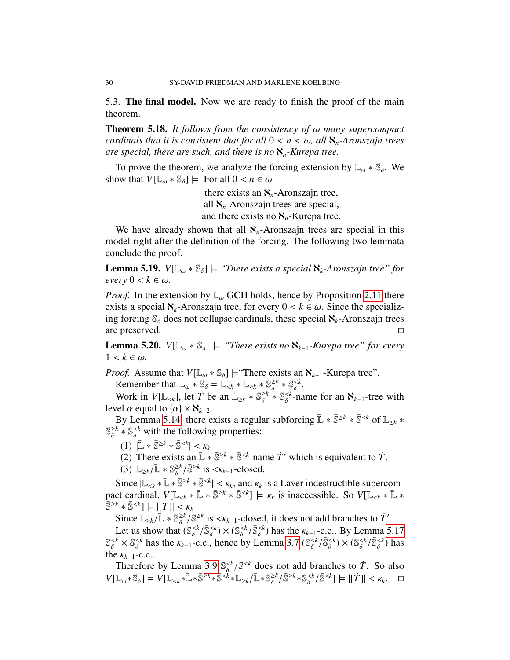5.3. The final model. Now we are ready to finish the proof of the main theorem.

Theorem 5.18. *It follows from the consistency of* ω *many supercompact cardinals that it is consistent that for all*  $0 \lt n \lt \omega$ , all  $\aleph_n$ -Aronszajn trees *are special, there are such, and there is no* ℵ*n-Kurepa tree.*

To prove the theorem, we analyze the forcing extension by  $\mathbb{L}_{\omega} * \mathbb{S}_{\delta}$ . We show that  $V[\mathbb{L}_{\omega} * \mathbb{S}_{\delta}] \models$  For all  $0 < n \in \omega$ 

> there exists an  $\aleph_n$ -Aronszajn tree, all  $\aleph_n$ -Aronszajn trees are special, and there exists no  $\aleph_n$ -Kurepa tree.

We have already shown that all  $\aleph_n$ -Aronszajn trees are special in this model right after the definition of the forcing. The following two lemmata conclude the proof.

**Lemma 5.19.** *V*[ $\mathbb{L}_{\omega} * \mathbb{S}_{\delta}$ ]  $\models$  *"There exists a special*  $\aleph_k$ *-Aronszajn tree" for*  $every\ 0 < k \in \omega$ .

*Proof.* In the extension by  $\mathbb{L}_{\omega}$  GCH holds, hence by Proposition [2.11](#page-4-1) there exists a special  $\aleph_k$ -Aronszajn tree, for every  $0 \lt k \in \omega$ . Since the specializing forcing  $\mathcal{S}_{\delta}$  does not collapse cardinals, these special  $\aleph_k$ -Aronszajn trees are preserved are preserved.

**Lemma 5.20.** *V*[ $\mathbb{L}_{\omega}$  ∗  $\mathbb{S}_{\delta}$ ]  $\models$  *"There exists no*  $\aleph_{k-1}$ -*Kurepa tree" for every*  $1 < k \in \omega$ .

*Proof.* Assume that  $V[\mathbb{L}_{\omega} * \mathbb{S}_{\delta}]$  = "There exists an  $\aleph_{k-1}$ -Kurepa tree".

Remember that  $\mathbb{L}_{\omega} * \mathbb{S}_{\delta} = \mathbb{L}_{< k} * \mathbb{L}_{\geq k} * \mathbb{S}_{\delta}^{\geq k} * \mathbb{S}_{\delta}^{< k}$ .

Work in *V*[L<sub><*k*</sub>], let  $\dot{T}$  be an  $\mathbb{L}_{\geq k} * \mathbb{S}_{\delta}^{\geq k} * \mathbb{S}_{\delta}^{< k}$ -name for an  $\aleph_{k-1}$ -tree with

level  $\alpha$  equal to  $\{\alpha\} \times \mathbf{N}_{k-2}$ .<br>By Lemma [5.14,](#page-27-0) there exists a regular subforcing  $\mathbb{L} \ast \overline{\mathbb{S}}^{\geq k} \ast \overline{\mathbb{S}}^{< k}$  of  $\mathbb{L}_{\geq k} \ast$  $\mathbb{S}_{\delta}^{\geq k} * \mathbb{S}_{\delta}^{< k}$  with the following properties:

- $(1)$   $|\bar{L} * \bar{S}^{\geq k} * \bar{S}^{< k}$
- (1)  $|\mathbb{L} * \mathbb{S}^{\geq k} * \mathbb{S}^{< k}| < \kappa_k$ <br>(2) There exists an  $\mathbb{L} * \mathbb{S}^{\geq k} * \mathbb{S}^{< k}$ -name  $T'$  which is equivalent to  $T$ .
- (3)  $\mathbb{L}_{\geq k}/\mathbb{L} * \mathbb{S}_{\delta}^{\geq k}/\mathbb{S}^{\geq k}$  is  $\lt k_{k-1}$ -closed.

Since  $|\mathbb{L}_{\leq k} * \mathbb{L} * \mathbb{S}^{\leq k} * \mathbb{S}^{< k}| < \kappa_k$ , and  $\kappa_k$  is a Laver indestructible supercom-<br>ct cardinal  $V[\mathbb{L}_{\leq k} * \mathbb{R}] \times \mathbb{S}^{\leq k} * \mathbb{S}^{< k}] \vdash \kappa_k$  is inaccessible. So  $V[\mathbb{L}_{\leq k} * \mathbb{L}] \times \mathbb{S}$ pact cardinal,  $V[\mathbb{L}_{ is inaccessible. So  $V[\mathbb{L}_{$$  $\begin{aligned} [\bar{\mathbb{S}}^{\geq k} * \bar{\mathbb{S}}^{< k}] & \models |[T]| < \kappa_k \\ \text{Since } \mathbb{I}_{\geq k}/\bar{\mathbb{I}} \ * \mathbb{S}^{\geq k}/\bar{\mathbb{S}} \end{aligned}$ 

Since  $\mathbb{L}_{\ge k}/\mathbb{L} * \mathbb{S}_{\delta}^{\ge k}/\mathbb{S}^{\ge k}$  is  $\langle K_{k-1}$ -closed, it does not add branches to  $\dot{T}'$ .<br>Let us show that  $(\mathbb{S}^{&k}/\mathbb{S}^{&k}) \times (\mathbb{S}^{&k}/\mathbb{S}^{&k})$  has the  $K_{k-1}$ -c.c. By Lemma 5

Let us show that  $(\mathbb{S}_{\delta}^{<}/\bar{\mathbb{S}}_{\delta}^{<}) \times (\mathbb{S}_{\delta}^{<}/\bar{\mathbb{S}}_{\delta}^{<})$  has the  $\kappa_{k-1}$ -c.c.. By Lemma [5.17](#page-28-1)<br>  $k \times \mathbb{S}^{< k}$  has the  $\kappa_{k-1}$ -c.c. hence by Lemma 3.7 ( $\mathbb{S}^{<}/\bar{\mathbb{S}}^{<}$ )  $\times (\mathbb{S}^{<}/\$  $\mathbb{S}_{\delta}^{<} \times \mathbb{S}_{\delta}^{<}$  has the  $\kappa_{k-1}$ -c.c., hence by Lemma [3.7](#page-6-3) ( $\mathbb{S}_{\delta}^{<} / \bar{\mathbb{S}}_{\delta}^{<} \times (\mathbb{S}_{\delta}^{<} / \bar{\mathbb{S}}_{\delta}^{<}$ ) has the  $\kappa_{k-1}$ -c.c. the  $\kappa_{k-1}$ -c.c..

the  $\kappa_{k-1}$ -c.c..<br>
Therefore by Lemma [3.9](#page-8-0)  $\mathbb{S}_{\delta}^{<}/\bar{\mathbb{S}}^{< k}$  does not add branches to  $\dot{T}$ . So also<br>
VIT  $\star$  S -1 – VIT  $\star \bar{\mathbb{S}}^{<}/\bar{\mathbb{S}}^{<} \star \bar{\mathbb{S}}^{<}/\bar{\mathbb{S}}^{<}/\bar{\mathbb{S}}^{<}/\bar{\mathbb{S}}^{<}/\bar{\mathbb{S}}$  $V[\mathbb{L}_{\omega} * \mathbb{S}_{\delta}] = V[\mathbb{L}_{.  $\Box$$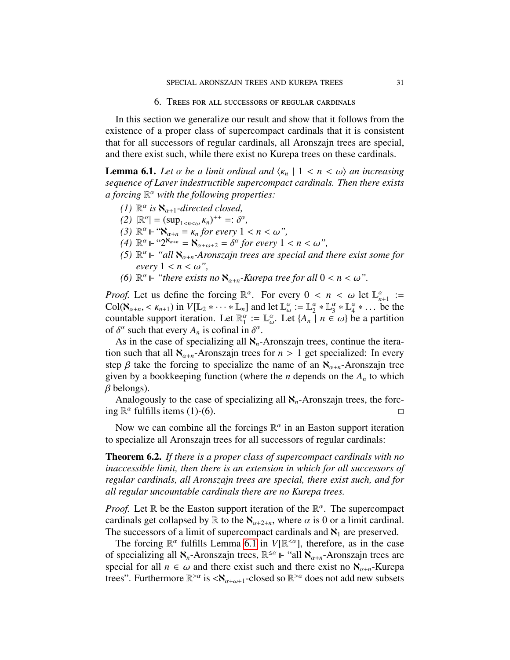6. Trees for all successors of regular cardinals

In this section we generalize our result and show that it follows from the existence of a proper class of supercompact cardinals that it is consistent that for all successors of regular cardinals, all Aronszajn trees are special, and there exist such, while there exist no Kurepa trees on these cardinals.

<span id="page-30-0"></span>**Lemma 6.1.** Let  $\alpha$  be a limit ordinal and  $\langle \kappa_n | 1 \langle n \rangle \langle \alpha \rangle$  an increasing *sequence of Laver indestructible supercompact cardinals. Then there exists a forcing* R <sup>α</sup> *with the following properties:*

- *(1)*  $\mathbb{R}^{\alpha}$  *is*  $\aleph_{\alpha+1}$ -directed closed,<br>(2)  $\mathbb{R}^{\alpha}$   $\leq$  (sup  $\ldots$  )<sup>++</sup>  $\to$  <sup>sc</sup>
- (2)  $\mathbb{R}^{\alpha}$  =  $(\sup_{1 \le n \le \omega} \kappa_n)^{++} =: \delta^{\alpha},$ <br>
(3)  $\mathbb{R}^{\alpha}$  in "**8**  $-\kappa$  for every 1
- $(3)$   $\mathbb{R}^{\alpha} \Vdash \mathbb{R}^{\alpha}_{\alpha+n} = \kappa_n$  *for every*  $1 < n < \omega$ ",<br>  $(4)$   $\mathbb{R}^{\alpha} \Vdash \mathbb{R}^{\alpha_{n+n}} \aleph$   $\alpha \delta^{\alpha}$  for every 1
- $(4)$   $\mathbb{R}^{\alpha}$   $\Vdash$   $\mathfrak{L}^{\infty}$  $\mathfrak{L}_{\alpha+n} = \mathfrak{S}_{\alpha+\omega+2} = \delta^{\alpha}$  for every  $1 < n < \omega$ ",<br>
(5)  $\mathbb{R}^{\alpha}$   $\Vdash$  "all  $\mathfrak{L}$  A ronszain trees are special and t
- (5)  $\mathbb{R}^{\alpha}$  ⊩ "all  $\aleph_{\alpha+n}$ -Aronszajn trees are special and there exist some for  $\epsilon$ *very*  $1 \leq n \leq \omega$ ",
- *(6)*  $\mathbb{R}^{\alpha}$   $\Vdash$  "there exists no  $\aleph_{\alpha+n}$ -Kurepa tree for all  $0 < n < \omega$ ".

*Proof.* Let us define the forcing  $\mathbb{R}^{\alpha}$ . For every  $0 < n < \omega$  let  $\mathbb{L}_{n+1}^{\alpha} :=$ <br>Col( $\aleph$ ,  $\leq k$ , ...) in  $V[\mathbb{L}_{2} * \cdots * \mathbb{L}_{n}]$  and let  $\mathbb{L}^{\alpha} \cdot \mathbb{L}^{\alpha} * \mathbb{L}^{\alpha} * \mathbb{L}^{\alpha} *$  be the Col( $\aleph_{\alpha+n} < \kappa_{n+1}$ ) in  $V[\mathbb{L}_2 * \cdots * \mathbb{L}_n]$  and let  $\mathbb{L}_{\omega}^{\alpha} := \mathbb{L}_2^{\alpha} * \mathbb{L}_3^{\alpha} * \mathbb{L}_4^{\alpha} * \cdots$  be the countable support iteration. Let  $\mathbb{R}^{\alpha} := \mathbb{L}^{\alpha}$  Let  $\{A \mid n \in \omega\}$  be a partition countable support iteration. Let  $\mathbb{R}_1^{\alpha} := \mathbb{L}_{\omega}^{\alpha}$ . Let  $\{A_n \mid n \in \omega\}$  be a partition of  $\delta^{\alpha}$  such that every A is cofinal in  $\delta^{\alpha}$ of  $\delta^{\alpha}$  such that every  $A_n$  is cofinal in  $\delta^{\alpha}$ .<br>As in the case of specializing all **N** 

As in the case of specializing all  $\aleph_n$ -Aronszajn trees, continue the iteration such that all  $\aleph_{\alpha+n}$ -Aronszajn trees for  $n > 1$  get specialized: In every step  $\beta$  take the forcing to specialize the name of an  $\aleph_{\alpha+n}$ -Aronszajn tree given by a bookkeeping function (where the *n* depends on the *A<sup>n</sup>* to which  $\beta$  belongs).

Analogously to the case of specializing all  $\aleph_n$ -Aronszajn trees, the forcing  $\mathbb{R}^{\alpha}$  fulfills items (1)-(6).

Now we can combine all the forcings  $\mathbb{R}^{\alpha}$  in an Easton support iteration to specialize all Aronszajn trees for all successors of regular cardinals:

<span id="page-30-1"></span>Theorem 6.2. *If there is a proper class of supercompact cardinals with no inaccessible limit, then there is an extension in which for all successors of regular cardinals, all Aronszajn trees are special, there exist such, and for all regular uncountable cardinals there are no Kurepa trees.*

*Proof.* Let  $\mathbb R$  be the Easton support iteration of the  $\mathbb R^{\alpha}$ . The supercompact cardinals get collapsed by  $\mathbb R$  to the  $\aleph_{\alpha+2+n}$ , where  $\alpha$  is 0 or a limit cardinal. The successors of a limit of supercompact cardinals and  $\aleph_1$  are preserved.

The forcing  $\mathbb{R}^{\alpha}$  fulfills Lemma [6.1](#page-30-0) in  $V[\mathbb{R}^{\leq \alpha}]$ , therefore, as in the case of specializing all  $\aleph_n$ -Aronszajn trees,  $\mathbb{R}^{\leq \alpha}$   $\Vdash$  "all  $\aleph_{\alpha+n}$ -Aronszajn trees are special for all  $n \in \omega$  and there exist such and there exist no  $\aleph_{\alpha+n}$ -Kurepa trees". Furthermore  $\mathbb{R}^{> \alpha}$  is  $\langle \aleph_{\alpha+\omega+1}$ -closed so  $\mathbb{R}^{> \alpha}$  does not add new subsets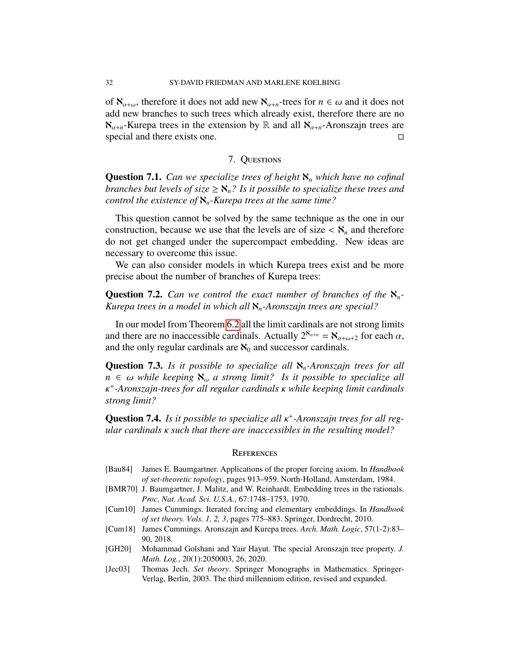of  $\aleph_{\alpha+\omega}$ , therefore it does not add new  $\aleph_{\alpha+n}$ -trees for  $n \in \omega$  and it does not add new branches to such trees which already exist, therefore there are no  $\aleph_{\alpha+n}$ -Kurepa trees in the extension by R and all  $\aleph_{\alpha+n}$ -Aronszajn trees are special and there exists one. special and there exists one.

### 7. Questions

Question 7.1. *Can we specialize trees of height* ℵ*<sup>n</sup> which have no cofinal branches but levels of size*  $\geq$   $\aleph_n$ ? *Is it possible to specialize these trees and control the existence of* ℵ*n-Kurepa trees at the same time?*

This question cannot be solved by the same technique as the one in our construction, because we use that the levels are of size  $\langle \aleph_n \rangle$  and therefore do not get changed under the supercompact embedding. New ideas are necessary to overcome this issue.

We can also consider models in which Kurepa trees exist and be more precise about the number of branches of Kurepa trees:

**Question 7.2.** *Can we control the exact number of branches of the*  $\aleph_n$ -*Kurepa trees in a model in which all* ℵ*n-Aronszajn trees are special?*

In our model from Theorem [6.2](#page-30-1) all the limit cardinals are not strong limits and there are no inaccessible cardinals. Actually  $2^{\aleph_{\alpha+n}} = \aleph_{\alpha+\omega+2}$  for each  $\alpha$ , and the only regular cardinals are  $\aleph_0$  and successor cardinals.

Question 7.3. *Is it possible to specialize all* ℵ*n-Aronszajn trees for all*  $n \in \omega$  *while keeping*  $\aleph_{\omega}$  *a strong limit? Is it possible to specialize all* κ *strong limit?* + *-Aronszajn-trees for all regular cardinals* κ *while keeping limit cardinals*

**Question 7.4.** *Is it possible to specialize all* κ<sup>+</sup>-Aronszajn trees for all reg-<br>ular cardinals κ such that there are inaccessibles in the resulting model? *ular cardinals* κ *such that there are inaccessibles in the resulting model?*

#### **REFERENCES**

- <span id="page-31-1"></span>[Bau84] James E. Baumgartner. Applications of the proper forcing axiom. In *Handbook of set-theoretic topology*, pages 913–959. North-Holland, Amsterdam, 1984.
- <span id="page-31-4"></span>[BMR70] J. Baumgartner, J. Malitz, and W. Reinhardt. Embedding trees in the rationals. *Proc. Nat. Acad. Sci. U.S.A.*, 67:1748–1753, 1970.
- <span id="page-31-3"></span>[Cum10] James Cummings. Iterated forcing and elementary embeddings. In *Handbook of set theory. Vols. 1, 2, 3*, pages 775–883. Springer, Dordrecht, 2010.
- <span id="page-31-2"></span>[Cum18] James Cummings. Aronszajn and Kurepa trees. *Arch. Math. Logic*, 57(1-2):83– 90, 2018.
- <span id="page-31-0"></span>[GH20] Mohammad Golshani and Yair Hayut. The special Aronszajn tree property. *J. Math. Log.*, 20(1):2050003, 26, 2020.
- <span id="page-31-5"></span>[Jec03] Thomas Jech. *Set theory*. Springer Monographs in Mathematics. Springer-Verlag, Berlin, 2003. The third millennium edition, revised and expanded.